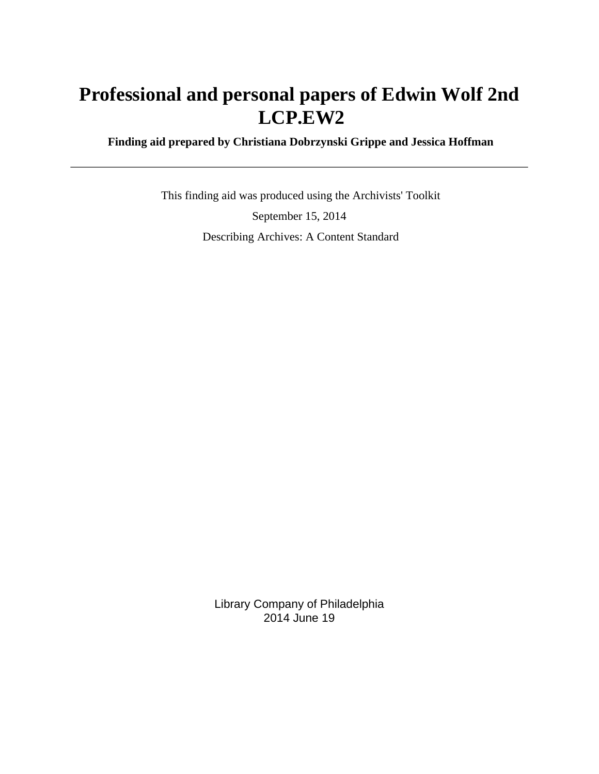# **Professional and personal papers of Edwin Wolf 2nd LCP.EW2**

 **Finding aid prepared by Christiana Dobrzynski Grippe and Jessica Hoffman**

 This finding aid was produced using the Archivists' Toolkit September 15, 2014 Describing Archives: A Content Standard

> Library Company of Philadelphia 2014 June 19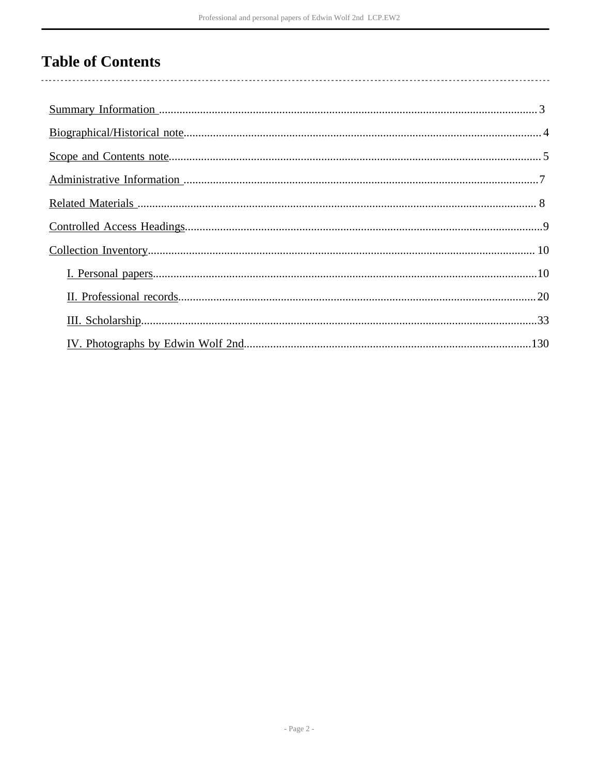# **Table of Contents**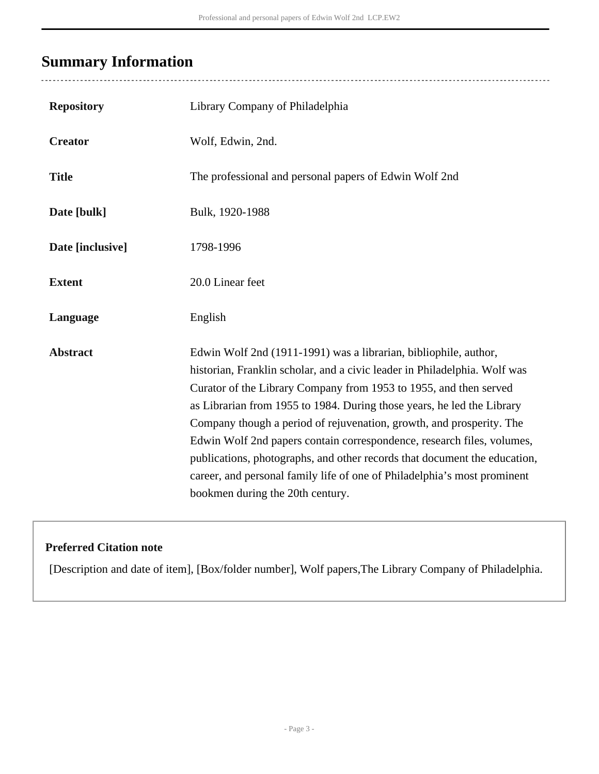## <span id="page-2-0"></span>**Summary Information**

| <b>Repository</b> | Library Company of Philadelphia                                                                                                                                                                                                                                                                                                                                                                                                                                                                                                                                                                                                             |
|-------------------|---------------------------------------------------------------------------------------------------------------------------------------------------------------------------------------------------------------------------------------------------------------------------------------------------------------------------------------------------------------------------------------------------------------------------------------------------------------------------------------------------------------------------------------------------------------------------------------------------------------------------------------------|
| <b>Creator</b>    | Wolf, Edwin, 2nd.                                                                                                                                                                                                                                                                                                                                                                                                                                                                                                                                                                                                                           |
| <b>Title</b>      | The professional and personal papers of Edwin Wolf 2nd                                                                                                                                                                                                                                                                                                                                                                                                                                                                                                                                                                                      |
| Date [bulk]       | Bulk, 1920-1988                                                                                                                                                                                                                                                                                                                                                                                                                                                                                                                                                                                                                             |
| Date [inclusive]  | 1798-1996                                                                                                                                                                                                                                                                                                                                                                                                                                                                                                                                                                                                                                   |
| <b>Extent</b>     | 20.0 Linear feet                                                                                                                                                                                                                                                                                                                                                                                                                                                                                                                                                                                                                            |
| Language          | English                                                                                                                                                                                                                                                                                                                                                                                                                                                                                                                                                                                                                                     |
| <b>Abstract</b>   | Edwin Wolf 2nd (1911-1991) was a librarian, bibliophile, author,<br>historian, Franklin scholar, and a civic leader in Philadelphia. Wolf was<br>Curator of the Library Company from 1953 to 1955, and then served<br>as Librarian from 1955 to 1984. During those years, he led the Library<br>Company though a period of rejuvenation, growth, and prosperity. The<br>Edwin Wolf 2nd papers contain correspondence, research files, volumes,<br>publications, photographs, and other records that document the education,<br>career, and personal family life of one of Philadelphia's most prominent<br>bookmen during the 20th century. |

## **Preferred Citation note**

[Description and date of item], [Box/folder number], Wolf papers,The Library Company of Philadelphia.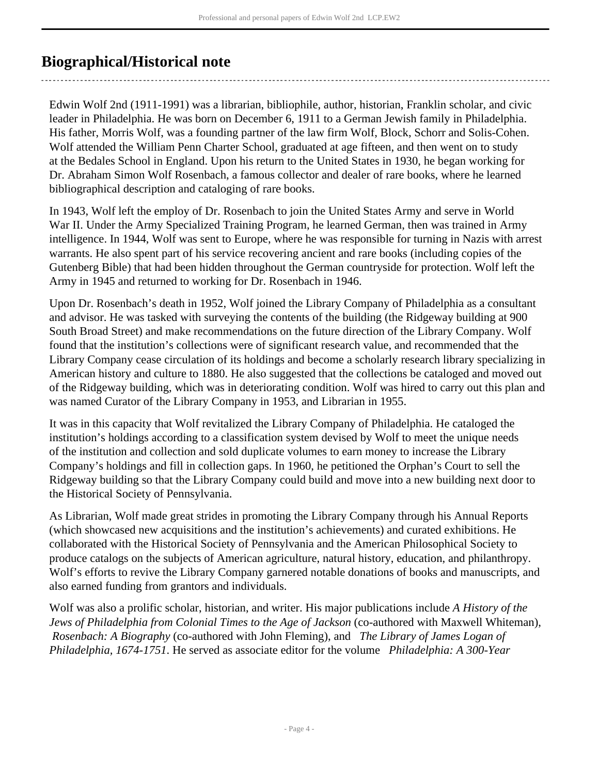## <span id="page-3-0"></span>**Biographical/Historical note**

Edwin Wolf 2nd (1911-1991) was a librarian, bibliophile, author, historian, Franklin scholar, and civic leader in Philadelphia. He was born on December 6, 1911 to a German Jewish family in Philadelphia. His father, Morris Wolf, was a founding partner of the law firm Wolf, Block, Schorr and Solis-Cohen. Wolf attended the William Penn Charter School, graduated at age fifteen, and then went on to study at the Bedales School in England. Upon his return to the United States in 1930, he began working for Dr. Abraham Simon Wolf Rosenbach, a famous collector and dealer of rare books, where he learned bibliographical description and cataloging of rare books.

In 1943, Wolf left the employ of Dr. Rosenbach to join the United States Army and serve in World War II. Under the Army Specialized Training Program, he learned German, then was trained in Army intelligence. In 1944, Wolf was sent to Europe, where he was responsible for turning in Nazis with arrest warrants. He also spent part of his service recovering ancient and rare books (including copies of the Gutenberg Bible) that had been hidden throughout the German countryside for protection. Wolf left the Army in 1945 and returned to working for Dr. Rosenbach in 1946.

Upon Dr. Rosenbach's death in 1952, Wolf joined the Library Company of Philadelphia as a consultant and advisor. He was tasked with surveying the contents of the building (the Ridgeway building at 900 South Broad Street) and make recommendations on the future direction of the Library Company. Wolf found that the institution's collections were of significant research value, and recommended that the Library Company cease circulation of its holdings and become a scholarly research library specializing in American history and culture to 1880. He also suggested that the collections be cataloged and moved out of the Ridgeway building, which was in deteriorating condition. Wolf was hired to carry out this plan and was named Curator of the Library Company in 1953, and Librarian in 1955.

It was in this capacity that Wolf revitalized the Library Company of Philadelphia. He cataloged the institution's holdings according to a classification system devised by Wolf to meet the unique needs of the institution and collection and sold duplicate volumes to earn money to increase the Library Company's holdings and fill in collection gaps. In 1960, he petitioned the Orphan's Court to sell the Ridgeway building so that the Library Company could build and move into a new building next door to the Historical Society of Pennsylvania.

As Librarian, Wolf made great strides in promoting the Library Company through his Annual Reports (which showcased new acquisitions and the institution's achievements) and curated exhibitions. He collaborated with the Historical Society of Pennsylvania and the American Philosophical Society to produce catalogs on the subjects of American agriculture, natural history, education, and philanthropy. Wolf's efforts to revive the Library Company garnered notable donations of books and manuscripts, and also earned funding from grantors and individuals.

Wolf was also a prolific scholar, historian, and writer. His major publications include *A History of the Jews of Philadelphia from Colonial Times to the Age of Jackson* (co-authored with Maxwell Whiteman),  *Rosenbach: A Biography* (co-authored with John Fleming), and *The Library of James Logan of Philadelphia, 1674-1751*. He served as associate editor for the volume *Philadelphia: A 300-Year*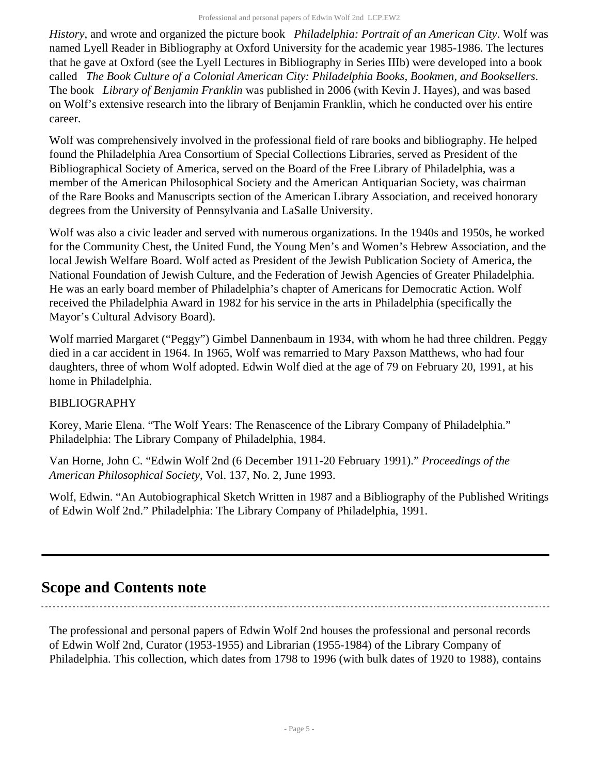*History*, and wrote and organized the picture book *Philadelphia: Portrait of an American City*. Wolf was named Lyell Reader in Bibliography at Oxford University for the academic year 1985-1986. The lectures that he gave at Oxford (see the Lyell Lectures in Bibliography in Series IIIb) were developed into a book called *The Book Culture of a Colonial American City: Philadelphia Books, Bookmen, and Booksellers*. The book *Library of Benjamin Franklin* was published in 2006 (with Kevin J. Hayes), and was based on Wolf's extensive research into the library of Benjamin Franklin, which he conducted over his entire career.

Wolf was comprehensively involved in the professional field of rare books and bibliography. He helped found the Philadelphia Area Consortium of Special Collections Libraries, served as President of the Bibliographical Society of America, served on the Board of the Free Library of Philadelphia, was a member of the American Philosophical Society and the American Antiquarian Society, was chairman of the Rare Books and Manuscripts section of the American Library Association, and received honorary degrees from the University of Pennsylvania and LaSalle University.

Wolf was also a civic leader and served with numerous organizations. In the 1940s and 1950s, he worked for the Community Chest, the United Fund, the Young Men's and Women's Hebrew Association, and the local Jewish Welfare Board. Wolf acted as President of the Jewish Publication Society of America, the National Foundation of Jewish Culture, and the Federation of Jewish Agencies of Greater Philadelphia. He was an early board member of Philadelphia's chapter of Americans for Democratic Action. Wolf received the Philadelphia Award in 1982 for his service in the arts in Philadelphia (specifically the Mayor's Cultural Advisory Board).

Wolf married Margaret ("Peggy") Gimbel Dannenbaum in 1934, with whom he had three children. Peggy died in a car accident in 1964. In 1965, Wolf was remarried to Mary Paxson Matthews, who had four daughters, three of whom Wolf adopted. Edwin Wolf died at the age of 79 on February 20, 1991, at his home in Philadelphia.

### BIBLIOGRAPHY

Korey, Marie Elena. "The Wolf Years: The Renascence of the Library Company of Philadelphia." Philadelphia: The Library Company of Philadelphia, 1984.

Van Horne, John C. "Edwin Wolf 2nd (6 December 1911-20 February 1991)." *Proceedings of the American Philosophical Society*, Vol. 137, No. 2, June 1993.

Wolf, Edwin. "An Autobiographical Sketch Written in 1987 and a Bibliography of the Published Writings of Edwin Wolf 2nd." Philadelphia: The Library Company of Philadelphia, 1991.

## <span id="page-4-0"></span>**Scope and Contents note**

The professional and personal papers of Edwin Wolf 2nd houses the professional and personal records of Edwin Wolf 2nd, Curator (1953-1955) and Librarian (1955-1984) of the Library Company of Philadelphia. This collection, which dates from 1798 to 1996 (with bulk dates of 1920 to 1988), contains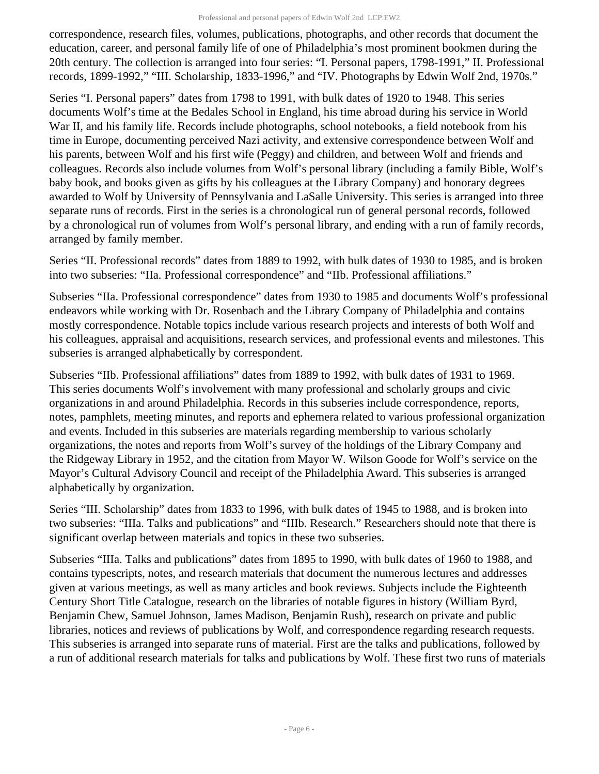correspondence, research files, volumes, publications, photographs, and other records that document the education, career, and personal family life of one of Philadelphia's most prominent bookmen during the 20th century. The collection is arranged into four series: "I. Personal papers, 1798-1991," II. Professional records, 1899-1992," "III. Scholarship, 1833-1996," and "IV. Photographs by Edwin Wolf 2nd, 1970s."

Series "I. Personal papers" dates from 1798 to 1991, with bulk dates of 1920 to 1948. This series documents Wolf's time at the Bedales School in England, his time abroad during his service in World War II, and his family life. Records include photographs, school notebooks, a field notebook from his time in Europe, documenting perceived Nazi activity, and extensive correspondence between Wolf and his parents, between Wolf and his first wife (Peggy) and children, and between Wolf and friends and colleagues. Records also include volumes from Wolf's personal library (including a family Bible, Wolf's baby book, and books given as gifts by his colleagues at the Library Company) and honorary degrees awarded to Wolf by University of Pennsylvania and LaSalle University. This series is arranged into three separate runs of records. First in the series is a chronological run of general personal records, followed by a chronological run of volumes from Wolf's personal library, and ending with a run of family records, arranged by family member.

Series "II. Professional records" dates from 1889 to 1992, with bulk dates of 1930 to 1985, and is broken into two subseries: "IIa. Professional correspondence" and "IIb. Professional affiliations."

Subseries "IIa. Professional correspondence" dates from 1930 to 1985 and documents Wolf's professional endeavors while working with Dr. Rosenbach and the Library Company of Philadelphia and contains mostly correspondence. Notable topics include various research projects and interests of both Wolf and his colleagues, appraisal and acquisitions, research services, and professional events and milestones. This subseries is arranged alphabetically by correspondent.

Subseries "IIb. Professional affiliations" dates from 1889 to 1992, with bulk dates of 1931 to 1969. This series documents Wolf's involvement with many professional and scholarly groups and civic organizations in and around Philadelphia. Records in this subseries include correspondence, reports, notes, pamphlets, meeting minutes, and reports and ephemera related to various professional organization and events. Included in this subseries are materials regarding membership to various scholarly organizations, the notes and reports from Wolf's survey of the holdings of the Library Company and the Ridgeway Library in 1952, and the citation from Mayor W. Wilson Goode for Wolf's service on the Mayor's Cultural Advisory Council and receipt of the Philadelphia Award. This subseries is arranged alphabetically by organization.

Series "III. Scholarship" dates from 1833 to 1996, with bulk dates of 1945 to 1988, and is broken into two subseries: "IIIa. Talks and publications" and "IIIb. Research." Researchers should note that there is significant overlap between materials and topics in these two subseries.

Subseries "IIIa. Talks and publications" dates from 1895 to 1990, with bulk dates of 1960 to 1988, and contains typescripts, notes, and research materials that document the numerous lectures and addresses given at various meetings, as well as many articles and book reviews. Subjects include the Eighteenth Century Short Title Catalogue, research on the libraries of notable figures in history (William Byrd, Benjamin Chew, Samuel Johnson, James Madison, Benjamin Rush), research on private and public libraries, notices and reviews of publications by Wolf, and correspondence regarding research requests. This subseries is arranged into separate runs of material. First are the talks and publications, followed by a run of additional research materials for talks and publications by Wolf. These first two runs of materials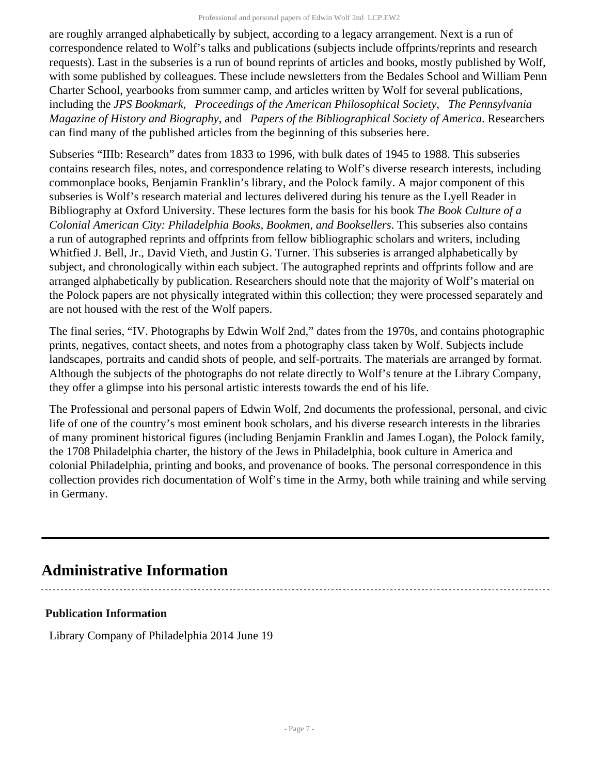are roughly arranged alphabetically by subject, according to a legacy arrangement. Next is a run of correspondence related to Wolf's talks and publications (subjects include offprints/reprints and research requests). Last in the subseries is a run of bound reprints of articles and books, mostly published by Wolf, with some published by colleagues. These include newsletters from the Bedales School and William Penn Charter School, yearbooks from summer camp, and articles written by Wolf for several publications, including the *JPS Bookmark*, *Proceedings of the American Philosophical Society*, *The Pennsylvania Magazine of History and Biography*, and *Papers of the Bibliographical Society of America*. Researchers can find many of the published articles from the beginning of this subseries here.

Subseries "IIIb: Research" dates from 1833 to 1996, with bulk dates of 1945 to 1988. This subseries contains research files, notes, and correspondence relating to Wolf's diverse research interests, including commonplace books, Benjamin Franklin's library, and the Polock family. A major component of this subseries is Wolf's research material and lectures delivered during his tenure as the Lyell Reader in Bibliography at Oxford University. These lectures form the basis for his book *The Book Culture of a Colonial American City: Philadelphia Books, Bookmen, and Booksellers*. This subseries also contains a run of autographed reprints and offprints from fellow bibliographic scholars and writers, including Whitfied J. Bell, Jr., David Vieth, and Justin G. Turner. This subseries is arranged alphabetically by subject, and chronologically within each subject. The autographed reprints and offprints follow and are arranged alphabetically by publication. Researchers should note that the majority of Wolf's material on the Polock papers are not physically integrated within this collection; they were processed separately and are not housed with the rest of the Wolf papers.

The final series, "IV. Photographs by Edwin Wolf 2nd," dates from the 1970s, and contains photographic prints, negatives, contact sheets, and notes from a photography class taken by Wolf. Subjects include landscapes, portraits and candid shots of people, and self-portraits. The materials are arranged by format. Although the subjects of the photographs do not relate directly to Wolf's tenure at the Library Company, they offer a glimpse into his personal artistic interests towards the end of his life.

The Professional and personal papers of Edwin Wolf, 2nd documents the professional, personal, and civic life of one of the country's most eminent book scholars, and his diverse research interests in the libraries of many prominent historical figures (including Benjamin Franklin and James Logan), the Polock family, the 1708 Philadelphia charter, the history of the Jews in Philadelphia, book culture in America and colonial Philadelphia, printing and books, and provenance of books. The personal correspondence in this collection provides rich documentation of Wolf's time in the Army, both while training and while serving in Germany.

## <span id="page-6-0"></span>**Administrative Information**

## **Publication Information**

Library Company of Philadelphia 2014 June 19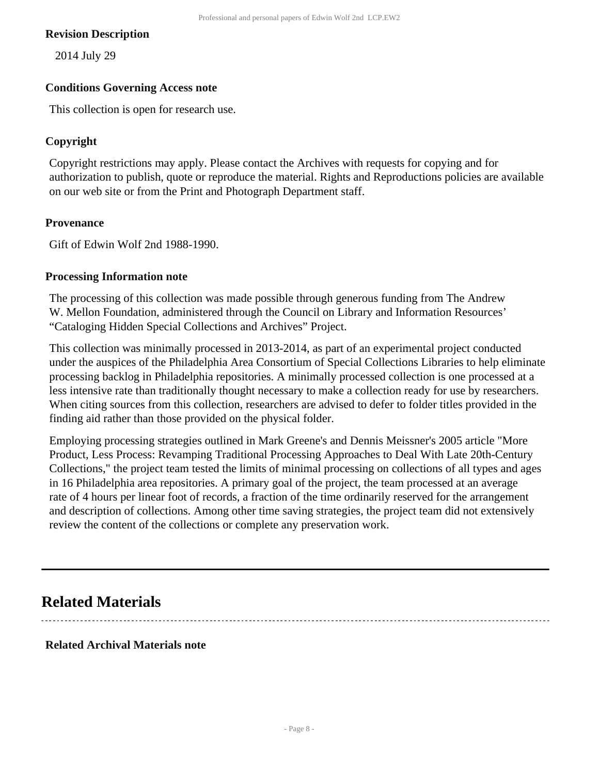#### **Revision Description**

2014 July 29

#### **Conditions Governing Access note**

This collection is open for research use.

#### **Copyright**

Copyright restrictions may apply. Please contact the Archives with requests for copying and for authorization to publish, quote or reproduce the material. Rights and Reproductions policies are available on our web site or from the Print and Photograph Department staff.

#### **Provenance**

Gift of Edwin Wolf 2nd 1988-1990.

#### **Processing Information note**

The processing of this collection was made possible through generous funding from The Andrew W. Mellon Foundation, administered through the Council on Library and Information Resources' "Cataloging Hidden Special Collections and Archives" Project.

This collection was minimally processed in 2013-2014, as part of an experimental project conducted under the auspices of the Philadelphia Area Consortium of Special Collections Libraries to help eliminate processing backlog in Philadelphia repositories. A minimally processed collection is one processed at a less intensive rate than traditionally thought necessary to make a collection ready for use by researchers. When citing sources from this collection, researchers are advised to defer to folder titles provided in the finding aid rather than those provided on the physical folder.

Employing processing strategies outlined in Mark Greene's and Dennis Meissner's 2005 article "More Product, Less Process: Revamping Traditional Processing Approaches to Deal With Late 20th-Century Collections," the project team tested the limits of minimal processing on collections of all types and ages in 16 Philadelphia area repositories. A primary goal of the project, the team processed at an average rate of 4 hours per linear foot of records, a fraction of the time ordinarily reserved for the arrangement and description of collections. Among other time saving strategies, the project team did not extensively review the content of the collections or complete any preservation work.

## <span id="page-7-0"></span>**Related Materials**

#### **Related Archival Materials note**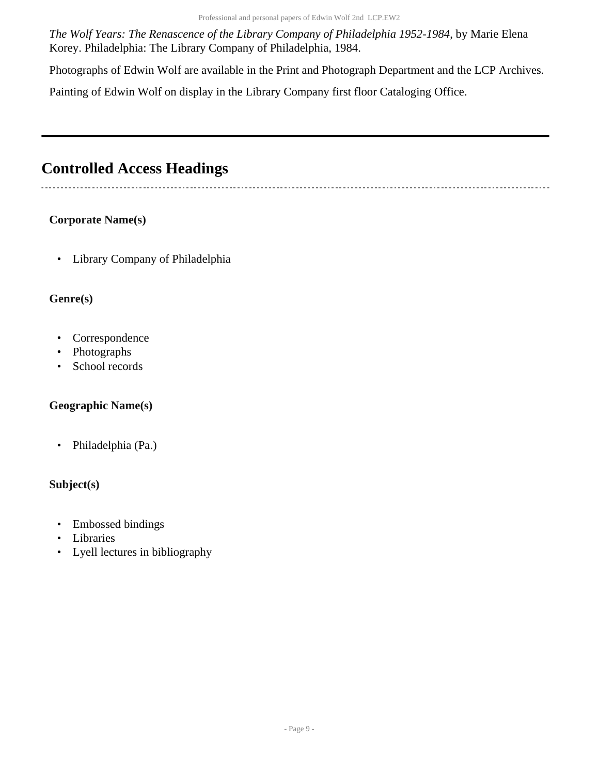Professional and personal papers of Edwin Wolf 2nd LCP.EW2

*The Wolf Years: The Renascence of the Library Company of Philadelphia 1952-1984*, by Marie Elena Korey. Philadelphia: The Library Company of Philadelphia, 1984.

Photographs of Edwin Wolf are available in the Print and Photograph Department and the LCP Archives.

Painting of Edwin Wolf on display in the Library Company first floor Cataloging Office.

## <span id="page-8-0"></span>**Controlled Access Headings**

## **Corporate Name(s)**

• Library Company of Philadelphia

## **Genre(s)**

- Correspondence
- Photographs
- School records

## **Geographic Name(s)**

• Philadelphia (Pa.)

## **Subject(s)**

- Embossed bindings
- Libraries
- Lyell lectures in bibliography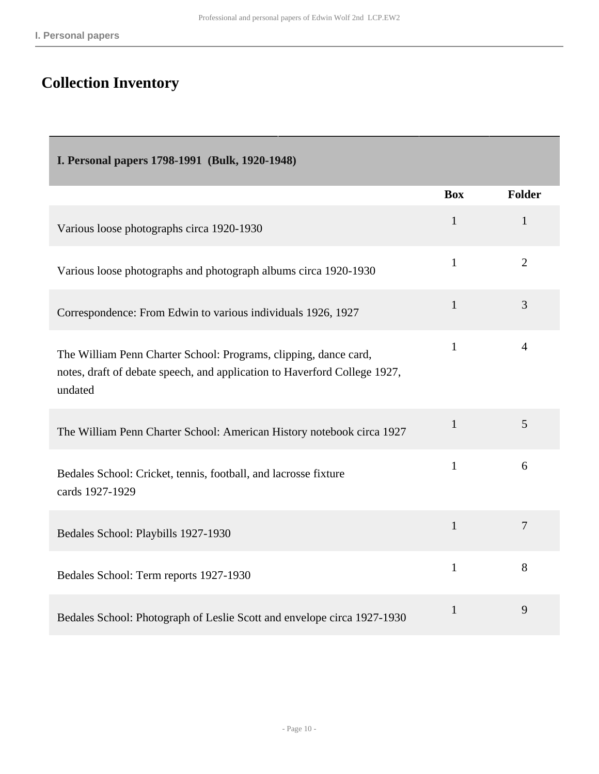# <span id="page-9-0"></span>**Collection Inventory**

<span id="page-9-1"></span>

| I. Personal papers 1798-1991 (Bulk, 1920-1948)                                                                                                           |              |                |
|----------------------------------------------------------------------------------------------------------------------------------------------------------|--------------|----------------|
|                                                                                                                                                          | <b>Box</b>   | <b>Folder</b>  |
| Various loose photographs circa 1920-1930                                                                                                                | $\mathbf{1}$ | $\mathbf{1}$   |
| Various loose photographs and photograph albums circa 1920-1930                                                                                          | $\mathbf{1}$ | $\overline{2}$ |
| Correspondence: From Edwin to various individuals 1926, 1927                                                                                             | $\mathbf{1}$ | 3              |
| The William Penn Charter School: Programs, clipping, dance card,<br>notes, draft of debate speech, and application to Haverford College 1927,<br>undated | $\mathbf{1}$ | $\overline{4}$ |
| The William Penn Charter School: American History notebook circa 1927                                                                                    | $\mathbf{1}$ | 5              |
| Bedales School: Cricket, tennis, football, and lacrosse fixture<br>cards 1927-1929                                                                       | $\mathbf{1}$ | 6              |
| Bedales School: Playbills 1927-1930                                                                                                                      | $\mathbf{1}$ | $\overline{7}$ |
| Bedales School: Term reports 1927-1930                                                                                                                   | $\mathbf{1}$ | 8              |
| Bedales School: Photograph of Leslie Scott and envelope circa 1927-1930                                                                                  | $\mathbf{1}$ | 9              |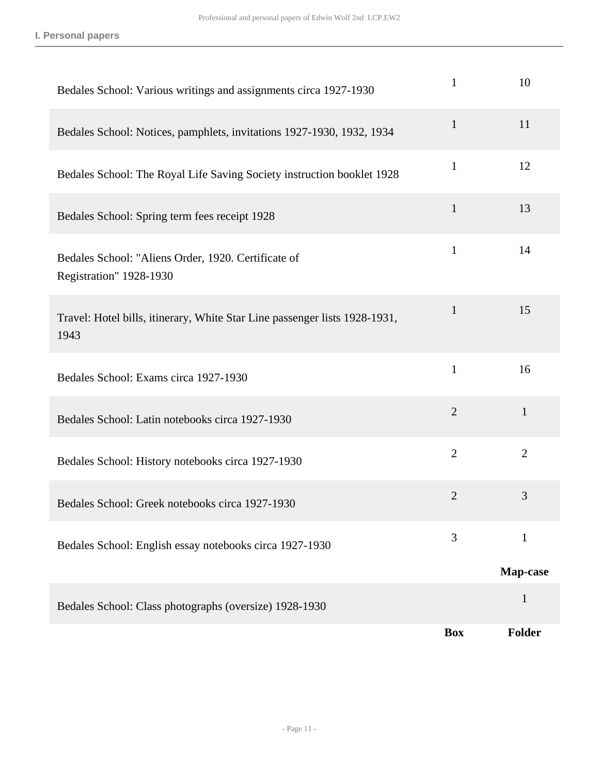| Bedales School: Various writings and assignments circa 1927-1930                   | $\mathbf{1}$   | 10             |
|------------------------------------------------------------------------------------|----------------|----------------|
| Bedales School: Notices, pamphlets, invitations 1927-1930, 1932, 1934              | $\mathbf{1}$   | 11             |
| Bedales School: The Royal Life Saving Society instruction booklet 1928             | $\mathbf{1}$   | 12             |
| Bedales School: Spring term fees receipt 1928                                      | $\mathbf{1}$   | 13             |
| Bedales School: "Aliens Order, 1920. Certificate of<br>Registration" 1928-1930     | $\mathbf{1}$   | 14             |
| Travel: Hotel bills, itinerary, White Star Line passenger lists 1928-1931,<br>1943 | $\mathbf{1}$   | 15             |
| Bedales School: Exams circa 1927-1930                                              | $\mathbf{1}$   | 16             |
| Bedales School: Latin notebooks circa 1927-1930                                    | $\overline{2}$ | $\mathbf{1}$   |
| Bedales School: History notebooks circa 1927-1930                                  | $\overline{2}$ | $\overline{2}$ |
| Bedales School: Greek notebooks circa 1927-1930                                    | $\overline{2}$ | 3              |
| Bedales School: English essay notebooks circa 1927-1930                            | 3              | $\mathbf{1}$   |
|                                                                                    |                | Map-case       |
| Bedales School: Class photographs (oversize) 1928-1930                             |                | $\mathbf{1}$   |
|                                                                                    | <b>Box</b>     | <b>Folder</b>  |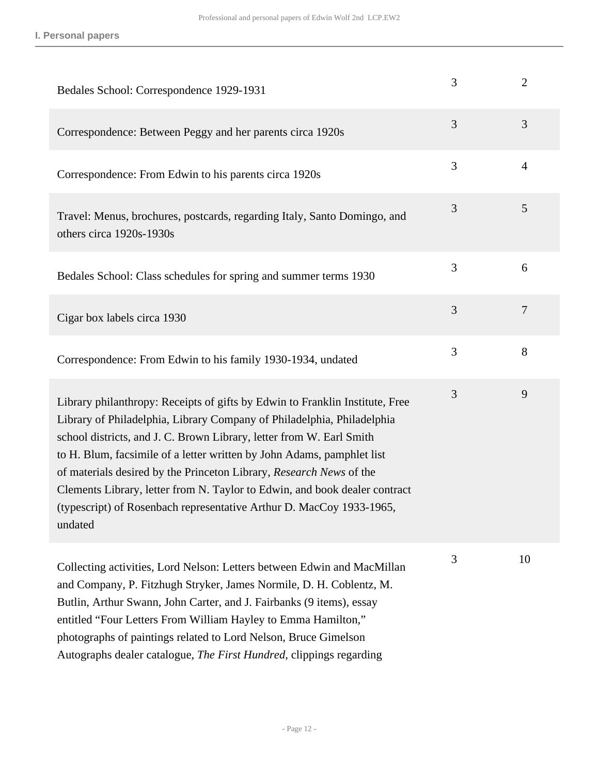| Bedales School: Correspondence 1929-1931                                                                                                                                                                                                                                                                                                                                                                                                                                                                                                         | 3              | $\overline{2}$ |
|--------------------------------------------------------------------------------------------------------------------------------------------------------------------------------------------------------------------------------------------------------------------------------------------------------------------------------------------------------------------------------------------------------------------------------------------------------------------------------------------------------------------------------------------------|----------------|----------------|
| Correspondence: Between Peggy and her parents circa 1920s                                                                                                                                                                                                                                                                                                                                                                                                                                                                                        | 3              | 3              |
| Correspondence: From Edwin to his parents circa 1920s                                                                                                                                                                                                                                                                                                                                                                                                                                                                                            | 3              | 4              |
| Travel: Menus, brochures, postcards, regarding Italy, Santo Domingo, and<br>others circa 1920s-1930s                                                                                                                                                                                                                                                                                                                                                                                                                                             | 3              | 5              |
| Bedales School: Class schedules for spring and summer terms 1930                                                                                                                                                                                                                                                                                                                                                                                                                                                                                 | 3              | 6              |
| Cigar box labels circa 1930                                                                                                                                                                                                                                                                                                                                                                                                                                                                                                                      | $\overline{3}$ | $\overline{7}$ |
| Correspondence: From Edwin to his family 1930-1934, undated                                                                                                                                                                                                                                                                                                                                                                                                                                                                                      | 3              | 8              |
| Library philanthropy: Receipts of gifts by Edwin to Franklin Institute, Free<br>Library of Philadelphia, Library Company of Philadelphia, Philadelphia<br>school districts, and J. C. Brown Library, letter from W. Earl Smith<br>to H. Blum, facsimile of a letter written by John Adams, pamphlet list<br>of materials desired by the Princeton Library, Research News of the<br>Clements Library, letter from N. Taylor to Edwin, and book dealer contract<br>(typescript) of Rosenbach representative Arthur D. MacCoy 1933-1965,<br>undated | 3              | 9              |
| Collecting activities, Lord Nelson: Letters between Edwin and MacMillan<br>and Company, P. Fitzhugh Stryker, James Normile, D. H. Coblentz, M.<br>Butlin, Arthur Swann, John Carter, and J. Fairbanks (9 items), essay<br>entitled "Four Letters From William Hayley to Emma Hamilton,"<br>photographs of paintings related to Lord Nelson, Bruce Gimelson<br>Autographs dealer catalogue, The First Hundred, clippings regarding                                                                                                                | 3              | 10             |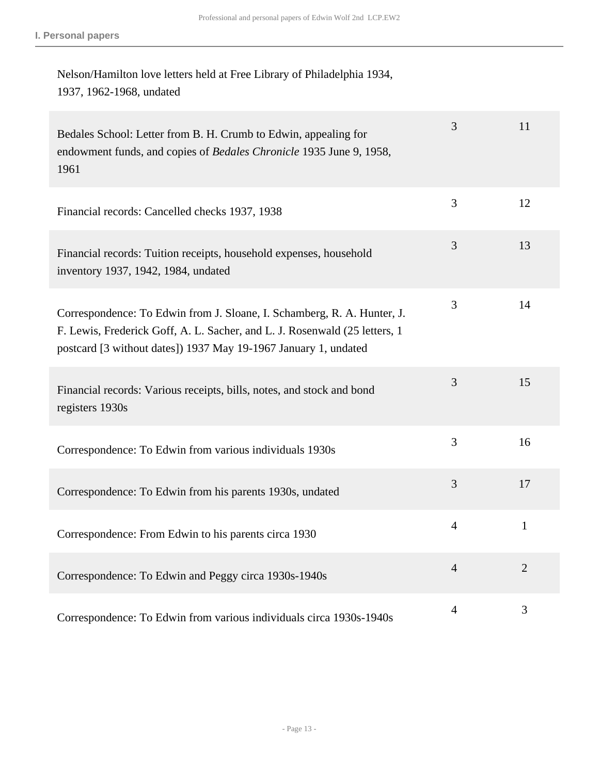## Nelson/Hamilton love letters held at Free Library of Philadelphia 1934, 1937, 1962-1968, undated

| Bedales School: Letter from B. H. Crumb to Edwin, appealing for<br>endowment funds, and copies of Bedales Chronicle 1935 June 9, 1958,<br>1961                                                                           | 3              | 11             |
|--------------------------------------------------------------------------------------------------------------------------------------------------------------------------------------------------------------------------|----------------|----------------|
| Financial records: Cancelled checks 1937, 1938                                                                                                                                                                           | 3              | 12             |
| Financial records: Tuition receipts, household expenses, household<br>inventory 1937, 1942, 1984, undated                                                                                                                | $\overline{3}$ | 13             |
| Correspondence: To Edwin from J. Sloane, I. Schamberg, R. A. Hunter, J.<br>F. Lewis, Frederick Goff, A. L. Sacher, and L. J. Rosenwald (25 letters, 1<br>postcard [3 without dates]) 1937 May 19-1967 January 1, undated | 3              | 14             |
| Financial records: Various receipts, bills, notes, and stock and bond<br>registers 1930s                                                                                                                                 | 3              | 15             |
| Correspondence: To Edwin from various individuals 1930s                                                                                                                                                                  | 3              | 16             |
| Correspondence: To Edwin from his parents 1930s, undated                                                                                                                                                                 | 3              | 17             |
| Correspondence: From Edwin to his parents circa 1930                                                                                                                                                                     | $\overline{4}$ | $\mathbf{1}$   |
| Correspondence: To Edwin and Peggy circa 1930s-1940s                                                                                                                                                                     | $\overline{4}$ | $\overline{2}$ |
| Correspondence: To Edwin from various individuals circa 1930s-1940s                                                                                                                                                      | $\overline{4}$ | 3              |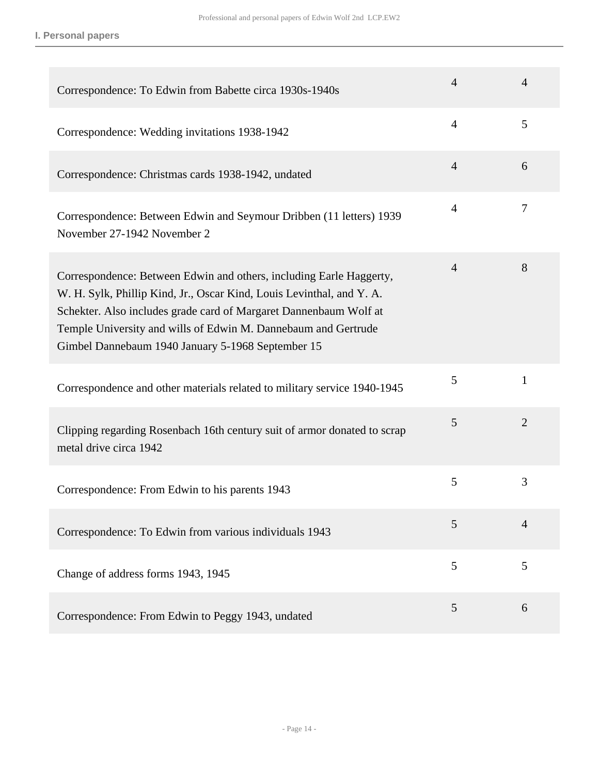**I. Personal papers**

| Correspondence: To Edwin from Babette circa 1930s-1940s                                                                                                                                                                                                                                                                                  | $\overline{4}$ | $\overline{4}$ |
|------------------------------------------------------------------------------------------------------------------------------------------------------------------------------------------------------------------------------------------------------------------------------------------------------------------------------------------|----------------|----------------|
| Correspondence: Wedding invitations 1938-1942                                                                                                                                                                                                                                                                                            | $\overline{4}$ | 5              |
| Correspondence: Christmas cards 1938-1942, undated                                                                                                                                                                                                                                                                                       | $\overline{4}$ | 6              |
| Correspondence: Between Edwin and Seymour Dribben (11 letters) 1939<br>November 27-1942 November 2                                                                                                                                                                                                                                       | $\overline{4}$ | 7              |
| Correspondence: Between Edwin and others, including Earle Haggerty,<br>W. H. Sylk, Phillip Kind, Jr., Oscar Kind, Louis Levinthal, and Y. A.<br>Schekter. Also includes grade card of Margaret Dannenbaum Wolf at<br>Temple University and wills of Edwin M. Dannebaum and Gertrude<br>Gimbel Dannebaum 1940 January 5-1968 September 15 | $\overline{4}$ | 8              |
| Correspondence and other materials related to military service 1940-1945                                                                                                                                                                                                                                                                 | 5              | $\mathbf{1}$   |
| Clipping regarding Rosenbach 16th century suit of armor donated to scrap<br>metal drive circa 1942                                                                                                                                                                                                                                       | 5              | $\overline{2}$ |
| Correspondence: From Edwin to his parents 1943                                                                                                                                                                                                                                                                                           | 5              | 3              |
| Correspondence: To Edwin from various individuals 1943                                                                                                                                                                                                                                                                                   | 5              | $\overline{4}$ |
| Change of address forms 1943, 1945                                                                                                                                                                                                                                                                                                       | 5              | 5              |
| Correspondence: From Edwin to Peggy 1943, undated                                                                                                                                                                                                                                                                                        | 5              | 6              |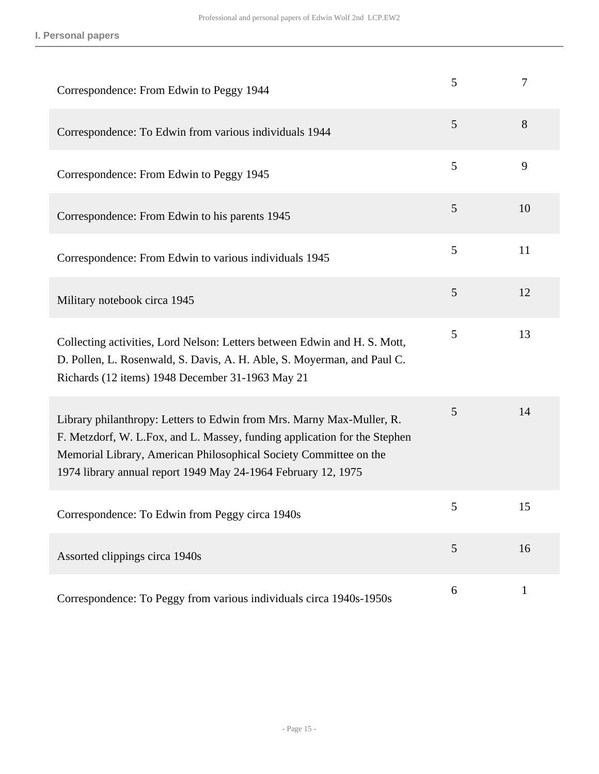| Correspondence: From Edwin to Peggy 1944                                                                                                                                                                                                                                                 | 5 | 7            |
|------------------------------------------------------------------------------------------------------------------------------------------------------------------------------------------------------------------------------------------------------------------------------------------|---|--------------|
| Correspondence: To Edwin from various individuals 1944                                                                                                                                                                                                                                   | 5 | 8            |
| Correspondence: From Edwin to Peggy 1945                                                                                                                                                                                                                                                 | 5 | 9            |
| Correspondence: From Edwin to his parents 1945                                                                                                                                                                                                                                           | 5 | 10           |
| Correspondence: From Edwin to various individuals 1945                                                                                                                                                                                                                                   | 5 | 11           |
| Military notebook circa 1945                                                                                                                                                                                                                                                             | 5 | 12           |
| Collecting activities, Lord Nelson: Letters between Edwin and H. S. Mott,<br>D. Pollen, L. Rosenwald, S. Davis, A. H. Able, S. Moyerman, and Paul C.<br>Richards (12 items) 1948 December 31-1963 May 21                                                                                 | 5 | 13           |
| Library philanthropy: Letters to Edwin from Mrs. Marny Max-Muller, R.<br>F. Metzdorf, W. L.Fox, and L. Massey, funding application for the Stephen<br>Memorial Library, American Philosophical Society Committee on the<br>1974 library annual report 1949 May 24-1964 February 12, 1975 | 5 | 14           |
| Correspondence: To Edwin from Peggy circa 1940s                                                                                                                                                                                                                                          | 5 | 15           |
| Assorted clippings circa 1940s                                                                                                                                                                                                                                                           | 5 | 16           |
| Correspondence: To Peggy from various individuals circa 1940s-1950s                                                                                                                                                                                                                      | 6 | $\mathbf{1}$ |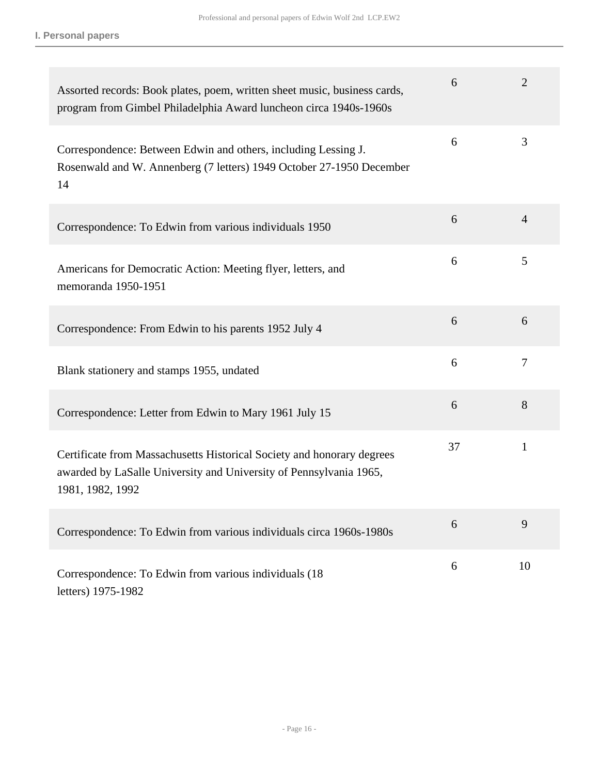**I. Personal papers**

| Assorted records: Book plates, poem, written sheet music, business cards,<br>program from Gimbel Philadelphia Award luncheon circa 1940s-1960s                   | 6  | $\overline{2}$ |
|------------------------------------------------------------------------------------------------------------------------------------------------------------------|----|----------------|
| Correspondence: Between Edwin and others, including Lessing J.<br>Rosenwald and W. Annenberg (7 letters) 1949 October 27-1950 December<br>14                     | 6  | 3              |
| Correspondence: To Edwin from various individuals 1950                                                                                                           | 6  | $\overline{4}$ |
| Americans for Democratic Action: Meeting flyer, letters, and<br>memoranda 1950-1951                                                                              | 6  | 5              |
| Correspondence: From Edwin to his parents 1952 July 4                                                                                                            | 6  | 6              |
| Blank stationery and stamps 1955, undated                                                                                                                        | 6  | $\overline{7}$ |
| Correspondence: Letter from Edwin to Mary 1961 July 15                                                                                                           | 6  | 8              |
| Certificate from Massachusetts Historical Society and honorary degrees<br>awarded by LaSalle University and University of Pennsylvania 1965,<br>1981, 1982, 1992 | 37 | $\mathbf{1}$   |
| Correspondence: To Edwin from various individuals circa 1960s-1980s                                                                                              | 6  | 9              |
| Correspondence: To Edwin from various individuals (18)<br>letters) 1975-1982                                                                                     | 6  | 10             |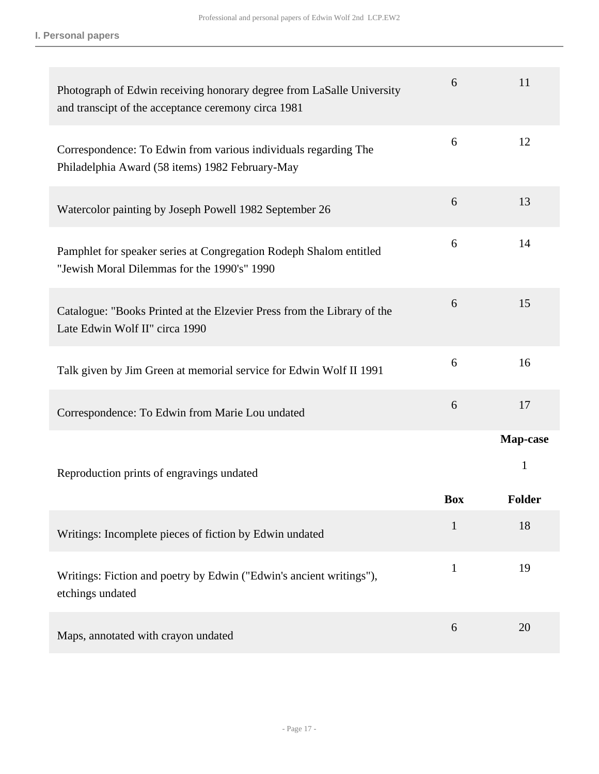| Photograph of Edwin receiving honorary degree from LaSalle University<br>and transcipt of the acceptance ceremony circa 1981 | 6            | 11                             |
|------------------------------------------------------------------------------------------------------------------------------|--------------|--------------------------------|
| Correspondence: To Edwin from various individuals regarding The<br>Philadelphia Award (58 items) 1982 February-May           | 6            | 12                             |
| Watercolor painting by Joseph Powell 1982 September 26                                                                       | 6            | 13                             |
| Pamphlet for speaker series at Congregation Rodeph Shalom entitled<br>"Jewish Moral Dilemmas for the 1990's" 1990            | 6            | 14                             |
| Catalogue: "Books Printed at the Elzevier Press from the Library of the<br>Late Edwin Wolf II" circa 1990                    | 6            | 15                             |
| Talk given by Jim Green at memorial service for Edwin Wolf II 1991                                                           | 6            | 16                             |
| Correspondence: To Edwin from Marie Lou undated                                                                              | 6            | 17                             |
| Reproduction prints of engravings undated                                                                                    | <b>Box</b>   | Map-case<br>1<br><b>Folder</b> |
| Writings: Incomplete pieces of fiction by Edwin undated                                                                      | 1            | 18                             |
| Writings: Fiction and poetry by Edwin ("Edwin's ancient writings"),<br>etchings undated                                      | $\mathbf{1}$ | 19                             |
| Maps, annotated with crayon undated                                                                                          | 6            | 20                             |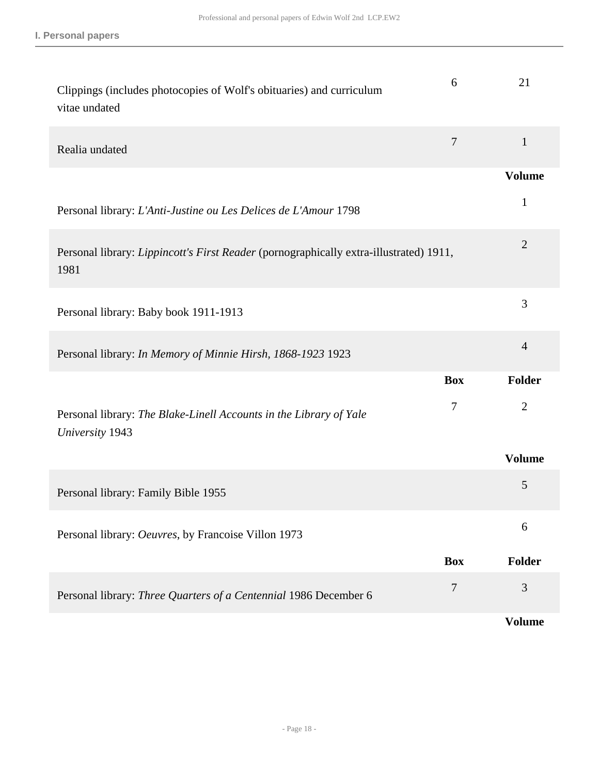| Clippings (includes photocopies of Wolf's obituaries) and curriculum<br>vitae undated          | 6                | 21             |
|------------------------------------------------------------------------------------------------|------------------|----------------|
| Realia undated                                                                                 | $\boldsymbol{7}$ | $\mathbf{1}$   |
|                                                                                                |                  | <b>Volume</b>  |
| Personal library: L'Anti-Justine ou Les Delices de L'Amour 1798                                |                  | $\mathbf{1}$   |
| Personal library: Lippincott's First Reader (pornographically extra-illustrated) 1911,<br>1981 |                  | $\overline{2}$ |
| Personal library: Baby book 1911-1913                                                          |                  | 3              |
| Personal library: In Memory of Minnie Hirsh, 1868-1923 1923                                    |                  | $\overline{4}$ |
|                                                                                                | <b>Box</b>       | Folder         |
| Personal library: The Blake-Linell Accounts in the Library of Yale<br>University 1943          | 7                | $\overline{2}$ |
|                                                                                                |                  | <b>Volume</b>  |
| Personal library: Family Bible 1955                                                            |                  | 5              |
| Personal library: Oeuvres, by Francoise Villon 1973                                            |                  | 6              |
|                                                                                                | <b>Box</b>       | Folder         |
| Personal library: Three Quarters of a Centennial 1986 December 6                               | $\boldsymbol{7}$ | 3              |
|                                                                                                |                  | <b>Volume</b>  |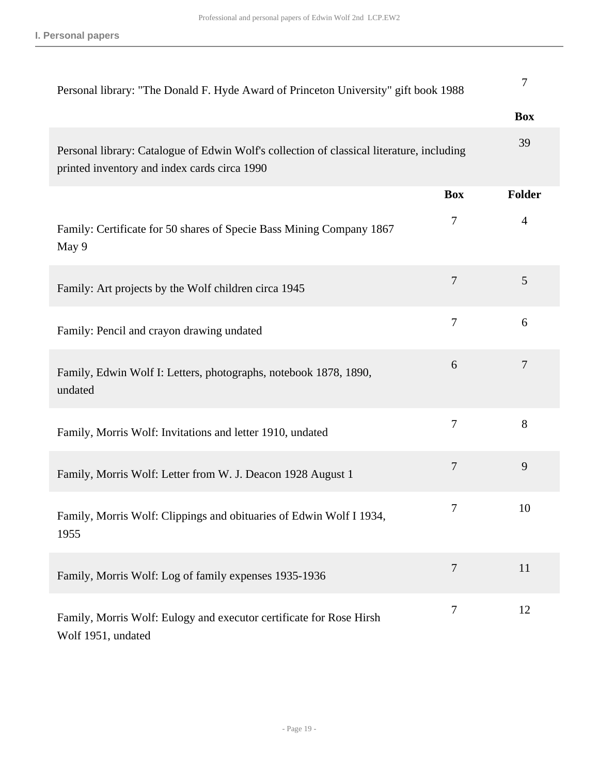| Personal library: "The Donald F. Hyde Award of Princeton University" gift book 1988                                                       |                | 7             |
|-------------------------------------------------------------------------------------------------------------------------------------------|----------------|---------------|
|                                                                                                                                           |                | <b>Box</b>    |
| Personal library: Catalogue of Edwin Wolf's collection of classical literature, including<br>printed inventory and index cards circa 1990 |                | 39            |
|                                                                                                                                           | <b>Box</b>     | <b>Folder</b> |
| Family: Certificate for 50 shares of Specie Bass Mining Company 1867<br>May 9                                                             | $\tau$         | 4             |
| Family: Art projects by the Wolf children circa 1945                                                                                      | $\tau$         | 5             |
| Family: Pencil and crayon drawing undated                                                                                                 | $\overline{7}$ | 6             |
| Family, Edwin Wolf I: Letters, photographs, notebook 1878, 1890,<br>undated                                                               | 6              | 7             |
| Family, Morris Wolf: Invitations and letter 1910, undated                                                                                 | $\tau$         | 8             |
| Family, Morris Wolf: Letter from W. J. Deacon 1928 August 1                                                                               | $\overline{7}$ | 9             |
| Family, Morris Wolf: Clippings and obituaries of Edwin Wolf I 1934,<br>1955                                                               | $\overline{7}$ | 10            |
| Family, Morris Wolf: Log of family expenses 1935-1936                                                                                     | $\tau$         | 11            |
| Family, Morris Wolf: Eulogy and executor certificate for Rose Hirsh<br>Wolf 1951, undated                                                 | 7              | 12            |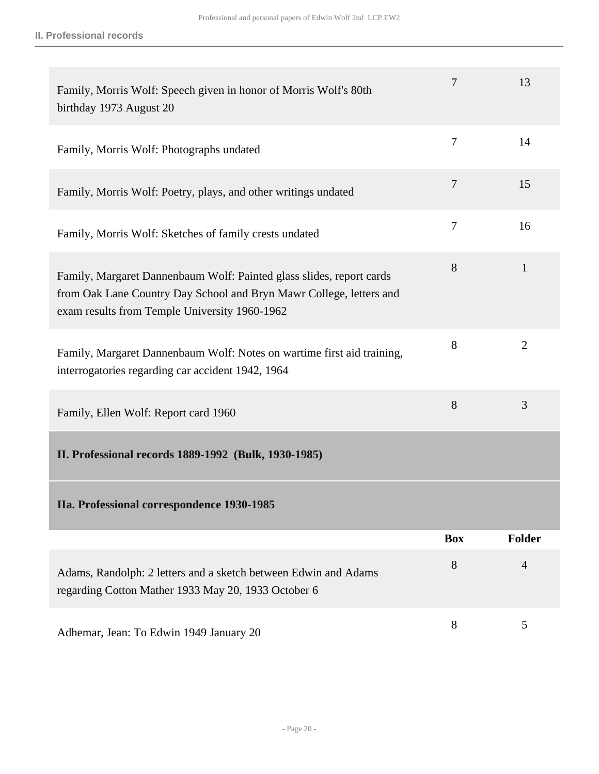<span id="page-19-0"></span>

| Family, Morris Wolf: Speech given in honor of Morris Wolf's 80th<br>birthday 1973 August 20                                                                                                  | 7              | 13             |
|----------------------------------------------------------------------------------------------------------------------------------------------------------------------------------------------|----------------|----------------|
| Family, Morris Wolf: Photographs undated                                                                                                                                                     | $\overline{7}$ | 14             |
| Family, Morris Wolf: Poetry, plays, and other writings undated                                                                                                                               | 7              | 15             |
| Family, Morris Wolf: Sketches of family crests undated                                                                                                                                       | 7              | 16             |
| Family, Margaret Dannenbaum Wolf: Painted glass slides, report cards<br>from Oak Lane Country Day School and Bryn Mawr College, letters and<br>exam results from Temple University 1960-1962 | 8              | $\mathbf{1}$   |
| Family, Margaret Dannenbaum Wolf: Notes on wartime first aid training,<br>interrogatories regarding car accident 1942, 1964                                                                  | 8              | $\overline{2}$ |
| Family, Ellen Wolf: Report card 1960                                                                                                                                                         | 8              | 3              |
| II. Professional records 1889-1992 (Bulk, 1930-1985)                                                                                                                                         |                |                |
| IIa. Professional correspondence 1930-1985                                                                                                                                                   |                |                |
|                                                                                                                                                                                              | <b>Box</b>     | Folder         |
| Adams, Randolph: 2 letters and a sketch between Edwin and Adams<br>regarding Cotton Mather 1933 May 20, 1933 October 6                                                                       | 8              | $\overline{4}$ |
| Adhemar, Jean: To Edwin 1949 January 20                                                                                                                                                      | 8              | 5              |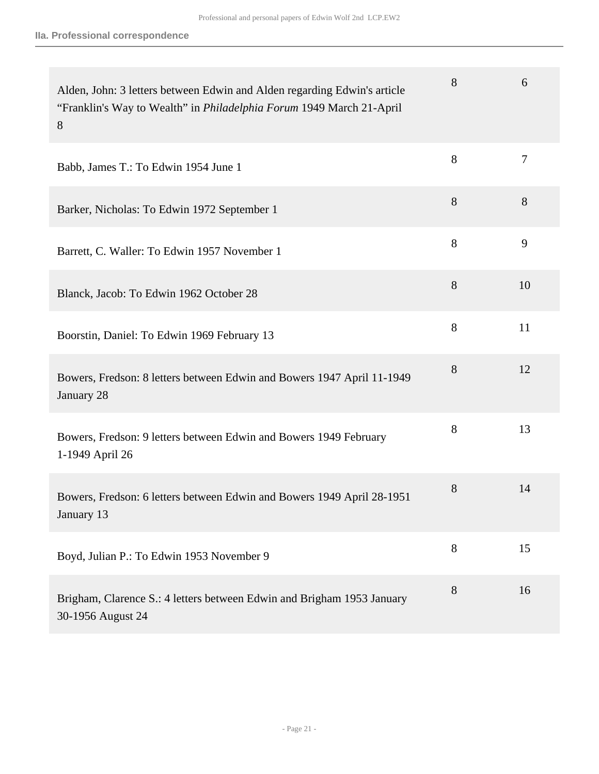| Alden, John: 3 letters between Edwin and Alden regarding Edwin's article<br>"Franklin's Way to Wealth" in <i>Philadelphia Forum</i> 1949 March 21-April<br>8 | 8 | 6              |
|--------------------------------------------------------------------------------------------------------------------------------------------------------------|---|----------------|
| Babb, James T.: To Edwin 1954 June 1                                                                                                                         | 8 | $\overline{7}$ |
| Barker, Nicholas: To Edwin 1972 September 1                                                                                                                  | 8 | 8              |
| Barrett, C. Waller: To Edwin 1957 November 1                                                                                                                 | 8 | 9              |
| Blanck, Jacob: To Edwin 1962 October 28                                                                                                                      | 8 | 10             |
| Boorstin, Daniel: To Edwin 1969 February 13                                                                                                                  | 8 | 11             |
| Bowers, Fredson: 8 letters between Edwin and Bowers 1947 April 11-1949<br>January 28                                                                         | 8 | 12             |
| Bowers, Fredson: 9 letters between Edwin and Bowers 1949 February<br>1-1949 April 26                                                                         | 8 | 13             |
| Bowers, Fredson: 6 letters between Edwin and Bowers 1949 April 28-1951<br>January 13                                                                         | 8 | 14             |
| Boyd, Julian P.: To Edwin 1953 November 9                                                                                                                    | 8 | 15             |
| Brigham, Clarence S.: 4 letters between Edwin and Brigham 1953 January<br>30-1956 August 24                                                                  | 8 | 16             |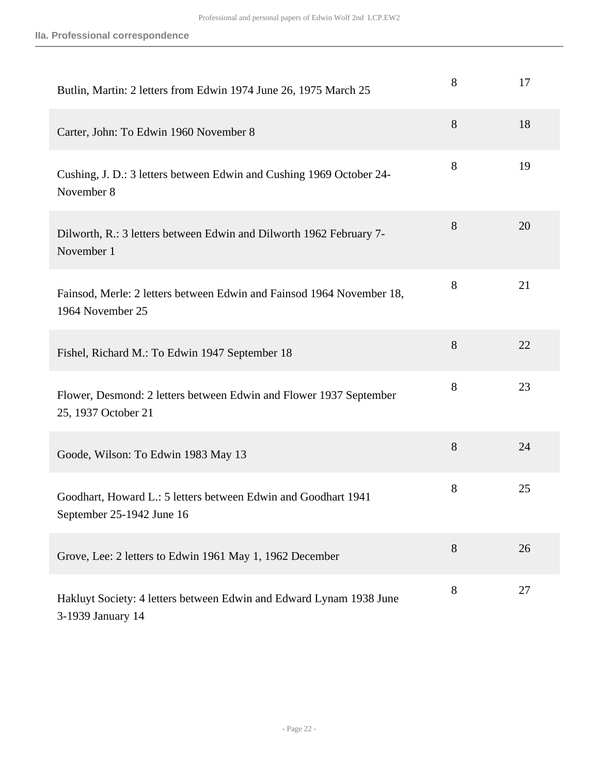| Butlin, Martin: 2 letters from Edwin 1974 June 26, 1975 March 25                            | 8     | 17 |
|---------------------------------------------------------------------------------------------|-------|----|
| Carter, John: To Edwin 1960 November 8                                                      | 8     | 18 |
| Cushing, J. D.: 3 letters between Edwin and Cushing 1969 October 24-<br>November 8          | 8     | 19 |
| Dilworth, R.: 3 letters between Edwin and Dilworth 1962 February 7-<br>November 1           | 8     | 20 |
| Fainsod, Merle: 2 letters between Edwin and Fainsod 1964 November 18,<br>1964 November 25   | 8     | 21 |
| Fishel, Richard M.: To Edwin 1947 September 18                                              | 8     | 22 |
| Flower, Desmond: 2 letters between Edwin and Flower 1937 September<br>25, 1937 October 21   | 8     | 23 |
| Goode, Wilson: To Edwin 1983 May 13                                                         | 8     | 24 |
| Goodhart, Howard L.: 5 letters between Edwin and Goodhart 1941<br>September 25-1942 June 16 | $8\,$ | 25 |
| Grove, Lee: 2 letters to Edwin 1961 May 1, 1962 December                                    | 8     | 26 |
| Hakluyt Society: 4 letters between Edwin and Edward Lynam 1938 June<br>3-1939 January 14    | 8     | 27 |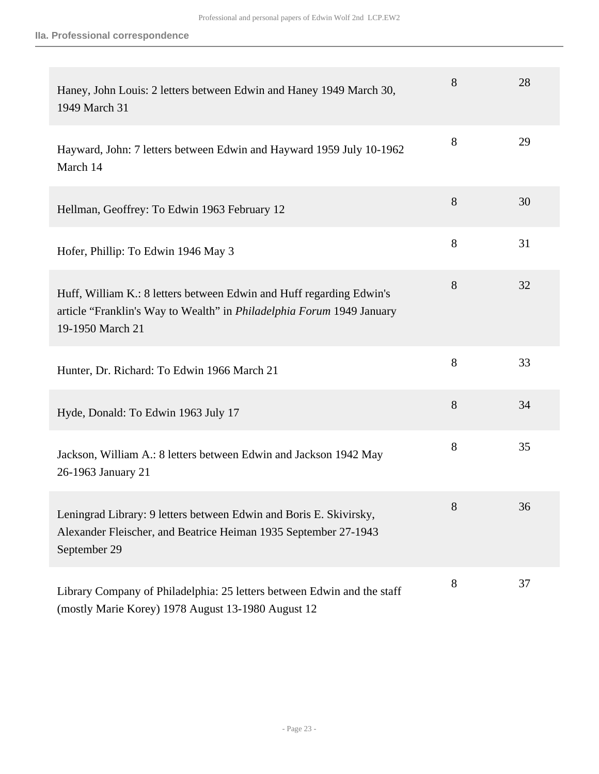| Haney, John Louis: 2 letters between Edwin and Haney 1949 March 30,<br>1949 March 31                                                                                     | 8 | 28 |
|--------------------------------------------------------------------------------------------------------------------------------------------------------------------------|---|----|
| Hayward, John: 7 letters between Edwin and Hayward 1959 July 10-1962<br>March 14                                                                                         | 8 | 29 |
| Hellman, Geoffrey: To Edwin 1963 February 12                                                                                                                             | 8 | 30 |
| Hofer, Phillip: To Edwin 1946 May 3                                                                                                                                      | 8 | 31 |
| Huff, William K.: 8 letters between Edwin and Huff regarding Edwin's<br>article "Franklin's Way to Wealth" in <i>Philadelphia Forum</i> 1949 January<br>19-1950 March 21 | 8 | 32 |
| Hunter, Dr. Richard: To Edwin 1966 March 21                                                                                                                              | 8 | 33 |
| Hyde, Donald: To Edwin 1963 July 17                                                                                                                                      | 8 | 34 |
| Jackson, William A.: 8 letters between Edwin and Jackson 1942 May<br>26-1963 January 21                                                                                  | 8 | 35 |
| Leningrad Library: 9 letters between Edwin and Boris E. Skivirsky,<br>Alexander Fleischer, and Beatrice Heiman 1935 September 27-1943<br>September 29                    | 8 | 36 |
| Library Company of Philadelphia: 25 letters between Edwin and the staff<br>(mostly Marie Korey) 1978 August 13-1980 August 12                                            | 8 | 37 |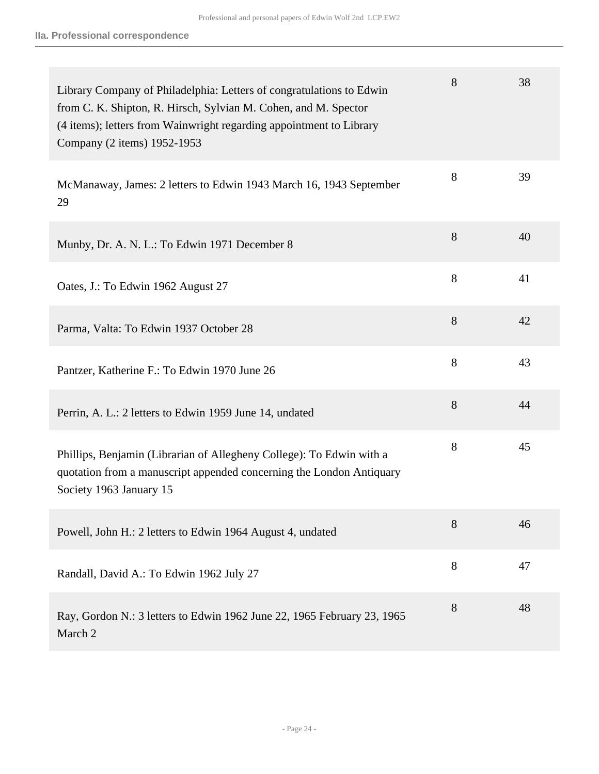| Library Company of Philadelphia: Letters of congratulations to Edwin<br>from C. K. Shipton, R. Hirsch, Sylvian M. Cohen, and M. Spector<br>(4 items); letters from Wainwright regarding appointment to Library<br>Company (2 items) 1952-1953 | 8 | 38 |
|-----------------------------------------------------------------------------------------------------------------------------------------------------------------------------------------------------------------------------------------------|---|----|
| McManaway, James: 2 letters to Edwin 1943 March 16, 1943 September<br>29                                                                                                                                                                      | 8 | 39 |
| Munby, Dr. A. N. L.: To Edwin 1971 December 8                                                                                                                                                                                                 | 8 | 40 |
| Oates, J.: To Edwin 1962 August 27                                                                                                                                                                                                            | 8 | 41 |
| Parma, Valta: To Edwin 1937 October 28                                                                                                                                                                                                        | 8 | 42 |
| Pantzer, Katherine F.: To Edwin 1970 June 26                                                                                                                                                                                                  | 8 | 43 |
| Perrin, A. L.: 2 letters to Edwin 1959 June 14, undated                                                                                                                                                                                       | 8 | 44 |
| Phillips, Benjamin (Librarian of Allegheny College): To Edwin with a<br>quotation from a manuscript appended concerning the London Antiquary<br>Society 1963 January 15                                                                       | 8 | 45 |
| Powell, John H.: 2 letters to Edwin 1964 August 4, undated                                                                                                                                                                                    | 8 | 46 |
| Randall, David A.: To Edwin 1962 July 27                                                                                                                                                                                                      | 8 | 47 |
| Ray, Gordon N.: 3 letters to Edwin 1962 June 22, 1965 February 23, 1965<br>March 2                                                                                                                                                            | 8 | 48 |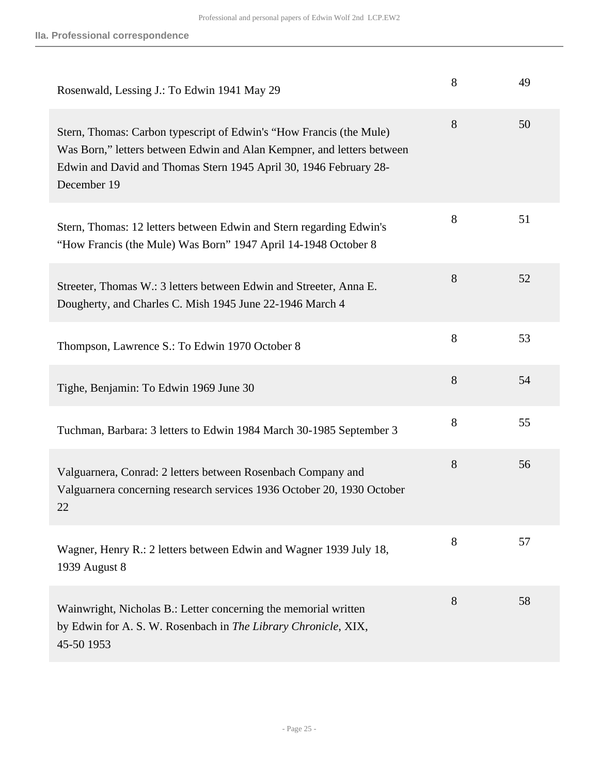| Rosenwald, Lessing J.: To Edwin 1941 May 29                                                                                                                                                                                       | 8 | 49 |
|-----------------------------------------------------------------------------------------------------------------------------------------------------------------------------------------------------------------------------------|---|----|
| Stern, Thomas: Carbon typescript of Edwin's "How Francis (the Mule)<br>Was Born," letters between Edwin and Alan Kempner, and letters between<br>Edwin and David and Thomas Stern 1945 April 30, 1946 February 28-<br>December 19 | 8 | 50 |
| Stern, Thomas: 12 letters between Edwin and Stern regarding Edwin's<br>"How Francis (the Mule) Was Born" 1947 April 14-1948 October 8                                                                                             | 8 | 51 |
| Streeter, Thomas W.: 3 letters between Edwin and Streeter, Anna E.<br>Dougherty, and Charles C. Mish 1945 June 22-1946 March 4                                                                                                    | 8 | 52 |
| Thompson, Lawrence S.: To Edwin 1970 October 8                                                                                                                                                                                    | 8 | 53 |
| Tighe, Benjamin: To Edwin 1969 June 30                                                                                                                                                                                            | 8 | 54 |
| Tuchman, Barbara: 3 letters to Edwin 1984 March 30-1985 September 3                                                                                                                                                               | 8 | 55 |
| Valguarnera, Conrad: 2 letters between Rosenbach Company and<br>Valguarnera concerning research services 1936 October 20, 1930 October<br>22                                                                                      | 8 | 56 |
| Wagner, Henry R.: 2 letters between Edwin and Wagner 1939 July 18,<br>1939 August 8                                                                                                                                               | 8 | 57 |
| Wainwright, Nicholas B.: Letter concerning the memorial written<br>by Edwin for A. S. W. Rosenbach in The Library Chronicle, XIX,<br>45-50 1953                                                                                   | 8 | 58 |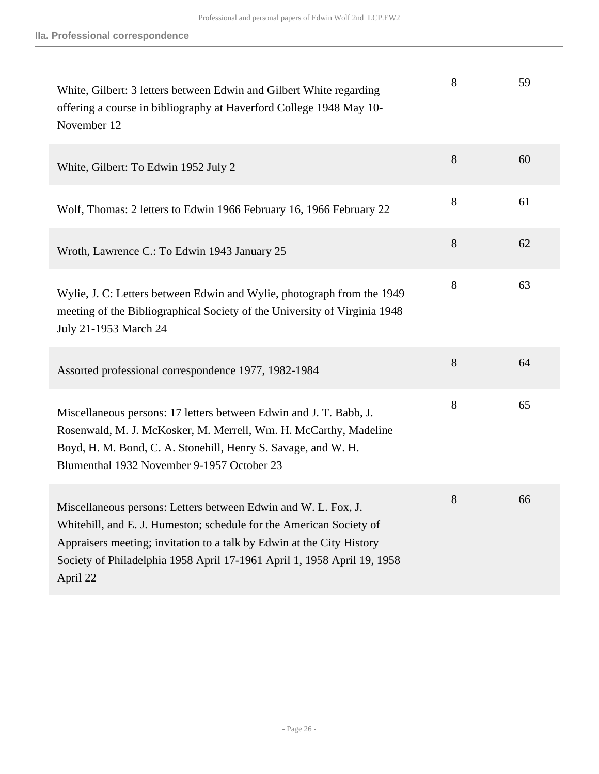| White, Gilbert: 3 letters between Edwin and Gilbert White regarding<br>offering a course in bibliography at Haverford College 1948 May 10-<br>November 12                                                                                                                                             | 8 | 59 |
|-------------------------------------------------------------------------------------------------------------------------------------------------------------------------------------------------------------------------------------------------------------------------------------------------------|---|----|
| White, Gilbert: To Edwin 1952 July 2                                                                                                                                                                                                                                                                  | 8 | 60 |
| Wolf, Thomas: 2 letters to Edwin 1966 February 16, 1966 February 22                                                                                                                                                                                                                                   | 8 | 61 |
| Wroth, Lawrence C.: To Edwin 1943 January 25                                                                                                                                                                                                                                                          | 8 | 62 |
| Wylie, J. C: Letters between Edwin and Wylie, photograph from the 1949<br>meeting of the Bibliographical Society of the University of Virginia 1948<br>July 21-1953 March 24                                                                                                                          | 8 | 63 |
| Assorted professional correspondence 1977, 1982-1984                                                                                                                                                                                                                                                  | 8 | 64 |
| Miscellaneous persons: 17 letters between Edwin and J. T. Babb, J.<br>Rosenwald, M. J. McKosker, M. Merrell, Wm. H. McCarthy, Madeline<br>Boyd, H. M. Bond, C. A. Stonehill, Henry S. Savage, and W. H.<br>Blumenthal 1932 November 9-1957 October 23                                                 | 8 | 65 |
| Miscellaneous persons: Letters between Edwin and W. L. Fox, J.<br>Whitehill, and E. J. Humeston; schedule for the American Society of<br>Appraisers meeting; invitation to a talk by Edwin at the City History<br>Society of Philadelphia 1958 April 17-1961 April 1, 1958 April 19, 1958<br>April 22 | 8 | 66 |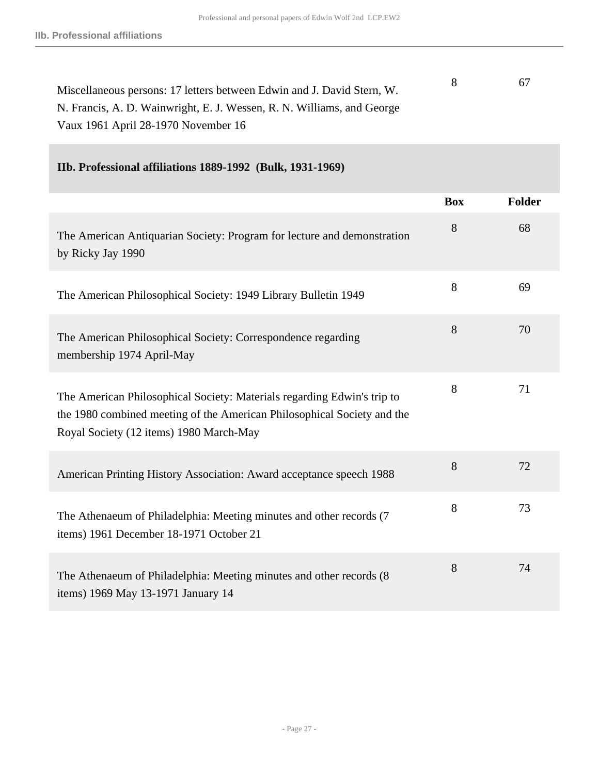| Miscellaneous persons: 17 letters between Edwin and J. David Stern, W. | 67 |
|------------------------------------------------------------------------|----|
| N. Francis, A. D. Wainwright, E. J. Wessen, R. N. Williams, and George |    |
| Vaux 1961 April 28-1970 November 16                                    |    |

### **IIb. Professional affiliations 1889-1992 (Bulk, 1931-1969)**

|                                                                                                                                                                                               | <b>Box</b> | Folder |
|-----------------------------------------------------------------------------------------------------------------------------------------------------------------------------------------------|------------|--------|
| The American Antiquarian Society: Program for lecture and demonstration<br>by Ricky Jay 1990                                                                                                  | 8          | 68     |
| The American Philosophical Society: 1949 Library Bulletin 1949                                                                                                                                | 8          | 69     |
| The American Philosophical Society: Correspondence regarding<br>membership 1974 April-May                                                                                                     | 8          | 70     |
| The American Philosophical Society: Materials regarding Edwin's trip to<br>the 1980 combined meeting of the American Philosophical Society and the<br>Royal Society (12 items) 1980 March-May | 8          | 71     |
| American Printing History Association: Award acceptance speech 1988                                                                                                                           | 8          | 72     |
| The Athenaeum of Philadelphia: Meeting minutes and other records (7)<br>items) 1961 December 18-1971 October 21                                                                               | 8          | 73     |
| The Athenaeum of Philadelphia: Meeting minutes and other records (8<br>items) 1969 May 13-1971 January 14                                                                                     | 8          | 74     |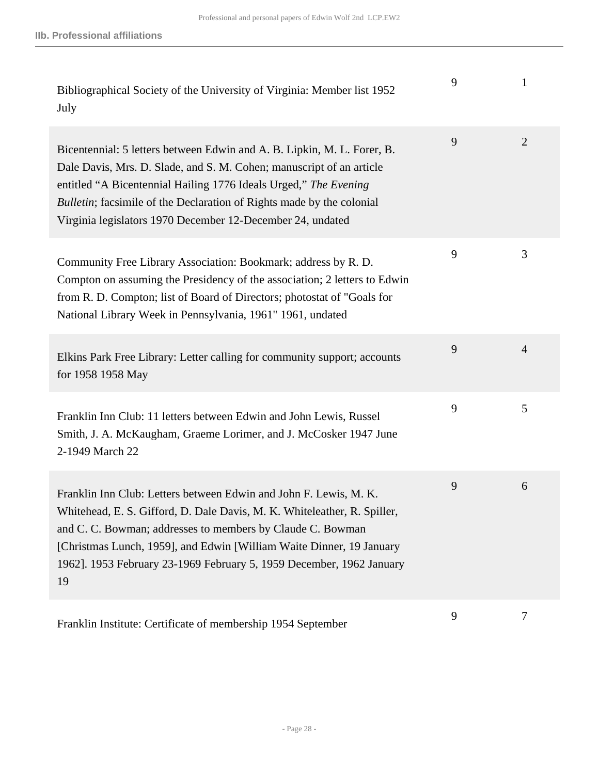| Bibliographical Society of the University of Virginia: Member list 1952<br>July                                                                                                                                                                                                                                                                                   | 9 |                |
|-------------------------------------------------------------------------------------------------------------------------------------------------------------------------------------------------------------------------------------------------------------------------------------------------------------------------------------------------------------------|---|----------------|
| Bicentennial: 5 letters between Edwin and A. B. Lipkin, M. L. Forer, B.<br>Dale Davis, Mrs. D. Slade, and S. M. Cohen; manuscript of an article<br>entitled "A Bicentennial Hailing 1776 Ideals Urged," The Evening<br>Bulletin; facsimile of the Declaration of Rights made by the colonial<br>Virginia legislators 1970 December 12-December 24, undated        | 9 | $\overline{2}$ |
| Community Free Library Association: Bookmark; address by R. D.<br>Compton on assuming the Presidency of the association; 2 letters to Edwin<br>from R. D. Compton; list of Board of Directors; photostat of "Goals for<br>National Library Week in Pennsylvania, 1961" 1961, undated                                                                              | 9 | 3              |
| Elkins Park Free Library: Letter calling for community support; accounts<br>for 1958 1958 May                                                                                                                                                                                                                                                                     | 9 | $\overline{4}$ |
| Franklin Inn Club: 11 letters between Edwin and John Lewis, Russel<br>Smith, J. A. McKaugham, Graeme Lorimer, and J. McCosker 1947 June<br>2-1949 March 22                                                                                                                                                                                                        | 9 | 5              |
| Franklin Inn Club: Letters between Edwin and John F. Lewis, M. K.<br>Whitehead, E. S. Gifford, D. Dale Davis, M. K. Whiteleather, R. Spiller,<br>and C. C. Bowman; addresses to members by Claude C. Bowman<br>[Christmas Lunch, 1959], and Edwin [William Waite Dinner, 19 January<br>1962]. 1953 February 23-1969 February 5, 1959 December, 1962 January<br>19 | 9 | 6              |
| Franklin Institute: Certificate of membership 1954 September                                                                                                                                                                                                                                                                                                      | 9 | 7              |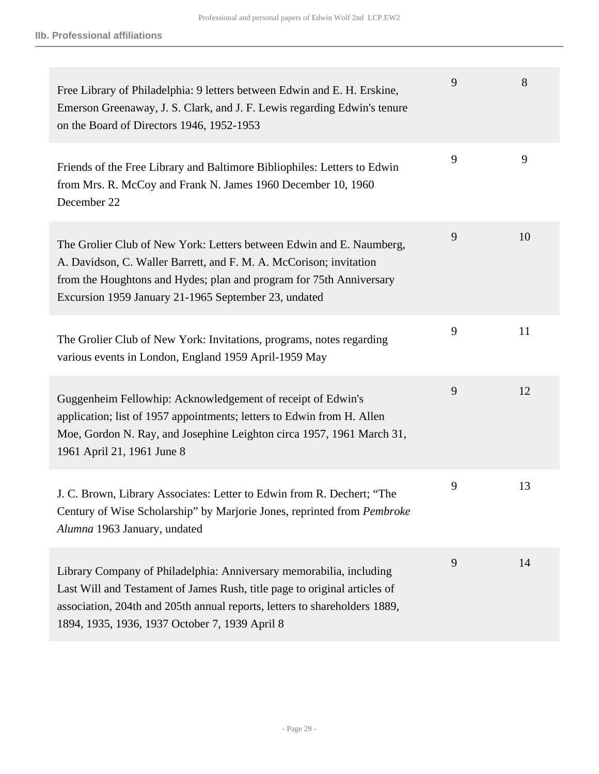| Free Library of Philadelphia: 9 letters between Edwin and E. H. Erskine,<br>Emerson Greenaway, J. S. Clark, and J. F. Lewis regarding Edwin's tenure<br>on the Board of Directors 1946, 1952-1953                                                                                | 9 | 8  |
|----------------------------------------------------------------------------------------------------------------------------------------------------------------------------------------------------------------------------------------------------------------------------------|---|----|
| Friends of the Free Library and Baltimore Bibliophiles: Letters to Edwin<br>from Mrs. R. McCoy and Frank N. James 1960 December 10, 1960<br>December 22                                                                                                                          | 9 | 9  |
| The Grolier Club of New York: Letters between Edwin and E. Naumberg,<br>A. Davidson, C. Waller Barrett, and F. M. A. McCorison; invitation<br>from the Houghtons and Hydes; plan and program for 75th Anniversary<br>Excursion 1959 January 21-1965 September 23, undated        | 9 | 10 |
| The Grolier Club of New York: Invitations, programs, notes regarding<br>various events in London, England 1959 April-1959 May                                                                                                                                                    | 9 | 11 |
| Guggenheim Fellowhip: Acknowledgement of receipt of Edwin's<br>application; list of 1957 appointments; letters to Edwin from H. Allen<br>Moe, Gordon N. Ray, and Josephine Leighton circa 1957, 1961 March 31,<br>1961 April 21, 1961 June 8                                     | 9 | 12 |
| J. C. Brown, Library Associates: Letter to Edwin from R. Dechert; "The<br>Century of Wise Scholarship" by Marjorie Jones, reprinted from Pembroke<br>Alumna 1963 January, undated                                                                                                | 9 | 13 |
| Library Company of Philadelphia: Anniversary memorabilia, including<br>Last Will and Testament of James Rush, title page to original articles of<br>association, 204th and 205th annual reports, letters to shareholders 1889,<br>1894, 1935, 1936, 1937 October 7, 1939 April 8 | 9 | 14 |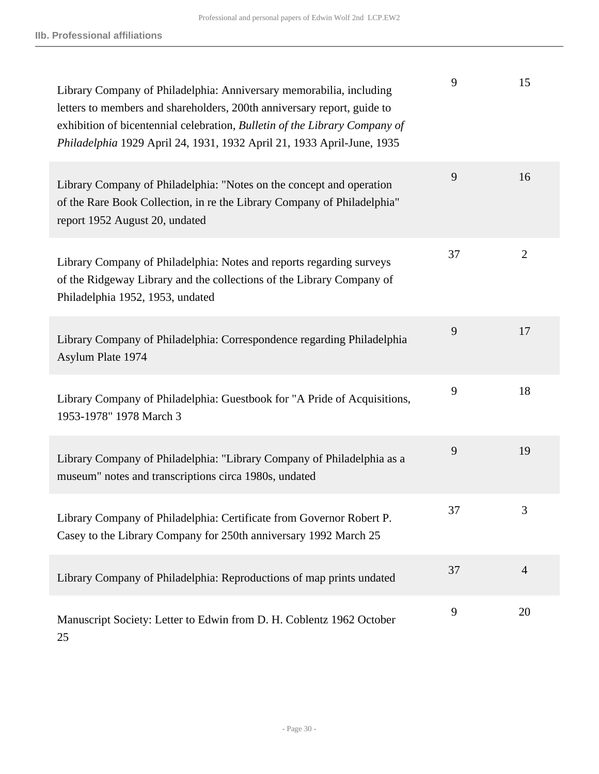| Library Company of Philadelphia: Anniversary memorabilia, including<br>letters to members and shareholders, 200th anniversary report, guide to<br>exhibition of bicentennial celebration, Bulletin of the Library Company of<br>Philadelphia 1929 April 24, 1931, 1932 April 21, 1933 April-June, 1935 | 9  | 15             |
|--------------------------------------------------------------------------------------------------------------------------------------------------------------------------------------------------------------------------------------------------------------------------------------------------------|----|----------------|
| Library Company of Philadelphia: "Notes on the concept and operation<br>of the Rare Book Collection, in re the Library Company of Philadelphia"<br>report 1952 August 20, undated                                                                                                                      | 9  | 16             |
| Library Company of Philadelphia: Notes and reports regarding surveys<br>of the Ridgeway Library and the collections of the Library Company of<br>Philadelphia 1952, 1953, undated                                                                                                                      | 37 | $\overline{2}$ |
| Library Company of Philadelphia: Correspondence regarding Philadelphia<br>Asylum Plate 1974                                                                                                                                                                                                            | 9  | 17             |
| Library Company of Philadelphia: Guestbook for "A Pride of Acquisitions,<br>1953-1978" 1978 March 3                                                                                                                                                                                                    | 9  | 18             |
| Library Company of Philadelphia: "Library Company of Philadelphia as a<br>museum" notes and transcriptions circa 1980s, undated                                                                                                                                                                        | 9  | 19             |
| Library Company of Philadelphia: Certificate from Governor Robert P.<br>Casey to the Library Company for 250th anniversary 1992 March 25                                                                                                                                                               | 37 | 3              |
| Library Company of Philadelphia: Reproductions of map prints undated                                                                                                                                                                                                                                   | 37 | $\overline{4}$ |
| Manuscript Society: Letter to Edwin from D. H. Coblentz 1962 October<br>25                                                                                                                                                                                                                             | 9  | 20             |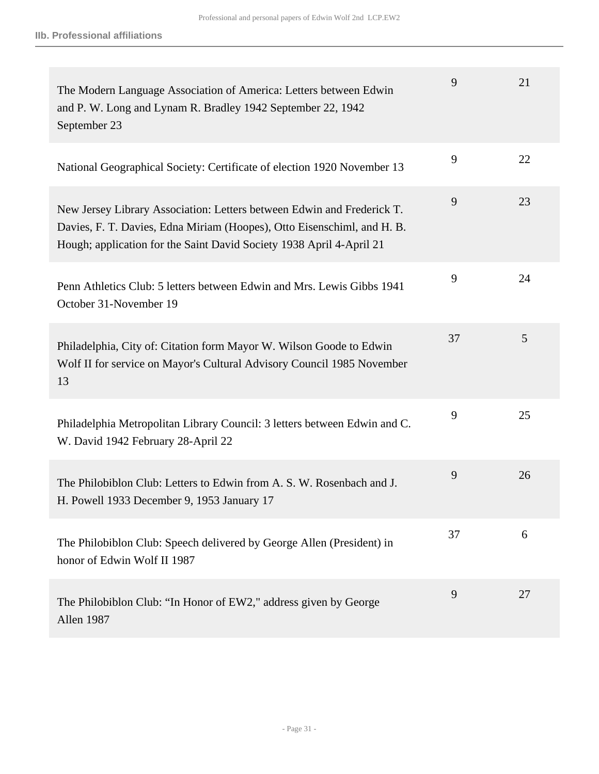| The Modern Language Association of America: Letters between Edwin<br>and P. W. Long and Lynam R. Bradley 1942 September 22, 1942<br>September 23                                                                          | 9  | 21 |
|---------------------------------------------------------------------------------------------------------------------------------------------------------------------------------------------------------------------------|----|----|
| National Geographical Society: Certificate of election 1920 November 13                                                                                                                                                   | 9  | 22 |
| New Jersey Library Association: Letters between Edwin and Frederick T.<br>Davies, F. T. Davies, Edna Miriam (Hoopes), Otto Eisenschiml, and H. B.<br>Hough; application for the Saint David Society 1938 April 4-April 21 | 9  | 23 |
| Penn Athletics Club: 5 letters between Edwin and Mrs. Lewis Gibbs 1941<br>October 31-November 19                                                                                                                          | 9  | 24 |
| Philadelphia, City of: Citation form Mayor W. Wilson Goode to Edwin<br>Wolf II for service on Mayor's Cultural Advisory Council 1985 November<br>13                                                                       | 37 | 5  |
| Philadelphia Metropolitan Library Council: 3 letters between Edwin and C.<br>W. David 1942 February 28-April 22                                                                                                           | 9  | 25 |
| The Philobiblon Club: Letters to Edwin from A. S. W. Rosenbach and J.<br>H. Powell 1933 December 9, 1953 January 17                                                                                                       | 9  | 26 |
| The Philobiblon Club: Speech delivered by George Allen (President) in<br>honor of Edwin Wolf II 1987                                                                                                                      | 37 | 6  |
| The Philobiblon Club: "In Honor of EW2," address given by George<br>Allen 1987                                                                                                                                            | 9  | 27 |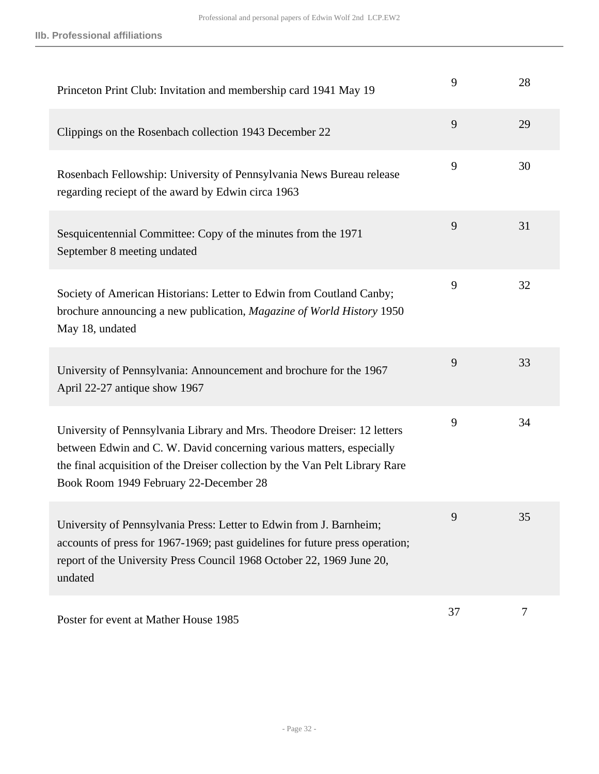| Princeton Print Club: Invitation and membership card 1941 May 19                                                                                                                                                                                                           | 9  | 28 |
|----------------------------------------------------------------------------------------------------------------------------------------------------------------------------------------------------------------------------------------------------------------------------|----|----|
| Clippings on the Rosenbach collection 1943 December 22                                                                                                                                                                                                                     | 9  | 29 |
| Rosenbach Fellowship: University of Pennsylvania News Bureau release<br>regarding reciept of the award by Edwin circa 1963                                                                                                                                                 | 9  | 30 |
| Sesquicentennial Committee: Copy of the minutes from the 1971<br>September 8 meeting undated                                                                                                                                                                               | 9  | 31 |
| Society of American Historians: Letter to Edwin from Coutland Canby;<br>brochure announcing a new publication, Magazine of World History 1950<br>May 18, undated                                                                                                           | 9  | 32 |
| University of Pennsylvania: Announcement and brochure for the 1967<br>April 22-27 antique show 1967                                                                                                                                                                        | 9  | 33 |
| University of Pennsylvania Library and Mrs. Theodore Dreiser: 12 letters<br>between Edwin and C. W. David concerning various matters, especially<br>the final acquisition of the Dreiser collection by the Van Pelt Library Rare<br>Book Room 1949 February 22-December 28 | 9  | 34 |
| University of Pennsylvania Press: Letter to Edwin from J. Barnheim;<br>accounts of press for 1967-1969; past guidelines for future press operation;<br>report of the University Press Council 1968 October 22, 1969 June 20,<br>undated                                    | 9  | 35 |
| Poster for event at Mather House 1985                                                                                                                                                                                                                                      | 37 | 7  |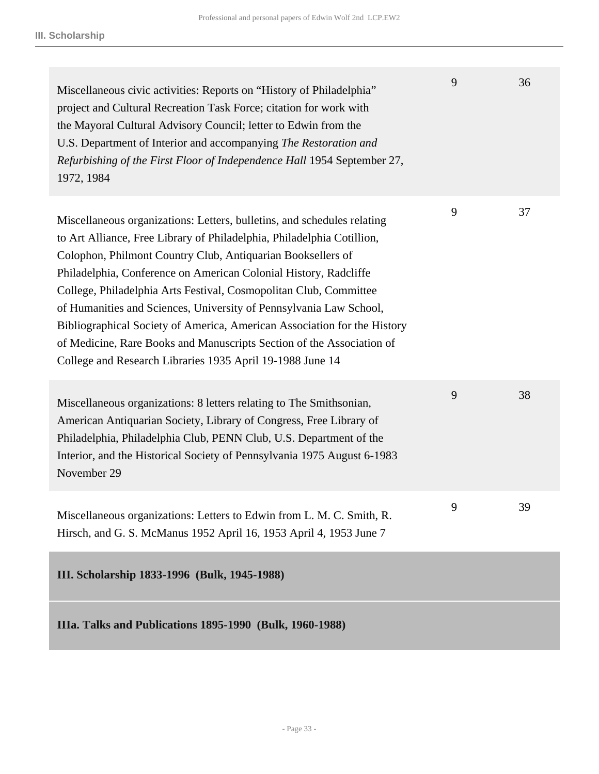<span id="page-32-0"></span>

| Miscellaneous civic activities: Reports on "History of Philadelphia"<br>project and Cultural Recreation Task Force; citation for work with<br>the Mayoral Cultural Advisory Council; letter to Edwin from the<br>U.S. Department of Interior and accompanying The Restoration and<br>Refurbishing of the First Floor of Independence Hall 1954 September 27,<br>1972, 1984                                                                                                                                                                                                                                                                        | 9 | 36 |
|---------------------------------------------------------------------------------------------------------------------------------------------------------------------------------------------------------------------------------------------------------------------------------------------------------------------------------------------------------------------------------------------------------------------------------------------------------------------------------------------------------------------------------------------------------------------------------------------------------------------------------------------------|---|----|
| Miscellaneous organizations: Letters, bulletins, and schedules relating<br>to Art Alliance, Free Library of Philadelphia, Philadelphia Cotillion,<br>Colophon, Philmont Country Club, Antiquarian Booksellers of<br>Philadelphia, Conference on American Colonial History, Radcliffe<br>College, Philadelphia Arts Festival, Cosmopolitan Club, Committee<br>of Humanities and Sciences, University of Pennsylvania Law School,<br>Bibliographical Society of America, American Association for the History<br>of Medicine, Rare Books and Manuscripts Section of the Association of<br>College and Research Libraries 1935 April 19-1988 June 14 | 9 | 37 |
| Miscellaneous organizations: 8 letters relating to The Smithsonian,<br>American Antiquarian Society, Library of Congress, Free Library of<br>Philadelphia, Philadelphia Club, PENN Club, U.S. Department of the<br>Interior, and the Historical Society of Pennsylvania 1975 August 6-1983<br>November 29                                                                                                                                                                                                                                                                                                                                         | 9 | 38 |
| Miscellaneous organizations: Letters to Edwin from L. M. C. Smith, R.<br>Hirsch, and G. S. McManus 1952 April 16, 1953 April 4, 1953 June 7                                                                                                                                                                                                                                                                                                                                                                                                                                                                                                       | 9 | 39 |
| III. Scholarship 1833-1996 (Bulk, 1945-1988)                                                                                                                                                                                                                                                                                                                                                                                                                                                                                                                                                                                                      |   |    |
| IIIa. Talks and Publications 1895-1990 (Bulk, 1960-1988)                                                                                                                                                                                                                                                                                                                                                                                                                                                                                                                                                                                          |   |    |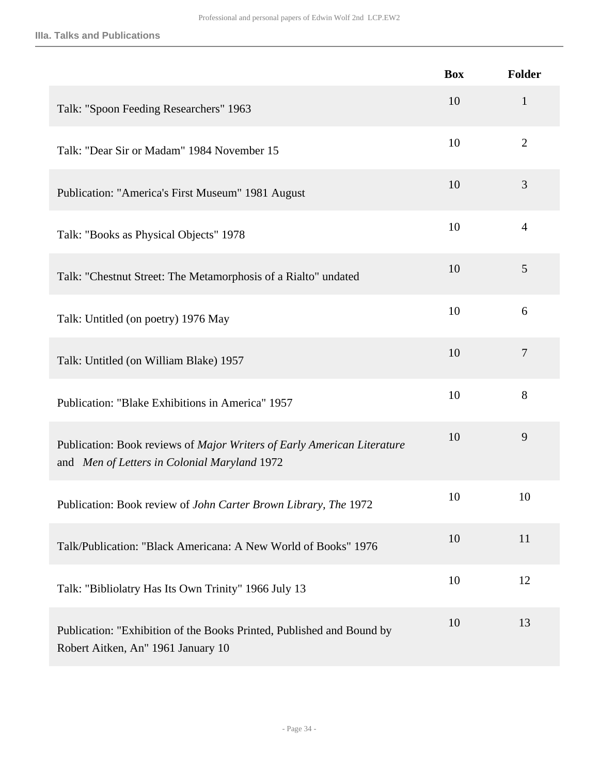#### **IIIa. Talks and Publications**

|                                                                                                                         | <b>Box</b> | <b>Folder</b>  |
|-------------------------------------------------------------------------------------------------------------------------|------------|----------------|
| Talk: "Spoon Feeding Researchers" 1963                                                                                  | 10         | $\mathbf{1}$   |
| Talk: "Dear Sir or Madam" 1984 November 15                                                                              | 10         | $\overline{2}$ |
| Publication: "America's First Museum" 1981 August                                                                       | 10         | 3              |
| Talk: "Books as Physical Objects" 1978                                                                                  | 10         | $\overline{4}$ |
| Talk: "Chestnut Street: The Metamorphosis of a Rialto" undated                                                          | 10         | 5              |
| Talk: Untitled (on poetry) 1976 May                                                                                     | 10         | 6              |
| Talk: Untitled (on William Blake) 1957                                                                                  | 10         | $\overline{7}$ |
| Publication: "Blake Exhibitions in America" 1957                                                                        | 10         | 8              |
| Publication: Book reviews of Major Writers of Early American Literature<br>and Men of Letters in Colonial Maryland 1972 | 10         | 9              |
| Publication: Book review of John Carter Brown Library, The 1972                                                         | 10         | 10             |
| Talk/Publication: "Black Americana: A New World of Books" 1976                                                          | 10         | 11             |
| Talk: "Bibliolatry Has Its Own Trinity" 1966 July 13                                                                    | 10         | 12             |
| Publication: "Exhibition of the Books Printed, Published and Bound by<br>Robert Aitken, An" 1961 January 10             | 10         | 13             |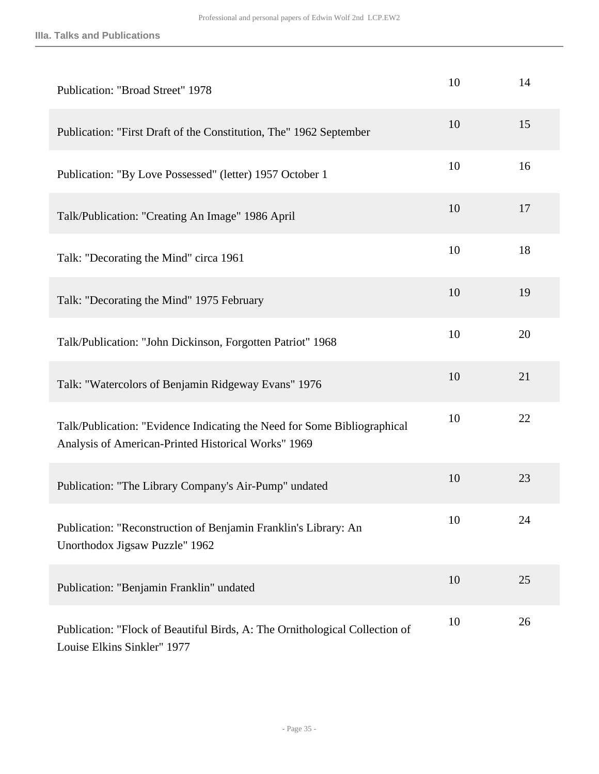| Publication: "Broad Street" 1978                                                                                                | 10 | 14 |
|---------------------------------------------------------------------------------------------------------------------------------|----|----|
| Publication: "First Draft of the Constitution, The" 1962 September                                                              | 10 | 15 |
| Publication: "By Love Possessed" (letter) 1957 October 1                                                                        | 10 | 16 |
| Talk/Publication: "Creating An Image" 1986 April                                                                                | 10 | 17 |
| Talk: "Decorating the Mind" circa 1961                                                                                          | 10 | 18 |
| Talk: "Decorating the Mind" 1975 February                                                                                       | 10 | 19 |
| Talk/Publication: "John Dickinson, Forgotten Patriot" 1968                                                                      | 10 | 20 |
| Talk: "Watercolors of Benjamin Ridgeway Evans" 1976                                                                             | 10 | 21 |
| Talk/Publication: "Evidence Indicating the Need for Some Bibliographical<br>Analysis of American-Printed Historical Works" 1969 | 10 | 22 |
| Publication: "The Library Company's Air-Pump" undated                                                                           | 10 | 23 |
| Publication: "Reconstruction of Benjamin Franklin's Library: An<br>Unorthodox Jigsaw Puzzle" 1962                               | 10 | 24 |
| Publication: "Benjamin Franklin" undated                                                                                        | 10 | 25 |
| Publication: "Flock of Beautiful Birds, A: The Ornithological Collection of<br>Louise Elkins Sinkler" 1977                      | 10 | 26 |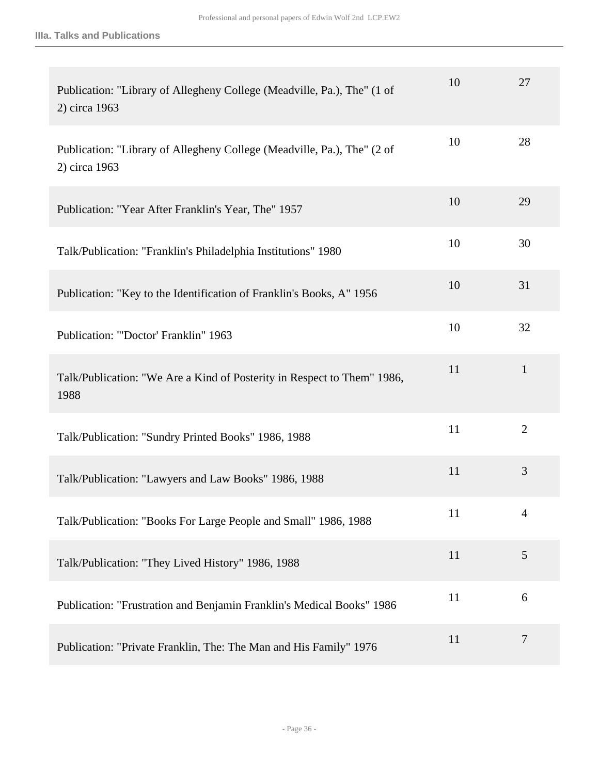| Publication: "Library of Allegheny College (Meadville, Pa.), The" (1 of<br>2) circa 1963 | 10 | 27             |
|------------------------------------------------------------------------------------------|----|----------------|
| Publication: "Library of Allegheny College (Meadville, Pa.), The" (2 of<br>2) circa 1963 | 10 | 28             |
| Publication: "Year After Franklin's Year, The" 1957                                      | 10 | 29             |
| Talk/Publication: "Franklin's Philadelphia Institutions" 1980                            | 10 | 30             |
| Publication: "Key to the Identification of Franklin's Books, A" 1956                     | 10 | 31             |
| Publication: "'Doctor' Franklin" 1963                                                    | 10 | 32             |
| Talk/Publication: "We Are a Kind of Posterity in Respect to Them" 1986,<br>1988          | 11 | $\mathbf{1}$   |
| Talk/Publication: "Sundry Printed Books" 1986, 1988                                      | 11 | $\overline{2}$ |
| Talk/Publication: "Lawyers and Law Books" 1986, 1988                                     | 11 | 3              |
| Talk/Publication: "Books For Large People and Small" 1986, 1988                          | 11 | 4              |
| Talk/Publication: "They Lived History" 1986, 1988                                        | 11 | 5              |
| Publication: "Frustration and Benjamin Franklin's Medical Books" 1986                    | 11 | 6              |
| Publication: "Private Franklin, The: The Man and His Family" 1976                        | 11 | $\overline{7}$ |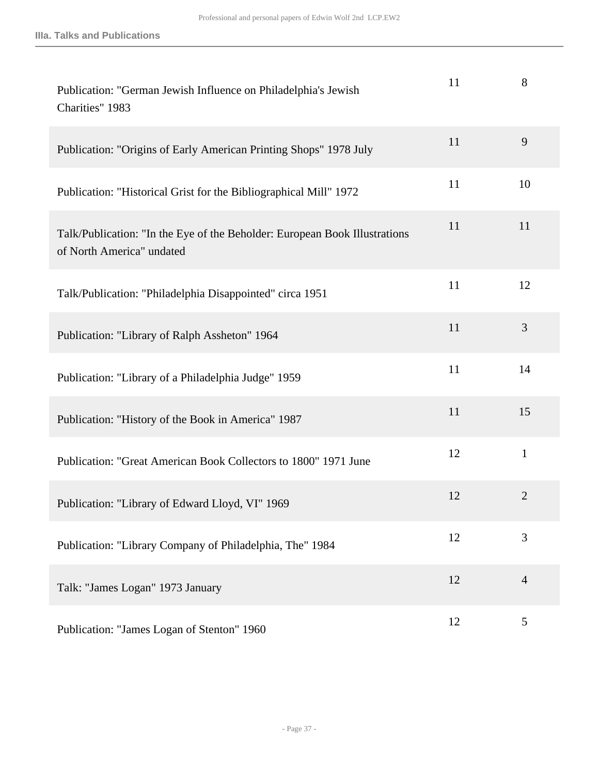| Publication: "German Jewish Influence on Philadelphia's Jewish<br>Charities" 1983                       | 11 | 8              |
|---------------------------------------------------------------------------------------------------------|----|----------------|
| Publication: "Origins of Early American Printing Shops" 1978 July                                       | 11 | 9              |
| Publication: "Historical Grist for the Bibliographical Mill" 1972                                       | 11 | 10             |
| Talk/Publication: "In the Eye of the Beholder: European Book Illustrations<br>of North America" undated | 11 | 11             |
| Talk/Publication: "Philadelphia Disappointed" circa 1951                                                | 11 | 12             |
| Publication: "Library of Ralph Assheton" 1964                                                           | 11 | 3              |
| Publication: "Library of a Philadelphia Judge" 1959                                                     | 11 | 14             |
| Publication: "History of the Book in America" 1987                                                      | 11 | 15             |
| Publication: "Great American Book Collectors to 1800" 1971 June                                         | 12 | $\mathbf{1}$   |
| Publication: "Library of Edward Lloyd, VI" 1969                                                         | 12 | $\overline{2}$ |
| Publication: "Library Company of Philadelphia, The" 1984                                                | 12 | 3              |
| Talk: "James Logan" 1973 January                                                                        | 12 | $\overline{4}$ |
| Publication: "James Logan of Stenton" 1960                                                              | 12 | 5              |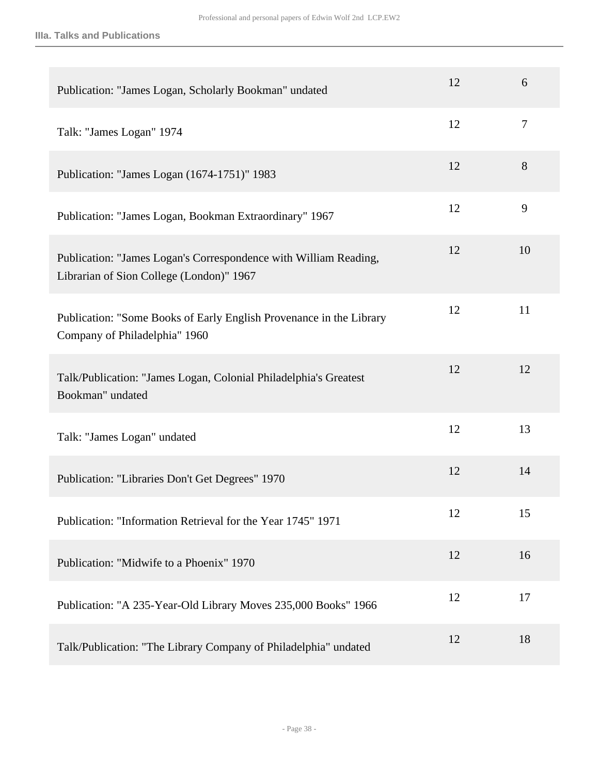| Publication: "James Logan, Scholarly Bookman" undated                                                        | 12 | 6              |
|--------------------------------------------------------------------------------------------------------------|----|----------------|
| Talk: "James Logan" 1974                                                                                     | 12 | $\overline{7}$ |
| Publication: "James Logan (1674-1751)" 1983                                                                  | 12 | 8              |
| Publication: "James Logan, Bookman Extraordinary" 1967                                                       | 12 | 9              |
| Publication: "James Logan's Correspondence with William Reading,<br>Librarian of Sion College (London)" 1967 | 12 | 10             |
| Publication: "Some Books of Early English Provenance in the Library<br>Company of Philadelphia" 1960         | 12 | 11             |
| Talk/Publication: "James Logan, Colonial Philadelphia's Greatest<br>Bookman" undated                         | 12 | 12             |
| Talk: "James Logan" undated                                                                                  | 12 | 13             |
| Publication: "Libraries Don't Get Degrees" 1970                                                              | 12 | 14             |
| Publication: "Information Retrieval for the Year 1745" 1971                                                  | 12 | 15             |
| Publication: "Midwife to a Phoenix" 1970                                                                     | 12 | 16             |
| Publication: "A 235-Year-Old Library Moves 235,000 Books" 1966                                               | 12 | 17             |
| Talk/Publication: "The Library Company of Philadelphia" undated                                              | 12 | 18             |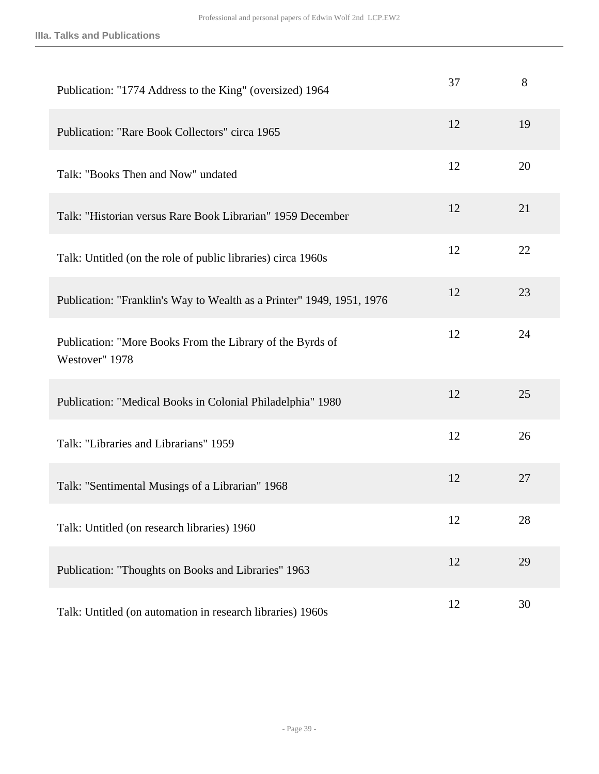| Publication: "1774 Address to the King" (oversized) 1964                    | 37 | 8  |
|-----------------------------------------------------------------------------|----|----|
| Publication: "Rare Book Collectors" circa 1965                              | 12 | 19 |
| Talk: "Books Then and Now" undated                                          | 12 | 20 |
| Talk: "Historian versus Rare Book Librarian" 1959 December                  | 12 | 21 |
| Talk: Untitled (on the role of public libraries) circa 1960s                | 12 | 22 |
| Publication: "Franklin's Way to Wealth as a Printer" 1949, 1951, 1976       | 12 | 23 |
| Publication: "More Books From the Library of the Byrds of<br>Westover" 1978 | 12 | 24 |
| Publication: "Medical Books in Colonial Philadelphia" 1980                  | 12 | 25 |
| Talk: "Libraries and Librarians" 1959                                       | 12 | 26 |
| Talk: "Sentimental Musings of a Librarian" 1968                             | 12 | 27 |
| Talk: Untitled (on research libraries) 1960                                 | 12 | 28 |
| Publication: "Thoughts on Books and Libraries" 1963                         | 12 | 29 |
| Talk: Untitled (on automation in research libraries) 1960s                  | 12 | 30 |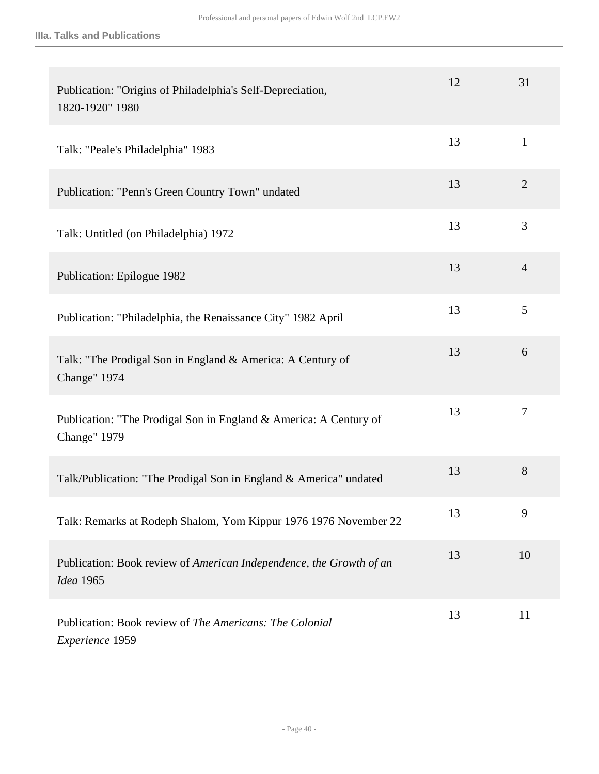| Publication: "Origins of Philadelphia's Self-Depreciation,<br>1820-1920" 1980            | 12 | 31             |
|------------------------------------------------------------------------------------------|----|----------------|
| Talk: "Peale's Philadelphia" 1983                                                        | 13 | $\mathbf{1}$   |
| Publication: "Penn's Green Country Town" undated                                         | 13 | $\overline{2}$ |
| Talk: Untitled (on Philadelphia) 1972                                                    | 13 | 3              |
| Publication: Epilogue 1982                                                               | 13 | $\overline{4}$ |
| Publication: "Philadelphia, the Renaissance City" 1982 April                             | 13 | 5              |
| Talk: "The Prodigal Son in England & America: A Century of<br>Change" 1974               | 13 | 6              |
| Publication: "The Prodigal Son in England & America: A Century of<br><b>Change"</b> 1979 | 13 | $\tau$         |
| Talk/Publication: "The Prodigal Son in England & America" undated                        | 13 | 8              |
| Talk: Remarks at Rodeph Shalom, Yom Kippur 1976 1976 November 22                         | 13 | 9              |
| Publication: Book review of American Independence, the Growth of an<br>Idea 1965         | 13 | 10             |
| Publication: Book review of The Americans: The Colonial<br>Experience 1959               | 13 | 11             |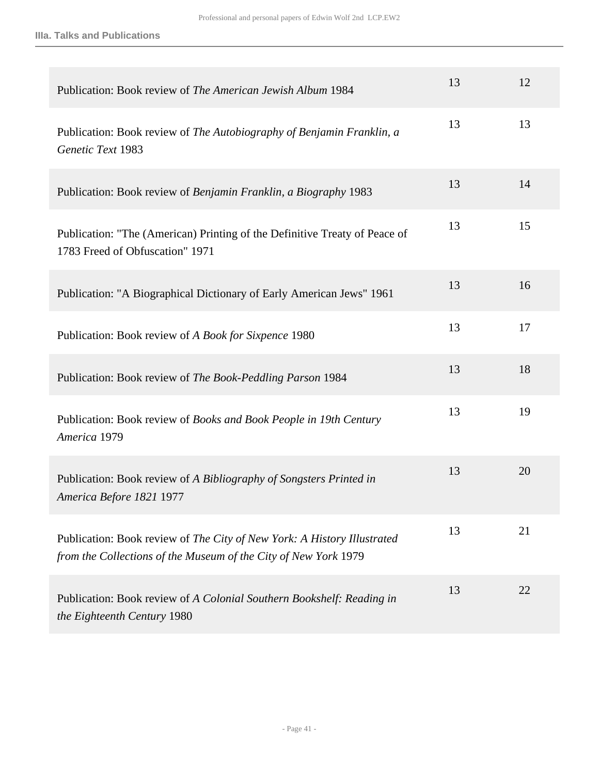| Publication: Book review of The American Jewish Album 1984                                                                                 | 13 | 12 |
|--------------------------------------------------------------------------------------------------------------------------------------------|----|----|
| Publication: Book review of The Autobiography of Benjamin Franklin, a<br>Genetic Text 1983                                                 | 13 | 13 |
| Publication: Book review of Benjamin Franklin, a Biography 1983                                                                            | 13 | 14 |
| Publication: "The (American) Printing of the Definitive Treaty of Peace of<br>1783 Freed of Obfuscation" 1971                              | 13 | 15 |
| Publication: "A Biographical Dictionary of Early American Jews" 1961                                                                       | 13 | 16 |
| Publication: Book review of A Book for Sixpence 1980                                                                                       | 13 | 17 |
| Publication: Book review of The Book-Peddling Parson 1984                                                                                  | 13 | 18 |
| Publication: Book review of Books and Book People in 19th Century<br>America 1979                                                          | 13 | 19 |
| Publication: Book review of A Bibliography of Songsters Printed in<br>America Before 1821 1977                                             | 13 | 20 |
| Publication: Book review of The City of New York: A History Illustrated<br>from the Collections of the Museum of the City of New York 1979 | 13 | 21 |
| Publication: Book review of A Colonial Southern Bookshelf: Reading in<br>the Eighteenth Century 1980                                       | 13 | 22 |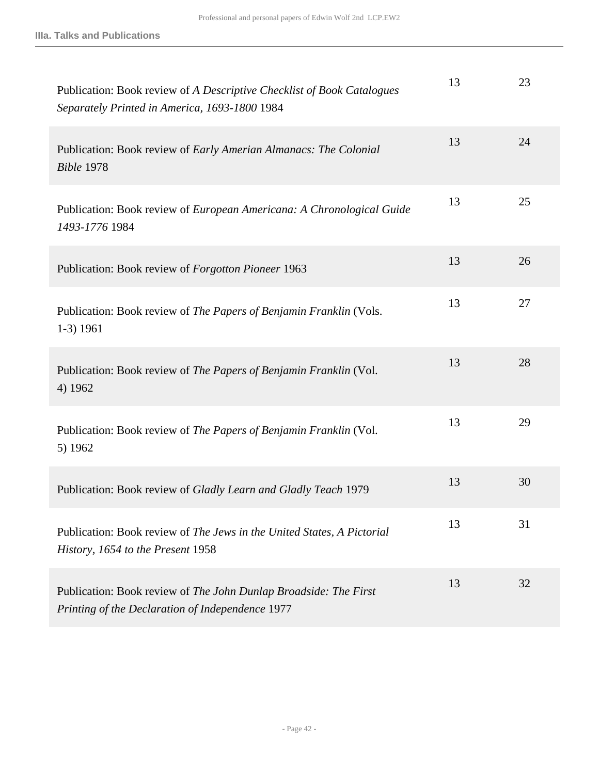| Publication: Book review of A Descriptive Checklist of Book Catalogues<br>Separately Printed in America, 1693-1800 1984 | 13 | 23 |
|-------------------------------------------------------------------------------------------------------------------------|----|----|
| Publication: Book review of Early Amerian Almanacs: The Colonial<br><b>Bible 1978</b>                                   | 13 | 24 |
| Publication: Book review of European Americana: A Chronological Guide<br>1493-1776 1984                                 | 13 | 25 |
| Publication: Book review of Forgotton Pioneer 1963                                                                      | 13 | 26 |
| Publication: Book review of The Papers of Benjamin Franklin (Vols.<br>$1-3)$ 1961                                       | 13 | 27 |
| Publication: Book review of The Papers of Benjamin Franklin (Vol.<br>4) 1962                                            | 13 | 28 |
| Publication: Book review of The Papers of Benjamin Franklin (Vol.<br>5) 1962                                            | 13 | 29 |
| Publication: Book review of Gladly Learn and Gladly Teach 1979                                                          | 13 | 30 |
| Publication: Book review of The Jews in the United States, A Pictorial<br>History, 1654 to the Present 1958             | 13 | 31 |
| Publication: Book review of The John Dunlap Broadside: The First<br>Printing of the Declaration of Independence 1977    | 13 | 32 |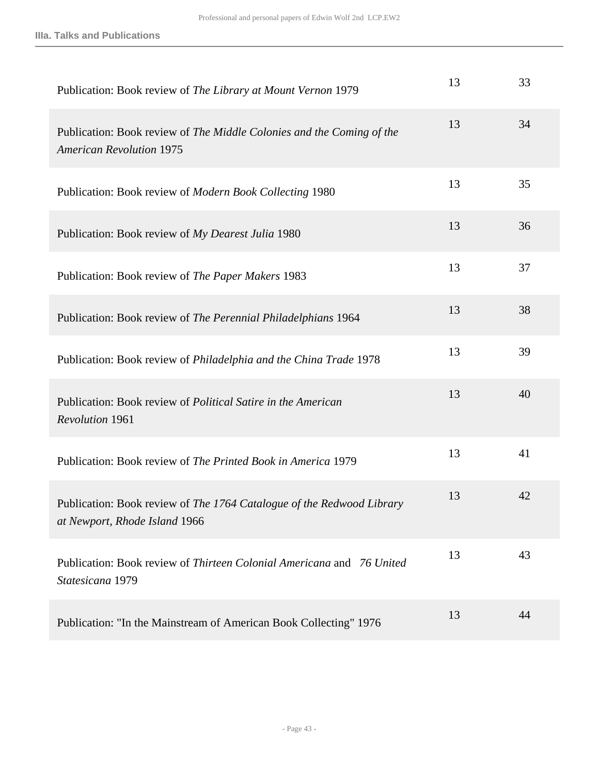| Publication: Book review of The Library at Mount Vernon 1979                                             | 13 | 33 |
|----------------------------------------------------------------------------------------------------------|----|----|
| Publication: Book review of The Middle Colonies and the Coming of the<br><b>American Revolution 1975</b> | 13 | 34 |
| Publication: Book review of Modern Book Collecting 1980                                                  | 13 | 35 |
| Publication: Book review of My Dearest Julia 1980                                                        | 13 | 36 |
| Publication: Book review of The Paper Makers 1983                                                        | 13 | 37 |
| Publication: Book review of The Perennial Philadelphians 1964                                            | 13 | 38 |
| Publication: Book review of Philadelphia and the China Trade 1978                                        | 13 | 39 |
| Publication: Book review of <i>Political Satire in the American</i><br><b>Revolution 1961</b>            | 13 | 40 |
| Publication: Book review of The Printed Book in America 1979                                             | 13 | 41 |
| Publication: Book review of The 1764 Catalogue of the Redwood Library<br>at Newport, Rhode Island 1966   | 13 | 42 |
| Publication: Book review of <i>Thirteen Colonial Americana</i> and 76 United<br>Statesicana 1979         | 13 | 43 |
| Publication: "In the Mainstream of American Book Collecting" 1976                                        | 13 | 44 |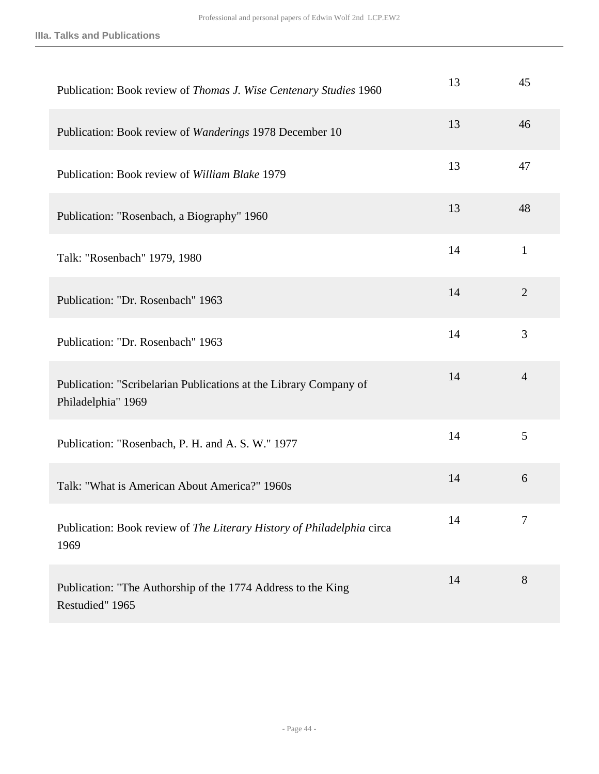| Publication: Book review of Thomas J. Wise Centenary Studies 1960                       | 13 | 45             |
|-----------------------------------------------------------------------------------------|----|----------------|
| Publication: Book review of Wanderings 1978 December 10                                 | 13 | 46             |
| Publication: Book review of William Blake 1979                                          | 13 | 47             |
| Publication: "Rosenbach, a Biography" 1960                                              | 13 | 48             |
| Talk: "Rosenbach" 1979, 1980                                                            | 14 | $\mathbf{1}$   |
| Publication: "Dr. Rosenbach" 1963                                                       | 14 | $\overline{2}$ |
| Publication: "Dr. Rosenbach" 1963                                                       | 14 | 3              |
| Publication: "Scribelarian Publications at the Library Company of<br>Philadelphia" 1969 | 14 | $\overline{4}$ |
| Publication: "Rosenbach, P. H. and A. S. W." 1977                                       | 14 | 5              |
| Talk: "What is American About America?" 1960s                                           | 14 | 6              |
| Publication: Book review of The Literary History of Philadelphia circa<br>1969          | 14 | 7              |
| Publication: "The Authorship of the 1774 Address to the King<br>Restudied" 1965         | 14 | 8              |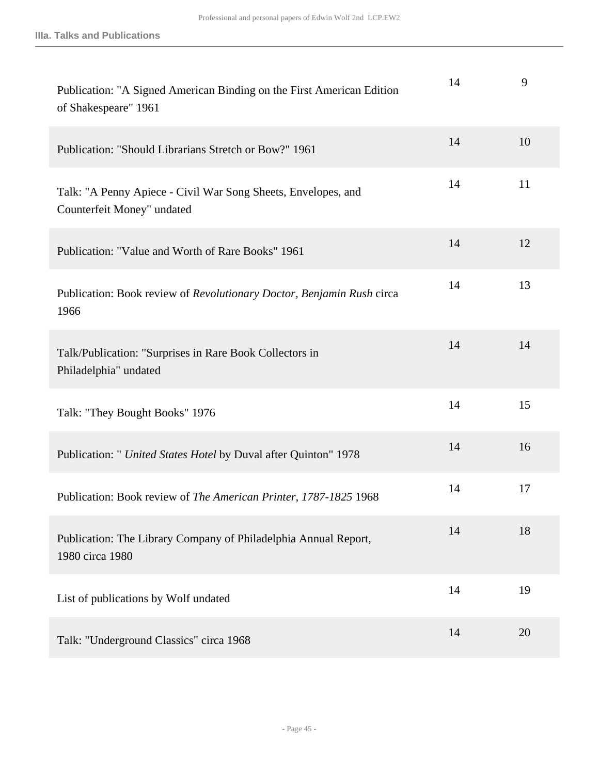| Publication: "A Signed American Binding on the First American Edition<br>of Shakespeare" 1961 | 14 | 9  |
|-----------------------------------------------------------------------------------------------|----|----|
| Publication: "Should Librarians Stretch or Bow?" 1961                                         | 14 | 10 |
| Talk: "A Penny Apiece - Civil War Song Sheets, Envelopes, and<br>Counterfeit Money" undated   | 14 | 11 |
| Publication: "Value and Worth of Rare Books" 1961                                             | 14 | 12 |
| Publication: Book review of Revolutionary Doctor, Benjamin Rush circa<br>1966                 | 14 | 13 |
| Talk/Publication: "Surprises in Rare Book Collectors in<br>Philadelphia" undated              | 14 | 14 |
| Talk: "They Bought Books" 1976                                                                | 14 | 15 |
| Publication: " United States Hotel by Duval after Quinton" 1978                               | 14 | 16 |
| Publication: Book review of The American Printer, 1787-1825 1968                              | 14 | 17 |
| Publication: The Library Company of Philadelphia Annual Report,<br>1980 circa 1980            | 14 | 18 |
| List of publications by Wolf undated                                                          | 14 | 19 |
| Talk: "Underground Classics" circa 1968                                                       | 14 | 20 |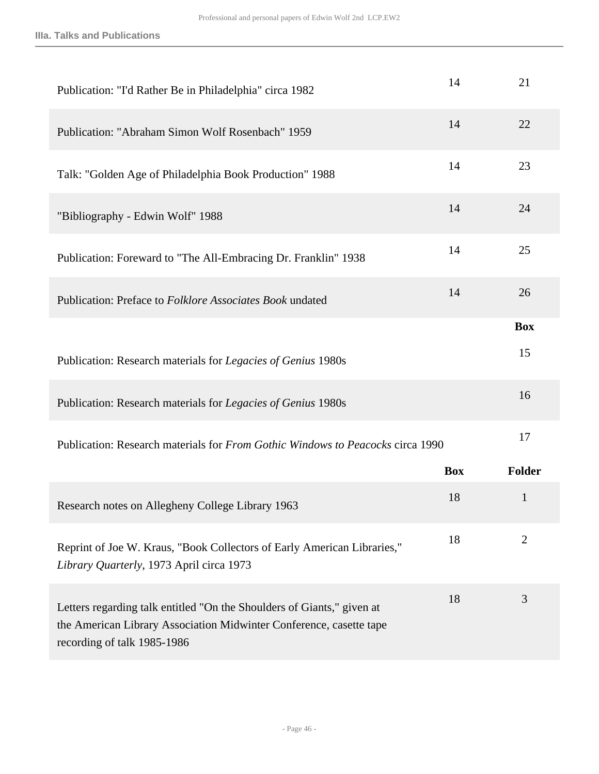| Publication: "I'd Rather Be in Philadelphia" circa 1982                                                                                                                      | 14         | 21             |
|------------------------------------------------------------------------------------------------------------------------------------------------------------------------------|------------|----------------|
| Publication: "Abraham Simon Wolf Rosenbach" 1959                                                                                                                             | 14         | 22             |
| Talk: "Golden Age of Philadelphia Book Production" 1988                                                                                                                      | 14         | 23             |
| "Bibliography - Edwin Wolf" 1988                                                                                                                                             | 14         | 24             |
| Publication: Foreward to "The All-Embracing Dr. Franklin" 1938                                                                                                               | 14         | 25             |
| Publication: Preface to <i>Folklore Associates Book</i> undated                                                                                                              | 14         | 26             |
|                                                                                                                                                                              |            | <b>Box</b>     |
| Publication: Research materials for Legacies of Genius 1980s                                                                                                                 |            | 15             |
| Publication: Research materials for Legacies of Genius 1980s                                                                                                                 |            | 16             |
| Publication: Research materials for <i>From Gothic Windows to Peacocks</i> circa 1990                                                                                        |            | 17             |
|                                                                                                                                                                              | <b>Box</b> | <b>Folder</b>  |
| Research notes on Allegheny College Library 1963                                                                                                                             | 18         | $\mathbf{1}$   |
| Reprint of Joe W. Kraus, "Book Collectors of Early American Libraries,"<br>Library Quarterly, 1973 April circa 1973                                                          | 18         | $\overline{2}$ |
| Letters regarding talk entitled "On the Shoulders of Giants," given at<br>the American Library Association Midwinter Conference, casette tape<br>recording of talk 1985-1986 | 18         | 3              |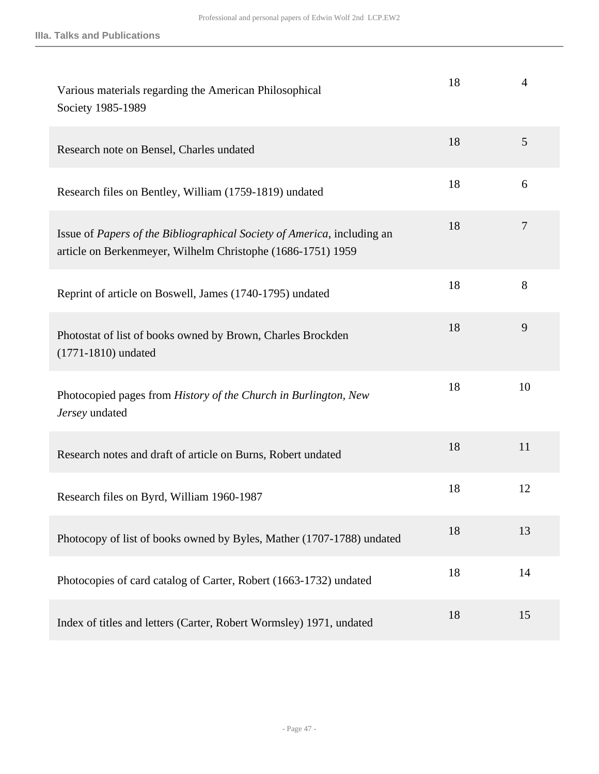| Various materials regarding the American Philosophical<br>Society 1985-1989                                                            | 18 | 4              |
|----------------------------------------------------------------------------------------------------------------------------------------|----|----------------|
| Research note on Bensel, Charles undated                                                                                               | 18 | 5              |
| Research files on Bentley, William (1759-1819) undated                                                                                 | 18 | 6              |
| Issue of Papers of the Bibliographical Society of America, including an<br>article on Berkenmeyer, Wilhelm Christophe (1686-1751) 1959 | 18 | $\overline{7}$ |
| Reprint of article on Boswell, James (1740-1795) undated                                                                               | 18 | 8              |
| Photostat of list of books owned by Brown, Charles Brockden<br>$(1771 - 1810)$ undated                                                 | 18 | 9              |
| Photocopied pages from History of the Church in Burlington, New<br>Jersey undated                                                      | 18 | 10             |
| Research notes and draft of article on Burns, Robert undated                                                                           | 18 | 11             |
| Research files on Byrd, William 1960-1987                                                                                              | 18 | 12             |
| Photocopy of list of books owned by Byles, Mather (1707-1788) undated                                                                  | 18 | 13             |
| Photocopies of card catalog of Carter, Robert (1663-1732) undated                                                                      | 18 | 14             |
| Index of titles and letters (Carter, Robert Wormsley) 1971, undated                                                                    | 18 | 15             |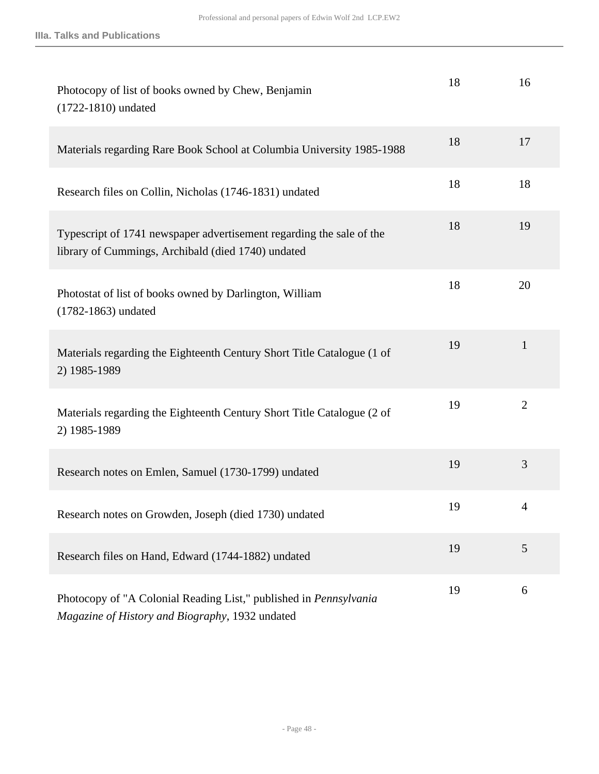| Photocopy of list of books owned by Chew, Benjamin<br>$(1722 - 1810)$ undated                                               | 18 | 16             |
|-----------------------------------------------------------------------------------------------------------------------------|----|----------------|
| Materials regarding Rare Book School at Columbia University 1985-1988                                                       | 18 | 17             |
| Research files on Collin, Nicholas (1746-1831) undated                                                                      | 18 | 18             |
| Typescript of 1741 newspaper advertisement regarding the sale of the<br>library of Cummings, Archibald (died 1740) undated  | 18 | 19             |
| Photostat of list of books owned by Darlington, William<br>$(1782 - 1863)$ undated                                          | 18 | 20             |
| Materials regarding the Eighteenth Century Short Title Catalogue (1 of<br>2) 1985-1989                                      | 19 | $\mathbf{1}$   |
| Materials regarding the Eighteenth Century Short Title Catalogue (2 of<br>2) 1985-1989                                      | 19 | $\overline{2}$ |
| Research notes on Emlen, Samuel (1730-1799) undated                                                                         | 19 | 3              |
| Research notes on Growden, Joseph (died 1730) undated                                                                       | 19 | 4              |
| Research files on Hand, Edward (1744-1882) undated                                                                          | 19 | 5              |
| Photocopy of "A Colonial Reading List," published in <i>Pennsylvania</i><br>Magazine of History and Biography, 1932 undated | 19 | 6              |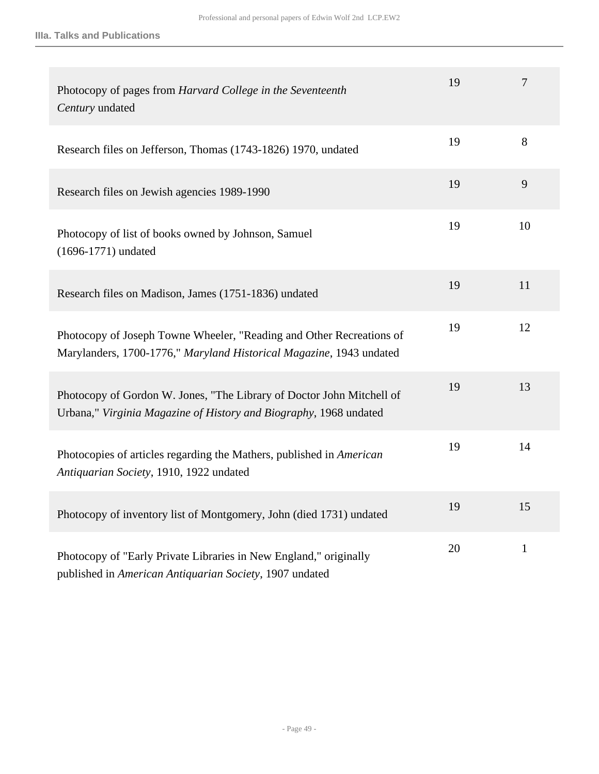| Photocopy of pages from Harvard College in the Seventeenth<br>Century undated                                                               | 19 | $\overline{7}$ |
|---------------------------------------------------------------------------------------------------------------------------------------------|----|----------------|
| Research files on Jefferson, Thomas (1743-1826) 1970, undated                                                                               | 19 | 8              |
| Research files on Jewish agencies 1989-1990                                                                                                 | 19 | 9              |
| Photocopy of list of books owned by Johnson, Samuel<br>$(1696 - 1771)$ undated                                                              | 19 | 10             |
| Research files on Madison, James (1751-1836) undated                                                                                        | 19 | 11             |
| Photocopy of Joseph Towne Wheeler, "Reading and Other Recreations of<br>Marylanders, 1700-1776," Maryland Historical Magazine, 1943 undated | 19 | 12             |
| Photocopy of Gordon W. Jones, "The Library of Doctor John Mitchell of<br>Urbana," Virginia Magazine of History and Biography, 1968 undated  | 19 | 13             |
| Photocopies of articles regarding the Mathers, published in American<br>Antiquarian Society, 1910, 1922 undated                             | 19 | 14             |
| Photocopy of inventory list of Montgomery, John (died 1731) undated                                                                         | 19 | 15             |
| Photocopy of "Early Private Libraries in New England," originally<br>published in American Antiquarian Society, 1907 undated                | 20 | $\mathbf{1}$   |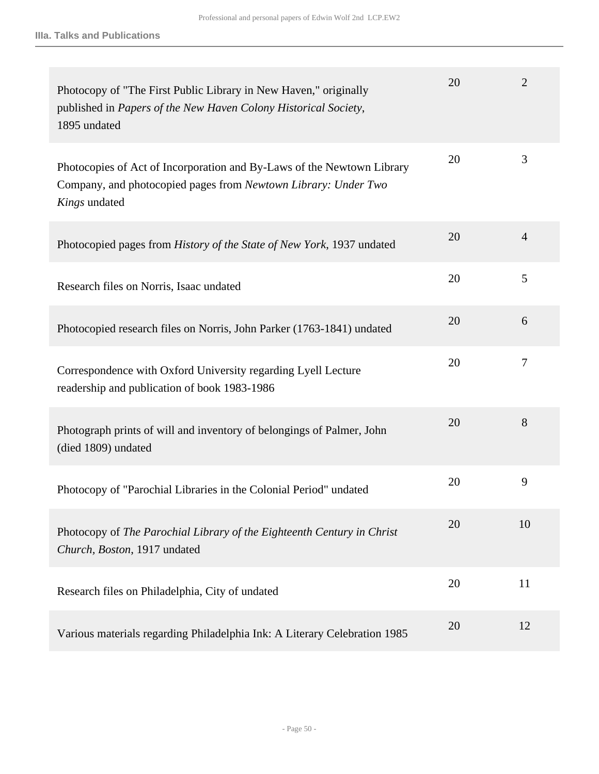| Photocopy of "The First Public Library in New Haven," originally<br>published in Papers of the New Haven Colony Historical Society,<br>1895 undated       | 20 | $\overline{2}$ |
|-----------------------------------------------------------------------------------------------------------------------------------------------------------|----|----------------|
| Photocopies of Act of Incorporation and By-Laws of the Newtown Library<br>Company, and photocopied pages from Newtown Library: Under Two<br>Kings undated | 20 | 3              |
| Photocopied pages from History of the State of New York, 1937 undated                                                                                     | 20 | $\overline{4}$ |
| Research files on Norris, Isaac undated                                                                                                                   | 20 | 5              |
| Photocopied research files on Norris, John Parker (1763-1841) undated                                                                                     | 20 | 6              |
| Correspondence with Oxford University regarding Lyell Lecture<br>readership and publication of book 1983-1986                                             | 20 | $\tau$         |
| Photograph prints of will and inventory of belongings of Palmer, John<br>(died 1809) undated                                                              | 20 | 8              |
| Photocopy of "Parochial Libraries in the Colonial Period" undated                                                                                         | 20 | 9              |
| Photocopy of The Parochial Library of the Eighteenth Century in Christ<br>Church, Boston, 1917 undated                                                    | 20 | 10             |
| Research files on Philadelphia, City of undated                                                                                                           | 20 | 11             |
| Various materials regarding Philadelphia Ink: A Literary Celebration 1985                                                                                 | 20 | 12             |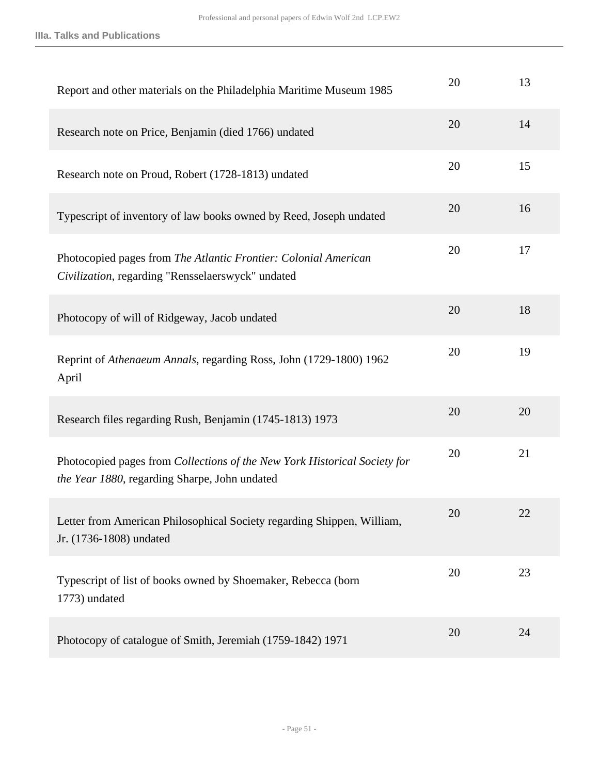**IIIa. Talks and Publications**

| Report and other materials on the Philadelphia Maritime Museum 1985                                                        | 20 | 13 |
|----------------------------------------------------------------------------------------------------------------------------|----|----|
| Research note on Price, Benjamin (died 1766) undated                                                                       | 20 | 14 |
| Research note on Proud, Robert (1728-1813) undated                                                                         | 20 | 15 |
| Typescript of inventory of law books owned by Reed, Joseph undated                                                         | 20 | 16 |
| Photocopied pages from The Atlantic Frontier: Colonial American<br>Civilization, regarding "Rensselaerswyck" undated       | 20 | 17 |
| Photocopy of will of Ridgeway, Jacob undated                                                                               | 20 | 18 |
| Reprint of Athenaeum Annals, regarding Ross, John (1729-1800) 1962<br>April                                                | 20 | 19 |
| Research files regarding Rush, Benjamin (1745-1813) 1973                                                                   | 20 | 20 |
| Photocopied pages from Collections of the New York Historical Society for<br>the Year 1880, regarding Sharpe, John undated | 20 | 21 |
| Letter from American Philosophical Society regarding Shippen, William,<br>Jr. (1736-1808) undated                          | 20 | 22 |
| Typescript of list of books owned by Shoemaker, Rebecca (born<br>1773) undated                                             | 20 | 23 |
| Photocopy of catalogue of Smith, Jeremiah (1759-1842) 1971                                                                 | 20 | 24 |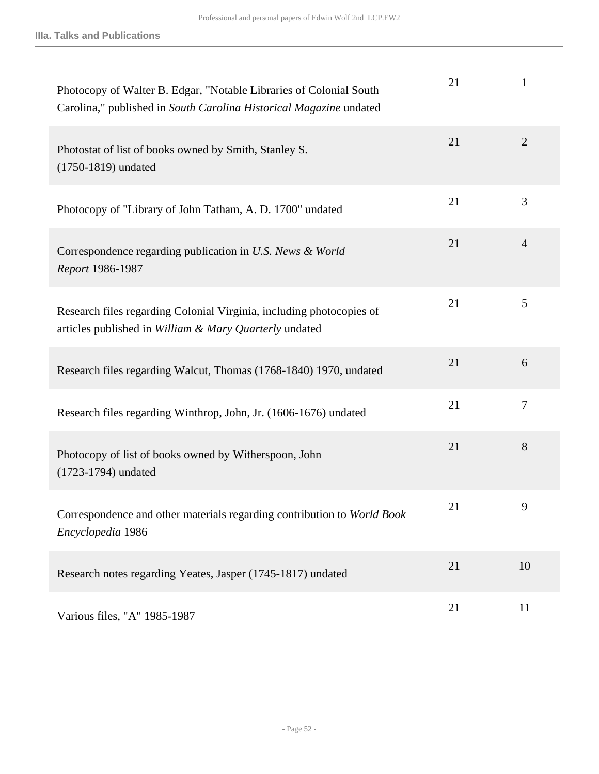| Photocopy of Walter B. Edgar, "Notable Libraries of Colonial South<br>Carolina," published in South Carolina Historical Magazine undated | 21 | $\mathbf{1}$   |
|------------------------------------------------------------------------------------------------------------------------------------------|----|----------------|
| Photostat of list of books owned by Smith, Stanley S.<br>(1750-1819) undated                                                             | 21 | $\overline{2}$ |
| Photocopy of "Library of John Tatham, A. D. 1700" undated                                                                                | 21 | 3              |
| Correspondence regarding publication in U.S. News & World<br>Report 1986-1987                                                            | 21 | $\overline{4}$ |
| Research files regarding Colonial Virginia, including photocopies of<br>articles published in William & Mary Quarterly undated           | 21 | 5              |
| Research files regarding Walcut, Thomas (1768-1840) 1970, undated                                                                        | 21 | 6              |
| Research files regarding Winthrop, John, Jr. (1606-1676) undated                                                                         | 21 | 7              |
| Photocopy of list of books owned by Witherspoon, John<br>(1723-1794) undated                                                             | 21 | 8              |
| Correspondence and other materials regarding contribution to World Book<br>Encyclopedia 1986                                             | 21 | 9              |
| Research notes regarding Yeates, Jasper (1745-1817) undated                                                                              | 21 | 10             |
| Various files, "A" 1985-1987                                                                                                             | 21 | 11             |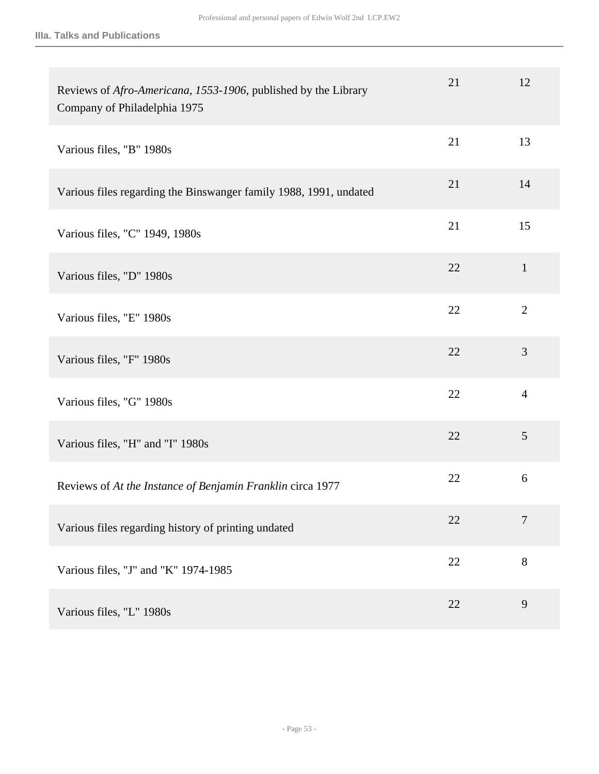| Reviews of Afro-Americana, 1553-1906, published by the Library<br>Company of Philadelphia 1975 | 21 | 12             |
|------------------------------------------------------------------------------------------------|----|----------------|
| Various files, "B" 1980s                                                                       | 21 | 13             |
| Various files regarding the Binswanger family 1988, 1991, undated                              | 21 | 14             |
| Various files, "C" 1949, 1980s                                                                 | 21 | 15             |
| Various files, "D" 1980s                                                                       | 22 | $\mathbf{1}$   |
| Various files, "E" 1980s                                                                       | 22 | $\overline{2}$ |
| Various files, "F" 1980s                                                                       | 22 | 3              |
| Various files, "G" 1980s                                                                       | 22 | $\overline{4}$ |
| Various files, "H" and "I" 1980s                                                               | 22 | 5              |
| Reviews of At the Instance of Benjamin Franklin circa 1977                                     | 22 | 6              |
| Various files regarding history of printing undated                                            | 22 | $\overline{7}$ |
| Various files, "J" and "K" 1974-1985                                                           | 22 | 8              |
| Various files, "L" 1980s                                                                       | 22 | 9              |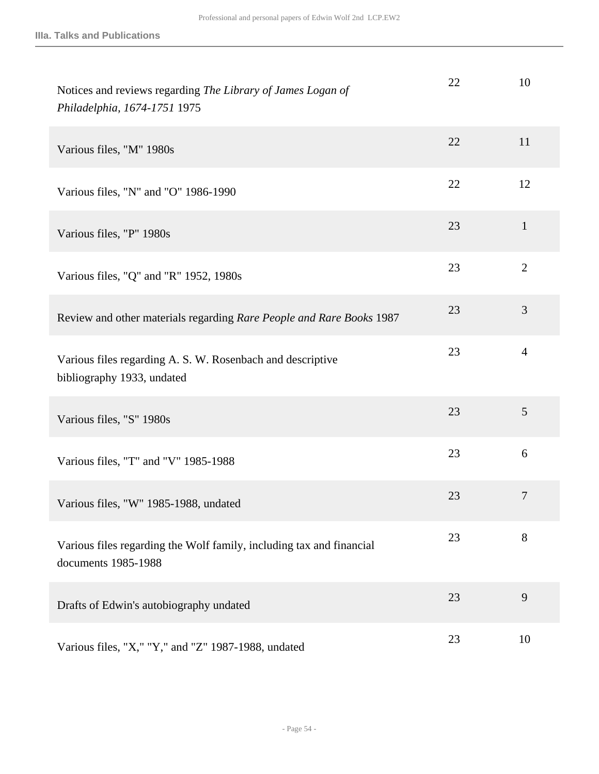| Notices and reviews regarding The Library of James Logan of<br>Philadelphia, 1674-1751 1975 | 22 | 10             |
|---------------------------------------------------------------------------------------------|----|----------------|
| Various files, "M" 1980s                                                                    | 22 | 11             |
| Various files, "N" and "O" 1986-1990                                                        | 22 | 12             |
| Various files, "P" 1980s                                                                    | 23 | $\mathbf{1}$   |
| Various files, "Q" and "R" 1952, 1980s                                                      | 23 | $\overline{2}$ |
| Review and other materials regarding Rare People and Rare Books 1987                        | 23 | 3              |
| Various files regarding A. S. W. Rosenbach and descriptive<br>bibliography 1933, undated    | 23 | $\overline{4}$ |
| Various files, "S" 1980s                                                                    | 23 | 5              |
| Various files, "T" and "V" 1985-1988                                                        | 23 | 6              |
| Various files, "W" 1985-1988, undated                                                       | 23 | $\overline{7}$ |
| Various files regarding the Wolf family, including tax and financial<br>documents 1985-1988 | 23 | 8              |
| Drafts of Edwin's autobiography undated                                                     | 23 | 9              |
| Various files, "X," "Y," and "Z" 1987-1988, undated                                         | 23 | 10             |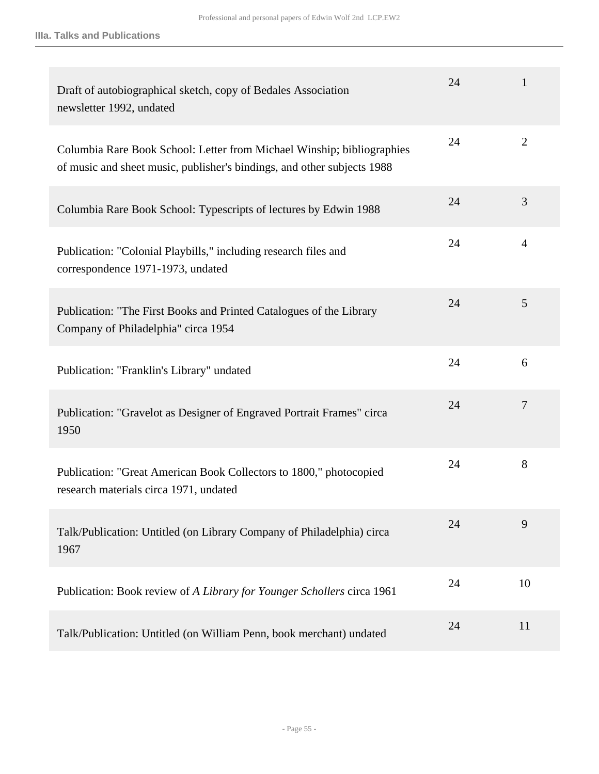| Draft of autobiographical sketch, copy of Bedales Association<br>newsletter 1992, undated                                                         | 24 | 1              |
|---------------------------------------------------------------------------------------------------------------------------------------------------|----|----------------|
| Columbia Rare Book School: Letter from Michael Winship; bibliographies<br>of music and sheet music, publisher's bindings, and other subjects 1988 | 24 | $\overline{2}$ |
| Columbia Rare Book School: Typescripts of lectures by Edwin 1988                                                                                  | 24 | 3              |
| Publication: "Colonial Playbills," including research files and<br>correspondence 1971-1973, undated                                              | 24 | $\overline{4}$ |
| Publication: "The First Books and Printed Catalogues of the Library<br>Company of Philadelphia" circa 1954                                        | 24 | 5              |
| Publication: "Franklin's Library" undated                                                                                                         | 24 | 6              |
| Publication: "Gravelot as Designer of Engraved Portrait Frames" circa<br>1950                                                                     | 24 | $\tau$         |
| Publication: "Great American Book Collectors to 1800," photocopied<br>research materials circa 1971, undated                                      | 24 | 8              |
| Talk/Publication: Untitled (on Library Company of Philadelphia) circa<br>1967                                                                     | 24 | 9              |
| Publication: Book review of A Library for Younger Schollers circa 1961                                                                            | 24 | 10             |
| Talk/Publication: Untitled (on William Penn, book merchant) undated                                                                               | 24 | 11             |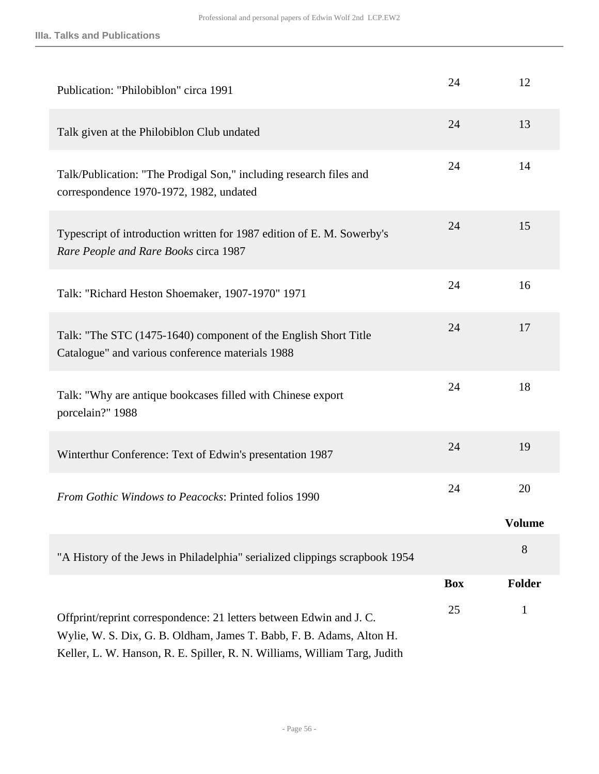| Publication: "Philobiblon" circa 1991                                                                                                                                                                                   | 24         | 12            |
|-------------------------------------------------------------------------------------------------------------------------------------------------------------------------------------------------------------------------|------------|---------------|
| Talk given at the Philobiblon Club undated                                                                                                                                                                              | 24         | 13            |
| Talk/Publication: "The Prodigal Son," including research files and<br>correspondence 1970-1972, 1982, undated                                                                                                           | 24         | 14            |
| Typescript of introduction written for 1987 edition of E. M. Sowerby's<br>Rare People and Rare Books circa 1987                                                                                                         | 24         | 15            |
| Talk: "Richard Heston Shoemaker, 1907-1970" 1971                                                                                                                                                                        | 24         | 16            |
| Talk: "The STC (1475-1640) component of the English Short Title<br>Catalogue" and various conference materials 1988                                                                                                     | 24         | 17            |
| Talk: "Why are antique bookcases filled with Chinese export<br>porcelain?" 1988                                                                                                                                         | 24         | 18            |
| Winterthur Conference: Text of Edwin's presentation 1987                                                                                                                                                                | 24         | 19            |
| <b>From Gothic Windows to Peacocks: Printed folios 1990</b>                                                                                                                                                             | 24         | 20            |
|                                                                                                                                                                                                                         |            | <b>Volume</b> |
| "A History of the Jews in Philadelphia" serialized clippings scrapbook 1954                                                                                                                                             |            | 8             |
|                                                                                                                                                                                                                         | <b>Box</b> | <b>Folder</b> |
| Offprint/reprint correspondence: 21 letters between Edwin and J.C.<br>Wylie, W. S. Dix, G. B. Oldham, James T. Babb, F. B. Adams, Alton H.<br>Keller, L. W. Hanson, R. E. Spiller, R. N. Williams, William Targ, Judith | 25         | $\mathbf{1}$  |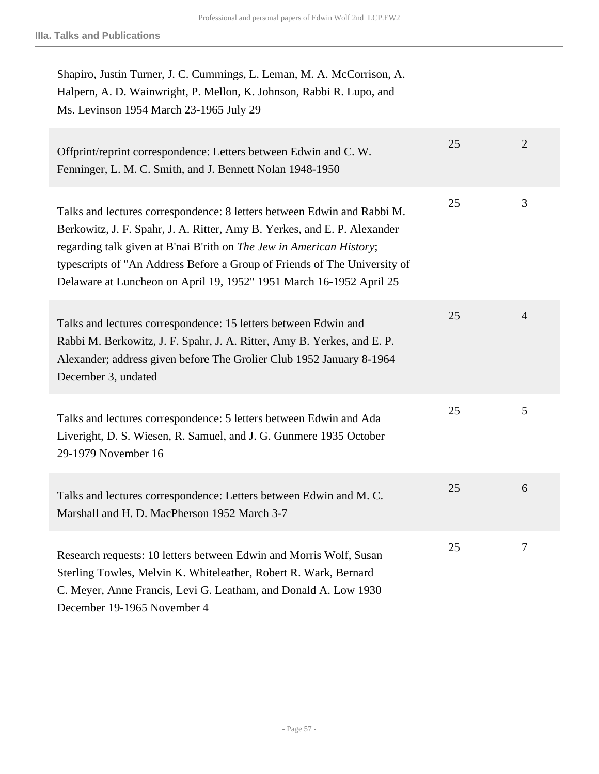| Shapiro, Justin Turner, J. C. Cummings, L. Leman, M. A. McCorrison, A.<br>Halpern, A. D. Wainwright, P. Mellon, K. Johnson, Rabbi R. Lupo, and<br>Ms. Levinson 1954 March 23-1965 July 29                                                                                                                                                                                       |    |                |
|---------------------------------------------------------------------------------------------------------------------------------------------------------------------------------------------------------------------------------------------------------------------------------------------------------------------------------------------------------------------------------|----|----------------|
| Offprint/reprint correspondence: Letters between Edwin and C. W.<br>Fenninger, L. M. C. Smith, and J. Bennett Nolan 1948-1950                                                                                                                                                                                                                                                   | 25 | $\overline{2}$ |
| Talks and lectures correspondence: 8 letters between Edwin and Rabbi M.<br>Berkowitz, J. F. Spahr, J. A. Ritter, Amy B. Yerkes, and E. P. Alexander<br>regarding talk given at B'nai B'rith on The Jew in American History;<br>typescripts of "An Address Before a Group of Friends of The University of<br>Delaware at Luncheon on April 19, 1952" 1951 March 16-1952 April 25 | 25 | 3              |
| Talks and lectures correspondence: 15 letters between Edwin and<br>Rabbi M. Berkowitz, J. F. Spahr, J. A. Ritter, Amy B. Yerkes, and E. P.<br>Alexander; address given before The Grolier Club 1952 January 8-1964<br>December 3, undated                                                                                                                                       | 25 | $\overline{4}$ |
| Talks and lectures correspondence: 5 letters between Edwin and Ada<br>Liveright, D. S. Wiesen, R. Samuel, and J. G. Gunmere 1935 October<br>29-1979 November 16                                                                                                                                                                                                                 | 25 | 5              |
| Talks and lectures correspondence: Letters between Edwin and M.C.<br>Marshall and H. D. MacPherson 1952 March 3-7                                                                                                                                                                                                                                                               | 25 | 6              |
| Research requests: 10 letters between Edwin and Morris Wolf, Susan<br>Sterling Towles, Melvin K. Whiteleather, Robert R. Wark, Bernard<br>C. Meyer, Anne Francis, Levi G. Leatham, and Donald A. Low 1930<br>December 19-1965 November 4                                                                                                                                        | 25 | 7              |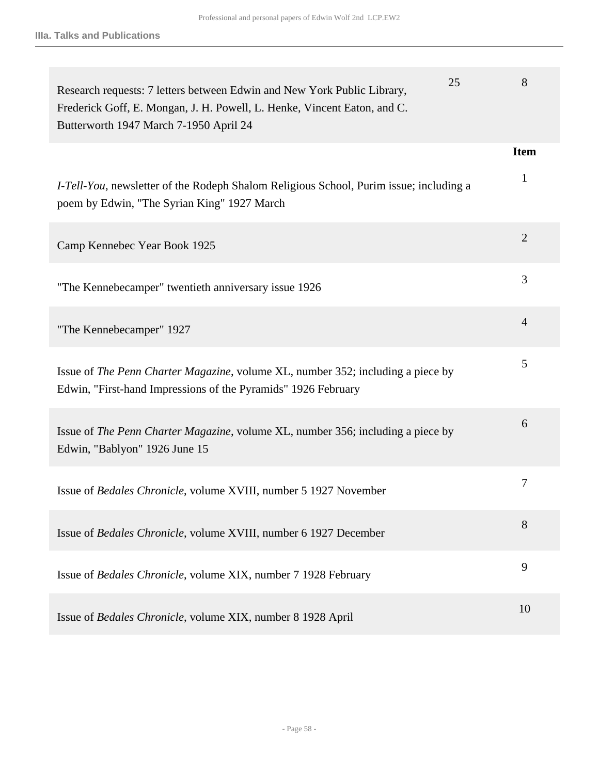| 25<br>Research requests: 7 letters between Edwin and New York Public Library,<br>Frederick Goff, E. Mongan, J. H. Powell, L. Henke, Vincent Eaton, and C.<br>Butterworth 1947 March 7-1950 April 24 | 8              |
|-----------------------------------------------------------------------------------------------------------------------------------------------------------------------------------------------------|----------------|
|                                                                                                                                                                                                     | <b>Item</b>    |
| <i>I-Tell-You</i> , newsletter of the Rodeph Shalom Religious School, Purim issue; including a<br>poem by Edwin, "The Syrian King" 1927 March                                                       | 1              |
| Camp Kennebec Year Book 1925                                                                                                                                                                        | $\overline{2}$ |
| "The Kennebecamper" twentieth anniversary issue 1926                                                                                                                                                | 3              |
| "The Kennebecamper" 1927                                                                                                                                                                            | $\overline{4}$ |
| Issue of <i>The Penn Charter Magazine</i> , volume XL, number 352; including a piece by<br>Edwin, "First-hand Impressions of the Pyramids" 1926 February                                            | 5              |
| Issue of The Penn Charter Magazine, volume XL, number 356; including a piece by<br>Edwin, "Bablyon" 1926 June 15                                                                                    | 6              |
| Issue of <i>Bedales Chronicle</i> , volume XVIII, number 5 1927 November                                                                                                                            | 7              |
| Issue of Bedales Chronicle, volume XVIII, number 6 1927 December                                                                                                                                    | 8              |
| Issue of <i>Bedales Chronicle</i> , volume XIX, number 7 1928 February                                                                                                                              | 9              |
| Issue of <i>Bedales Chronicle</i> , volume XIX, number 8 1928 April                                                                                                                                 | 10             |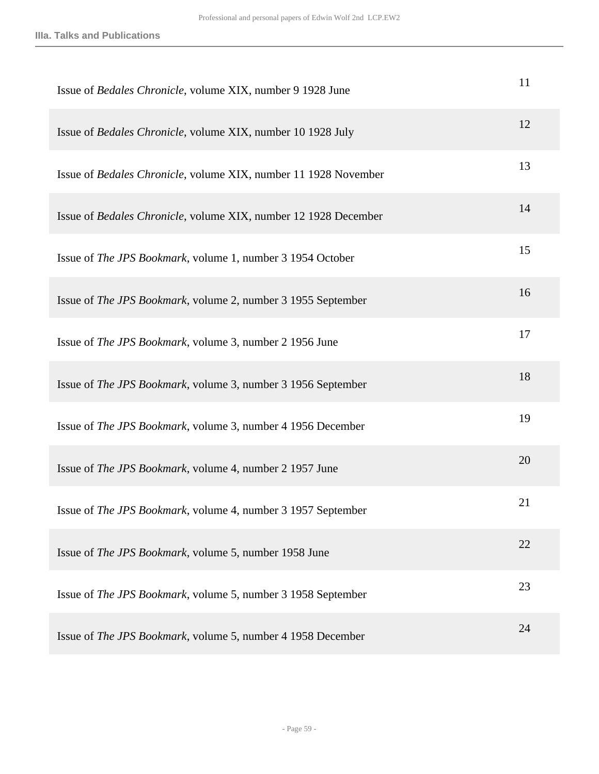| Issue of Bedales Chronicle, volume XIX, number 9 1928 June           | 11 |
|----------------------------------------------------------------------|----|
| Issue of Bedales Chronicle, volume XIX, number 10 1928 July          | 12 |
| Issue of Bedales Chronicle, volume XIX, number 11 1928 November      | 13 |
| Issue of Bedales Chronicle, volume XIX, number 12 1928 December      | 14 |
| Issue of The JPS Bookmark, volume 1, number 3 1954 October           | 15 |
| Issue of The JPS Bookmark, volume 2, number 3 1955 September         | 16 |
| Issue of The JPS Bookmark, volume 3, number 2 1956 June              | 17 |
| Issue of The JPS Bookmark, volume 3, number 3 1956 September         | 18 |
| Issue of The JPS Bookmark, volume 3, number 4 1956 December          | 19 |
| Issue of The JPS Bookmark, volume 4, number 2 1957 June              | 20 |
| Issue of <i>The JPS Bookmark</i> , volume 4, number 3 1957 September | 21 |
| Issue of <i>The JPS Bookmark</i> , volume 5, number 1958 June        | 22 |
| Issue of <i>The JPS Bookmark</i> , volume 5, number 3 1958 September | 23 |
| Issue of The JPS Bookmark, volume 5, number 4 1958 December          | 24 |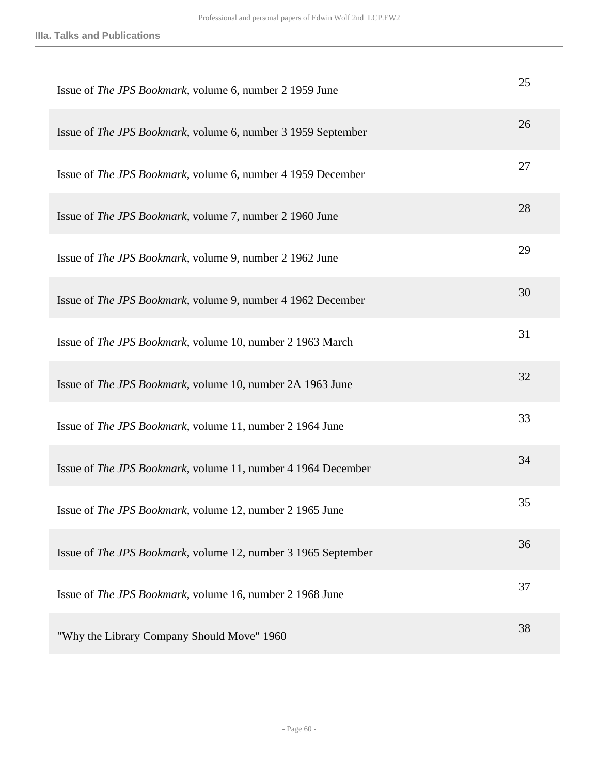| Issue of The JPS Bookmark, volume 6, number 2 1959 June             | 25 |
|---------------------------------------------------------------------|----|
| Issue of The JPS Bookmark, volume 6, number 3 1959 September        | 26 |
| Issue of <i>The JPS Bookmark</i> , volume 6, number 4 1959 December | 27 |
| Issue of The JPS Bookmark, volume 7, number 2 1960 June             | 28 |
| Issue of The JPS Bookmark, volume 9, number 2 1962 June             | 29 |
| Issue of The JPS Bookmark, volume 9, number 4 1962 December         | 30 |
| Issue of The JPS Bookmark, volume 10, number 2 1963 March           | 31 |
| Issue of The JPS Bookmark, volume 10, number 2A 1963 June           | 32 |
| Issue of The JPS Bookmark, volume 11, number 2 1964 June            | 33 |
| Issue of The JPS Bookmark, volume 11, number 4 1964 December        | 34 |
| Issue of <i>The JPS Bookmark</i> , volume 12, number 2 1965 June    | 35 |
| Issue of The JPS Bookmark, volume 12, number 3 1965 September       | 36 |
| Issue of The JPS Bookmark, volume 16, number 2 1968 June            | 37 |
| "Why the Library Company Should Move" 1960                          | 38 |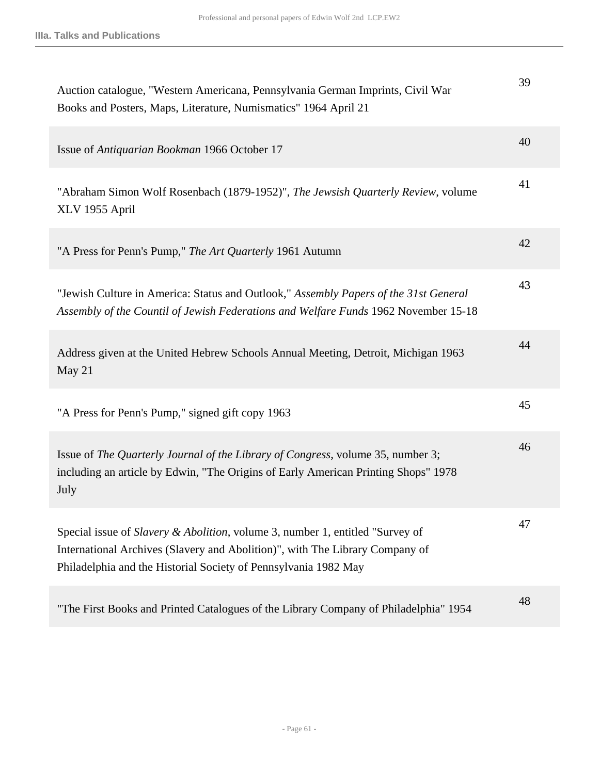| Auction catalogue, "Western Americana, Pennsylvania German Imprints, Civil War<br>Books and Posters, Maps, Literature, Numismatics" 1964 April 21                                                                                | 39 |
|----------------------------------------------------------------------------------------------------------------------------------------------------------------------------------------------------------------------------------|----|
| Issue of Antiquarian Bookman 1966 October 17                                                                                                                                                                                     | 40 |
| "Abraham Simon Wolf Rosenbach (1879-1952)", The Jewsish Quarterly Review, volume<br>XLV 1955 April                                                                                                                               | 41 |
| "A Press for Penn's Pump," The Art Quarterly 1961 Autumn                                                                                                                                                                         | 42 |
| "Jewish Culture in America: Status and Outlook," Assembly Papers of the 31st General<br>Assembly of the Countil of Jewish Federations and Welfare Funds 1962 November 15-18                                                      | 43 |
| Address given at the United Hebrew Schools Annual Meeting, Detroit, Michigan 1963<br>May $21$                                                                                                                                    | 44 |
| "A Press for Penn's Pump," signed gift copy 1963                                                                                                                                                                                 | 45 |
| Issue of The Quarterly Journal of the Library of Congress, volume 35, number 3;<br>including an article by Edwin, "The Origins of Early American Printing Shops" 1978<br>July                                                    | 46 |
| Special issue of Slavery & Abolition, volume 3, number 1, entitled "Survey of<br>International Archives (Slavery and Abolition)", with The Library Company of<br>Philadelphia and the Historial Society of Pennsylvania 1982 May | 47 |
| "The First Books and Printed Catalogues of the Library Company of Philadelphia" 1954                                                                                                                                             | 48 |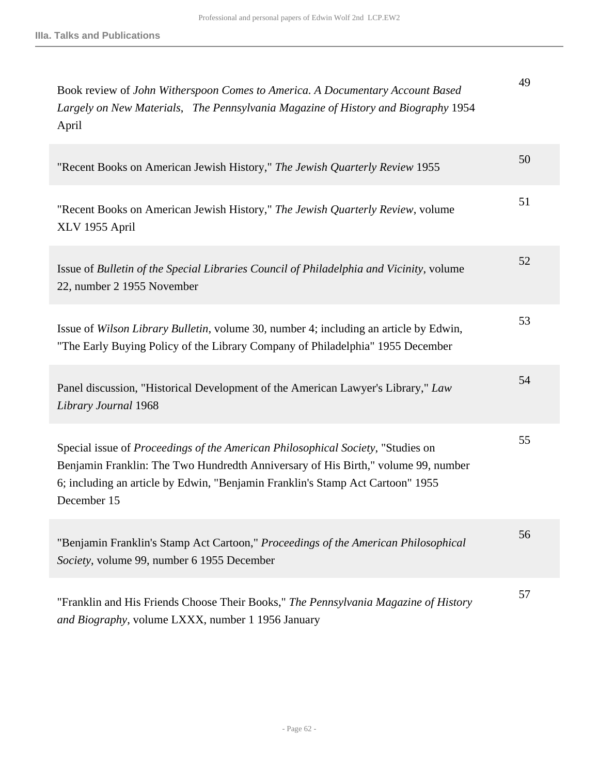| Book review of John Witherspoon Comes to America. A Documentary Account Based<br>Largely on New Materials, The Pennsylvania Magazine of History and Biography 1954<br>April                                                                                           | 49 |
|-----------------------------------------------------------------------------------------------------------------------------------------------------------------------------------------------------------------------------------------------------------------------|----|
| "Recent Books on American Jewish History," The Jewish Quarterly Review 1955                                                                                                                                                                                           | 50 |
| "Recent Books on American Jewish History," The Jewish Quarterly Review, volume<br>XLV 1955 April                                                                                                                                                                      | 51 |
| Issue of Bulletin of the Special Libraries Council of Philadelphia and Vicinity, volume<br>22, number 2 1955 November                                                                                                                                                 | 52 |
| Issue of Wilson Library Bulletin, volume 30, number 4; including an article by Edwin,<br>"The Early Buying Policy of the Library Company of Philadelphia" 1955 December                                                                                               | 53 |
| Panel discussion, "Historical Development of the American Lawyer's Library," Law<br>Library Journal 1968                                                                                                                                                              | 54 |
| Special issue of Proceedings of the American Philosophical Society, "Studies on<br>Benjamin Franklin: The Two Hundredth Anniversary of His Birth," volume 99, number<br>6; including an article by Edwin, "Benjamin Franklin's Stamp Act Cartoon" 1955<br>December 15 | 55 |
| "Benjamin Franklin's Stamp Act Cartoon," <i>Proceedings of the American Philosophical</i><br>Society, volume 99, number 6 1955 December                                                                                                                               | 56 |
| "Franklin and His Friends Choose Their Books," The Pennsylvania Magazine of History<br>and Biography, volume LXXX, number 1 1956 January                                                                                                                              | 57 |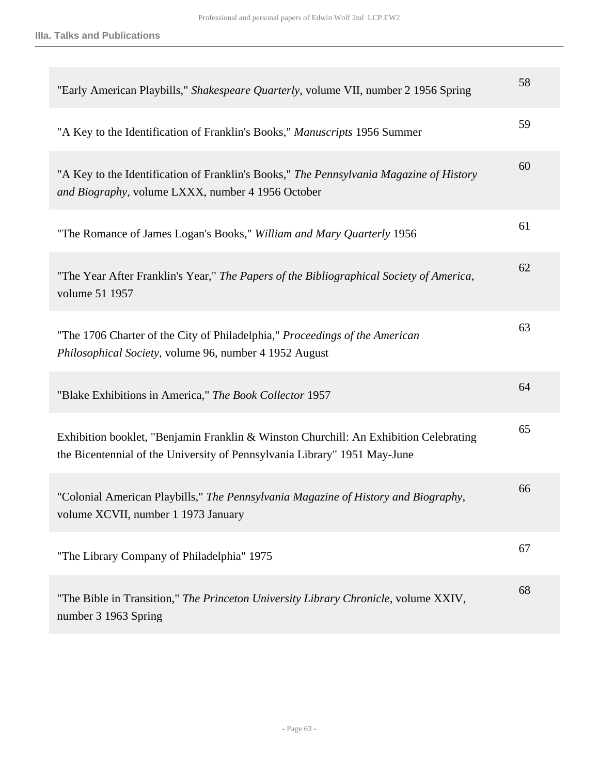| "Early American Playbills," Shakespeare Quarterly, volume VII, number 2 1956 Spring                                                                                | 58 |
|--------------------------------------------------------------------------------------------------------------------------------------------------------------------|----|
| "A Key to the Identification of Franklin's Books," Manuscripts 1956 Summer                                                                                         | 59 |
| "A Key to the Identification of Franklin's Books," The Pennsylvania Magazine of History<br>and Biography, volume LXXX, number 4 1956 October                       | 60 |
| "The Romance of James Logan's Books," William and Mary Quarterly 1956                                                                                              | 61 |
| "The Year After Franklin's Year," The Papers of the Bibliographical Society of America,<br>volume 51 1957                                                          | 62 |
| "The 1706 Charter of the City of Philadelphia," Proceedings of the American<br>Philosophical Society, volume 96, number 4 1952 August                              | 63 |
| "Blake Exhibitions in America," The Book Collector 1957                                                                                                            | 64 |
| Exhibition booklet, "Benjamin Franklin & Winston Churchill: An Exhibition Celebrating<br>the Bicentennial of the University of Pennsylvania Library" 1951 May-June | 65 |
| "Colonial American Playbills," The Pennsylvania Magazine of History and Biography,<br>volume XCVII, number 1 1973 January                                          | 66 |
| "The Library Company of Philadelphia" 1975                                                                                                                         | 67 |
| "The Bible in Transition," The Princeton University Library Chronicle, volume XXIV,<br>number 3 1963 Spring                                                        | 68 |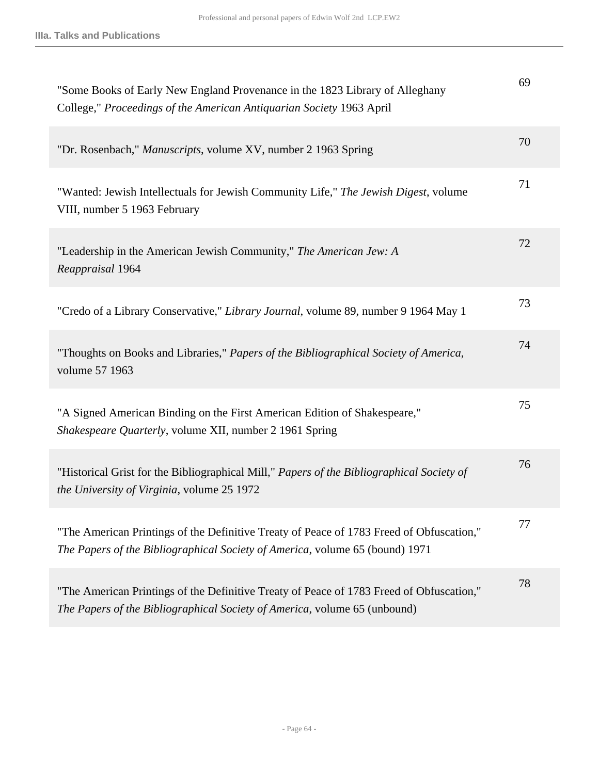| "Some Books of Early New England Provenance in the 1823 Library of Alleghany<br>College," Proceedings of the American Antiquarian Society 1963 April                     | 69 |
|--------------------------------------------------------------------------------------------------------------------------------------------------------------------------|----|
| "Dr. Rosenbach," Manuscripts, volume XV, number 2 1963 Spring                                                                                                            | 70 |
| "Wanted: Jewish Intellectuals for Jewish Community Life," The Jewish Digest, volume<br>VIII, number 5 1963 February                                                      | 71 |
| "Leadership in the American Jewish Community," The American Jew: A<br>Reappraisal 1964                                                                                   | 72 |
| "Credo of a Library Conservative," Library Journal, volume 89, number 9 1964 May 1                                                                                       | 73 |
| "Thoughts on Books and Libraries," Papers of the Bibliographical Society of America,<br>volume 57 1963                                                                   | 74 |
| "A Signed American Binding on the First American Edition of Shakespeare,"<br>Shakespeare Quarterly, volume XII, number 2 1961 Spring                                     | 75 |
| "Historical Grist for the Bibliographical Mill," Papers of the Bibliographical Society of<br>the University of Virginia, volume 25 1972                                  | 76 |
| "The American Printings of the Definitive Treaty of Peace of 1783 Freed of Obfuscation,"<br>The Papers of the Bibliographical Society of America, volume 65 (bound) 1971 | 77 |
| "The American Printings of the Definitive Treaty of Peace of 1783 Freed of Obfuscation,"<br>The Papers of the Bibliographical Society of America, volume 65 (unbound)    | 78 |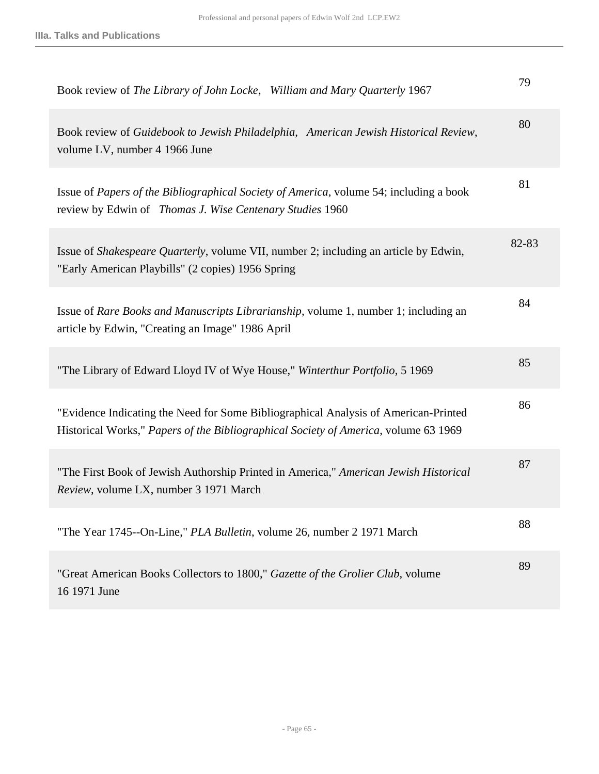| Book review of The Library of John Locke, William and Mary Quarterly 1967                                                                                                  | 79    |
|----------------------------------------------------------------------------------------------------------------------------------------------------------------------------|-------|
| Book review of Guidebook to Jewish Philadelphia, American Jewish Historical Review,<br>volume LV, number 4 1966 June                                                       | 80    |
| Issue of Papers of the Bibliographical Society of America, volume 54; including a book<br>review by Edwin of Thomas J. Wise Centenary Studies 1960                         | 81    |
| Issue of <i>Shakespeare Quarterly</i> , volume VII, number 2; including an article by Edwin,<br>"Early American Playbills" (2 copies) 1956 Spring                          | 82-83 |
| Issue of Rare Books and Manuscripts Librarianship, volume 1, number 1; including an<br>article by Edwin, "Creating an Image" 1986 April                                    | 84    |
| "The Library of Edward Lloyd IV of Wye House," Winterthur Portfolio, 5 1969                                                                                                | 85    |
| "Evidence Indicating the Need for Some Bibliographical Analysis of American-Printed<br>Historical Works," Papers of the Bibliographical Society of America, volume 63 1969 | 86    |
| "The First Book of Jewish Authorship Printed in America," American Jewish Historical<br>Review, volume LX, number 3 1971 March                                             | 87    |
| "The Year 1745--On-Line," PLA Bulletin, volume 26, number 2 1971 March                                                                                                     | 88    |
| "Great American Books Collectors to 1800," Gazette of the Grolier Club, volume<br>16 1971 June                                                                             | 89    |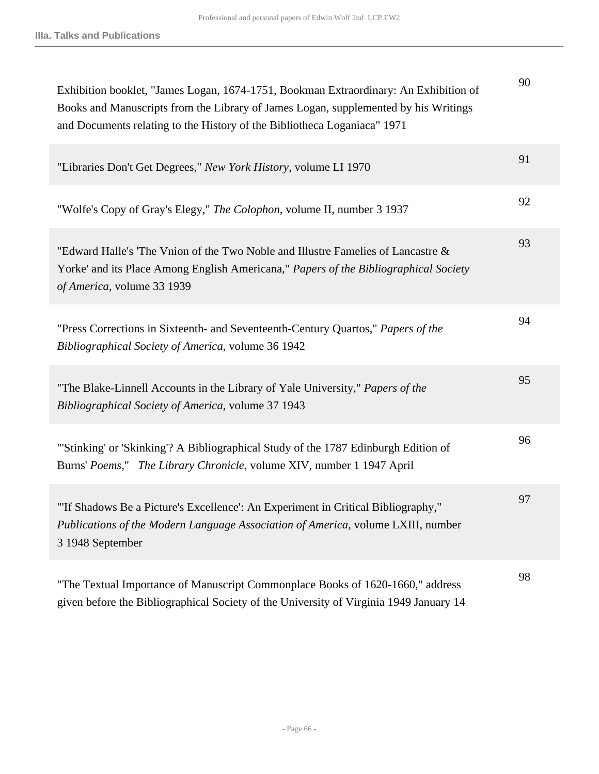| Exhibition booklet, "James Logan, 1674-1751, Bookman Extraordinary: An Exhibition of<br>Books and Manuscripts from the Library of James Logan, supplemented by his Writings<br>and Documents relating to the History of the Bibliotheca Loganiaca" 1971 | 90 |
|---------------------------------------------------------------------------------------------------------------------------------------------------------------------------------------------------------------------------------------------------------|----|
| "Libraries Don't Get Degrees," New York History, volume LI 1970                                                                                                                                                                                         | 91 |
| "Wolfe's Copy of Gray's Elegy," The Colophon, volume II, number 3 1937                                                                                                                                                                                  | 92 |
| "Edward Halle's 'The Vnion of the Two Noble and Illustre Famelies of Lancastre &<br>Yorke' and its Place Among English Americana," Papers of the Bibliographical Society<br>of America, volume 33 1939                                                  | 93 |
| "Press Corrections in Sixteenth- and Seventeenth-Century Quartos," Papers of the<br>Bibliographical Society of America, volume 36 1942                                                                                                                  | 94 |
| "The Blake-Linnell Accounts in the Library of Yale University," Papers of the<br>Bibliographical Society of America, volume 37 1943                                                                                                                     | 95 |
| "'Stinking' or 'Skinking'? A Bibliographical Study of the 1787 Edinburgh Edition of<br>Burns' Poems," The Library Chronicle, volume XIV, number 1 1947 April                                                                                            | 96 |
| "If Shadows Be a Picture's Excellence': An Experiment in Critical Bibliography,"<br>Publications of the Modern Language Association of America, volume LXIII, number<br>3 1948 September                                                                | 97 |
| "The Textual Importance of Manuscript Commonplace Books of 1620-1660," address<br>given before the Bibliographical Society of the University of Virginia 1949 January 14                                                                                | 98 |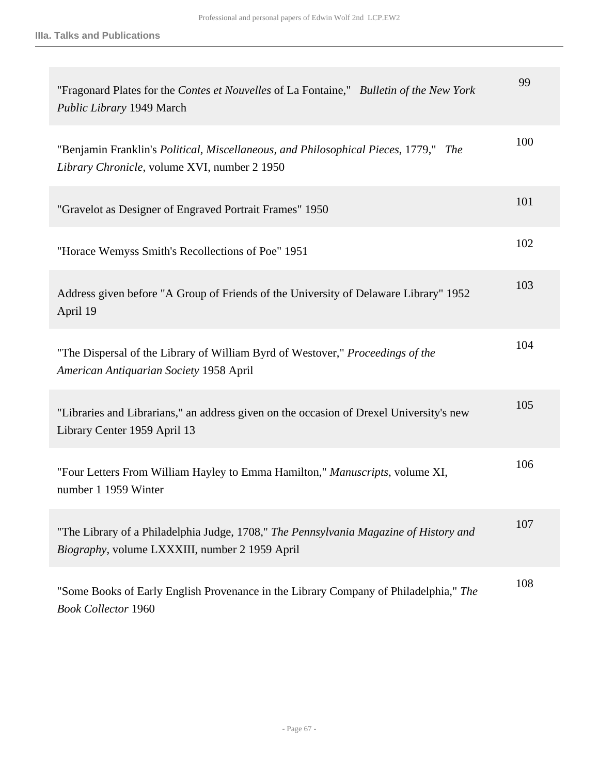| "Fragonard Plates for the Contes et Nouvelles of La Fontaine," Bulletin of the New York<br>Public Library 1949 March                    | 99  |
|-----------------------------------------------------------------------------------------------------------------------------------------|-----|
| "Benjamin Franklin's Political, Miscellaneous, and Philosophical Pieces, 1779," The<br>Library Chronicle, volume XVI, number 2 1950     | 100 |
| "Gravelot as Designer of Engraved Portrait Frames" 1950                                                                                 | 101 |
| "Horace Wemyss Smith's Recollections of Poe" 1951                                                                                       | 102 |
| Address given before "A Group of Friends of the University of Delaware Library" 1952<br>April 19                                        | 103 |
| "The Dispersal of the Library of William Byrd of Westover," Proceedings of the<br>American Antiquarian Society 1958 April               | 104 |
| "Libraries and Librarians," an address given on the occasion of Drexel University's new<br>Library Center 1959 April 13                 | 105 |
| "Four Letters From William Hayley to Emma Hamilton," Manuscripts, volume XI,<br>number 1 1959 Winter                                    | 106 |
| "The Library of a Philadelphia Judge, 1708," The Pennsylvania Magazine of History and<br>Biography, volume LXXXIII, number 2 1959 April | 107 |
| "Some Books of Early English Provenance in the Library Company of Philadelphia," The<br><b>Book Collector 1960</b>                      | 108 |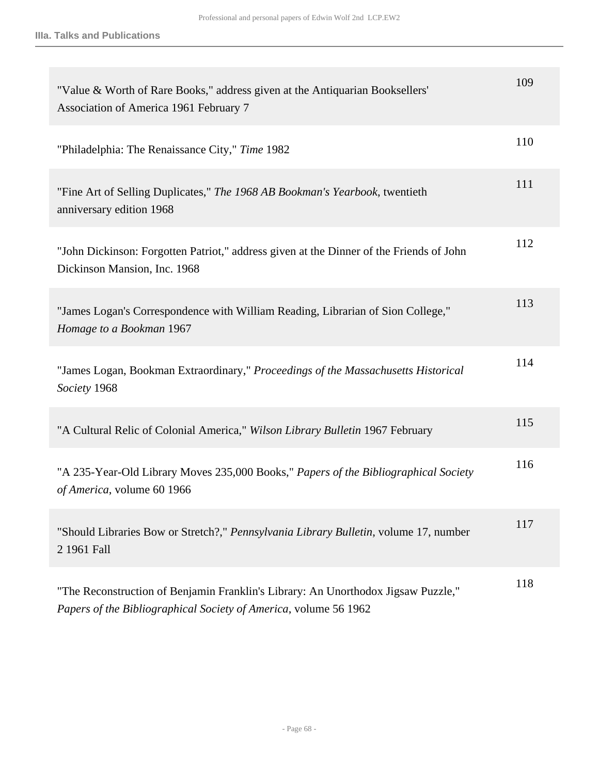| "Value & Worth of Rare Books," address given at the Antiquarian Booksellers'<br>Association of America 1961 February 7                                | 109 |
|-------------------------------------------------------------------------------------------------------------------------------------------------------|-----|
| "Philadelphia: The Renaissance City," Time 1982                                                                                                       | 110 |
| "Fine Art of Selling Duplicates," The 1968 AB Bookman's Yearbook, twentieth<br>anniversary edition 1968                                               | 111 |
| "John Dickinson: Forgotten Patriot," address given at the Dinner of the Friends of John<br>Dickinson Mansion, Inc. 1968                               | 112 |
| "James Logan's Correspondence with William Reading, Librarian of Sion College,"<br>Homage to a Bookman 1967                                           | 113 |
| "James Logan, Bookman Extraordinary," Proceedings of the Massachusetts Historical<br>Society 1968                                                     | 114 |
| "A Cultural Relic of Colonial America," Wilson Library Bulletin 1967 February                                                                         | 115 |
| "A 235-Year-Old Library Moves 235,000 Books," Papers of the Bibliographical Society<br>of America, volume 60 1966                                     | 116 |
| "Should Libraries Bow or Stretch?," Pennsylvania Library Bulletin, volume 17, number<br>2 1961 Fall                                                   | 117 |
| "The Reconstruction of Benjamin Franklin's Library: An Unorthodox Jigsaw Puzzle,"<br>Papers of the Bibliographical Society of America, volume 56 1962 | 118 |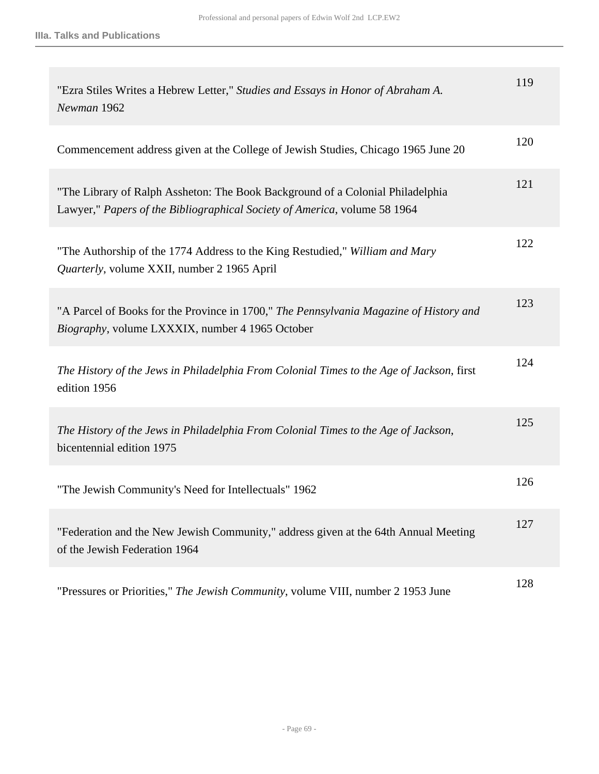| "Ezra Stiles Writes a Hebrew Letter," Studies and Essays in Honor of Abraham A.<br>Newman 1962                                                              | 119 |
|-------------------------------------------------------------------------------------------------------------------------------------------------------------|-----|
| Commencement address given at the College of Jewish Studies, Chicago 1965 June 20                                                                           | 120 |
| "The Library of Ralph Assheton: The Book Background of a Colonial Philadelphia<br>Lawyer," Papers of the Bibliographical Society of America, volume 58 1964 | 121 |
| "The Authorship of the 1774 Address to the King Restudied," William and Mary<br><i>Quarterly, volume XXII, number 2 1965 April</i>                          | 122 |
| "A Parcel of Books for the Province in 1700," The Pennsylvania Magazine of History and<br>Biography, volume LXXXIX, number 4 1965 October                   | 123 |
| The History of the Jews in Philadelphia From Colonial Times to the Age of Jackson, first<br>edition 1956                                                    | 124 |
| The History of the Jews in Philadelphia From Colonial Times to the Age of Jackson,<br>bicentennial edition 1975                                             | 125 |
| "The Jewish Community's Need for Intellectuals" 1962                                                                                                        | 126 |
| "Federation and the New Jewish Community," address given at the 64th Annual Meeting<br>of the Jewish Federation 1964                                        | 127 |
| "Pressures or Priorities," The Jewish Community, volume VIII, number 2 1953 June                                                                            | 128 |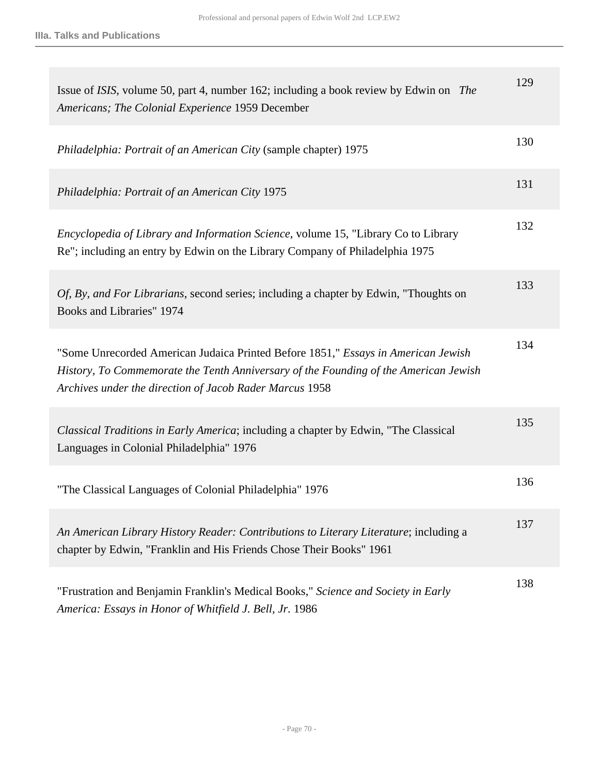| Issue of ISIS, volume 50, part 4, number 162; including a book review by Edwin on The<br>Americans; The Colonial Experience 1959 December                                                                                            | 129 |
|--------------------------------------------------------------------------------------------------------------------------------------------------------------------------------------------------------------------------------------|-----|
| Philadelphia: Portrait of an American City (sample chapter) 1975                                                                                                                                                                     | 130 |
| Philadelphia: Portrait of an American City 1975                                                                                                                                                                                      | 131 |
| Encyclopedia of Library and Information Science, volume 15, "Library Co to Library<br>Re"; including an entry by Edwin on the Library Company of Philadelphia 1975                                                                   | 132 |
| <i>Of, By, and For Librarians, second series; including a chapter by Edwin, "Thoughts on</i><br>Books and Libraries" 1974                                                                                                            | 133 |
| "Some Unrecorded American Judaica Printed Before 1851," Essays in American Jewish<br>History, To Commemorate the Tenth Anniversary of the Founding of the American Jewish<br>Archives under the direction of Jacob Rader Marcus 1958 | 134 |
| Classical Traditions in Early America; including a chapter by Edwin, "The Classical<br>Languages in Colonial Philadelphia" 1976                                                                                                      | 135 |
| "The Classical Languages of Colonial Philadelphia" 1976                                                                                                                                                                              | 136 |
| An American Library History Reader: Contributions to Literary Literature; including a<br>chapter by Edwin, "Franklin and His Friends Chose Their Books" 1961                                                                         | 137 |
| "Frustration and Benjamin Franklin's Medical Books," Science and Society in Early<br>America: Essays in Honor of Whitfield J. Bell, Jr. 1986                                                                                         | 138 |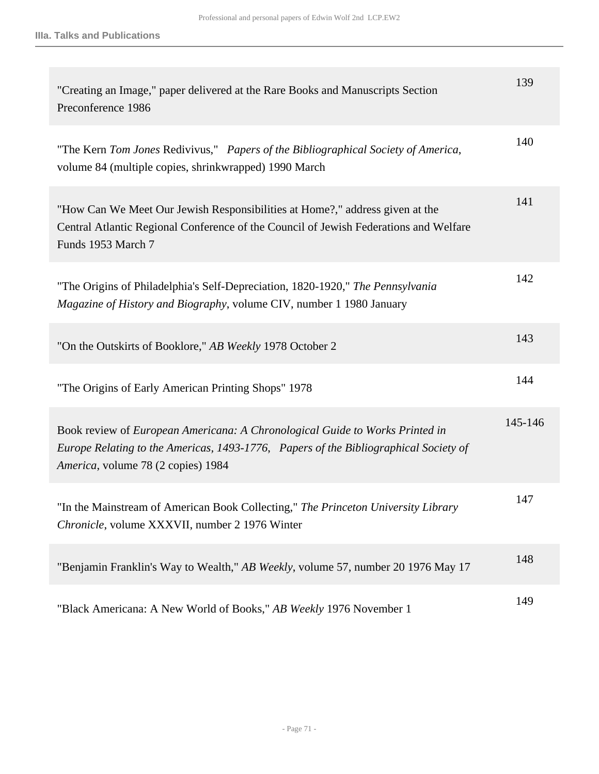| "Creating an Image," paper delivered at the Rare Books and Manuscripts Section<br>Preconference 1986                                                                                                       | 139     |
|------------------------------------------------------------------------------------------------------------------------------------------------------------------------------------------------------------|---------|
| "The Kern Tom Jones Redivivus," Papers of the Bibliographical Society of America,<br>volume 84 (multiple copies, shrinkwrapped) 1990 March                                                                 | 140     |
| "How Can We Meet Our Jewish Responsibilities at Home?," address given at the<br>Central Atlantic Regional Conference of the Council of Jewish Federations and Welfare<br>Funds 1953 March 7                | 141     |
| "The Origins of Philadelphia's Self-Depreciation, 1820-1920," The Pennsylvania<br>Magazine of History and Biography, volume CIV, number 1 1980 January                                                     | 142     |
| "On the Outskirts of Booklore," AB Weekly 1978 October 2                                                                                                                                                   | 143     |
| "The Origins of Early American Printing Shops" 1978                                                                                                                                                        | 144     |
| Book review of European Americana: A Chronological Guide to Works Printed in<br>Europe Relating to the Americas, 1493-1776, Papers of the Bibliographical Society of<br>America, volume 78 (2 copies) 1984 | 145-146 |
| "In the Mainstream of American Book Collecting," The Princeton University Library<br>Chronicle, volume XXXVII, number 2 1976 Winter                                                                        | 147     |
| "Benjamin Franklin's Way to Wealth," AB Weekly, volume 57, number 20 1976 May 17                                                                                                                           | 148     |
| "Black Americana: A New World of Books," AB Weekly 1976 November 1                                                                                                                                         | 149     |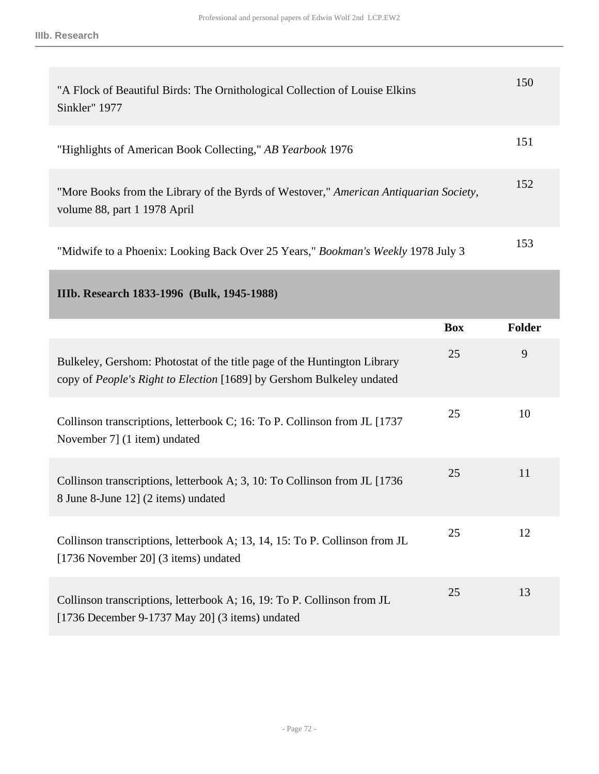| "A Flock of Beautiful Birds: The Ornithological Collection of Louise Elkins<br>Sinkler" 1977                          | 150 |
|-----------------------------------------------------------------------------------------------------------------------|-----|
| "Highlights of American Book Collecting," AB Yearbook 1976                                                            | 151 |
| "More Books from the Library of the Byrds of Westover," American Antiquarian Society,<br>volume 88, part 1 1978 April | 152 |
| "Midwife to a Phoenix: Looking Back Over 25 Years," <i>Bookman's Weekly</i> 1978 July 3                               | 153 |

**IIIb. Research 1833-1996 (Bulk, 1945-1988)**

|                                                                                                                                                   | <b>Box</b> | <b>Folder</b> |
|---------------------------------------------------------------------------------------------------------------------------------------------------|------------|---------------|
| Bulkeley, Gershom: Photostat of the title page of the Huntington Library<br>copy of People's Right to Election [1689] by Gershom Bulkeley undated | 25         | 9             |
| Collinson transcriptions, letterbook C; 16: To P. Collinson from JL [1737]<br>November 7] (1 item) undated                                        | 25         | 10            |
| Collinson transcriptions, letterbook A; 3, 10: To Collinson from JL [1736]<br>8 June 8-June 12] (2 items) undated                                 | 25         | 11            |
| Collinson transcriptions, letterbook A; 13, 14, 15: To P. Collinson from JL<br>[1736 November 20] (3 items) undated                               | 25         | 12            |
| Collinson transcriptions, letterbook A; 16, 19: To P. Collinson from JL<br>[1736 December 9-1737 May 20] $(3 \text{ items})$ undated              | 25         | 13            |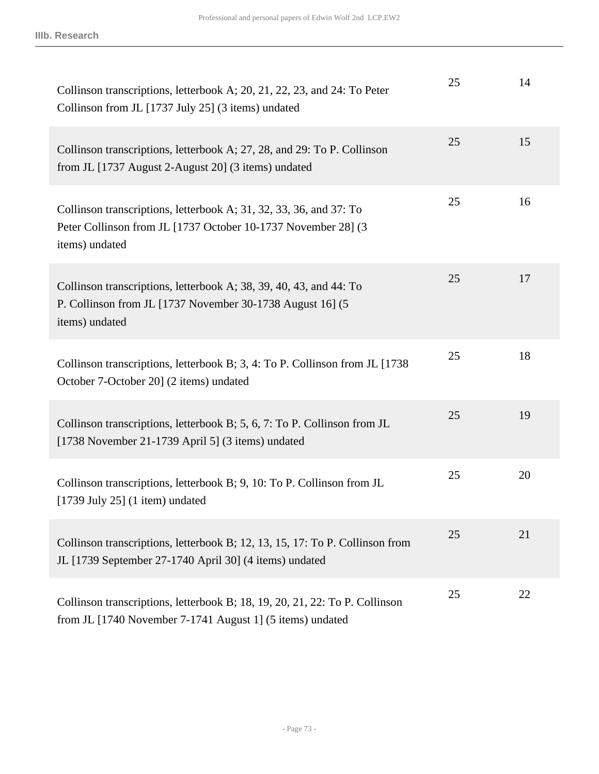| Collinson transcriptions, letterbook A; 20, 21, 22, 23, and 24: To Peter<br>Collinson from JL [1737 July 25] (3 items) undated                        | 25 | 14 |
|-------------------------------------------------------------------------------------------------------------------------------------------------------|----|----|
| Collinson transcriptions, letterbook A; 27, 28, and 29: To P. Collinson<br>from JL [1737 August 2-August 20] (3 items) undated                        | 25 | 15 |
| Collinson transcriptions, letterbook A; 31, 32, 33, 36, and 37: To<br>Peter Collinson from JL [1737 October 10-1737 November 28] (3<br>items) undated | 25 | 16 |
| Collinson transcriptions, letterbook A; 38, 39, 40, 43, and 44: To<br>P. Collinson from JL [1737 November 30-1738 August 16] (5<br>items) undated     | 25 | 17 |
| Collinson transcriptions, letterbook B; 3, 4: To P. Collinson from JL [1738<br>October 7-October 20] (2 items) undated                                | 25 | 18 |
| Collinson transcriptions, letterbook B; 5, 6, 7: To P. Collinson from JL<br>[1738 November 21-1739 April 5] $(3 \text{ items})$ undated               | 25 | 19 |
| Collinson transcriptions, letterbook B; 9, 10: To P. Collinson from JL<br>$[1739 \text{ July } 25]$ (1 item) undated                                  | 25 | 20 |
| Collinson transcriptions, letterbook B; 12, 13, 15, 17: To P. Collinson from<br>JL [1739 September 27-1740 April 30] (4 items) undated                | 25 | 21 |
| Collinson transcriptions, letterbook B; 18, 19, 20, 21, 22: To P. Collinson<br>from JL [1740 November 7-1741 August 1] (5 items) undated              | 25 | 22 |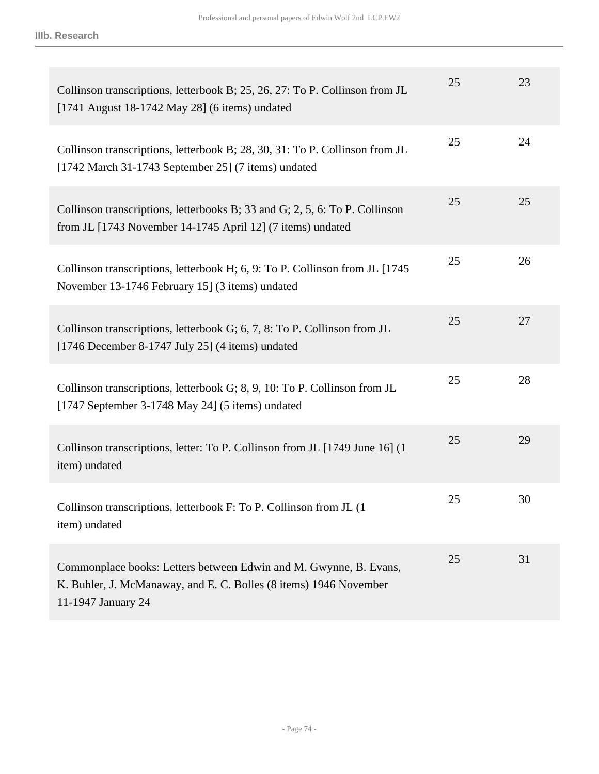| Collinson transcriptions, letterbook B; 25, 26, 27: To P. Collinson from JL<br>[1741 August 18-1742 May 28] (6 items) undated                                | 25 | 23 |
|--------------------------------------------------------------------------------------------------------------------------------------------------------------|----|----|
| Collinson transcriptions, letterbook B; 28, 30, 31: To P. Collinson from JL<br>[1742 March 31-1743 September 25] (7 items) undated                           | 25 | 24 |
| Collinson transcriptions, letterbooks B; 33 and G; 2, 5, 6: To P. Collinson<br>from JL [1743 November 14-1745 April 12] (7 items) undated                    | 25 | 25 |
| Collinson transcriptions, letterbook H; 6, 9: To P. Collinson from JL [1745]<br>November 13-1746 February 15] (3 items) undated                              | 25 | 26 |
| Collinson transcriptions, letterbook G; 6, 7, 8: To P. Collinson from JL<br>[1746 December 8-1747 July 25] (4 items) undated                                 | 25 | 27 |
| Collinson transcriptions, letterbook G; 8, 9, 10: To P. Collinson from JL<br>[1747 September 3-1748 May 24] $(5$ items) undated                              | 25 | 28 |
| Collinson transcriptions, letter: To P. Collinson from JL [1749 June 16] (1<br>item) undated                                                                 | 25 | 29 |
| Collinson transcriptions, letterbook F: To P. Collinson from JL (1)<br>item) undated                                                                         | 25 | 30 |
| Commonplace books: Letters between Edwin and M. Gwynne, B. Evans,<br>K. Buhler, J. McManaway, and E. C. Bolles (8 items) 1946 November<br>11-1947 January 24 | 25 | 31 |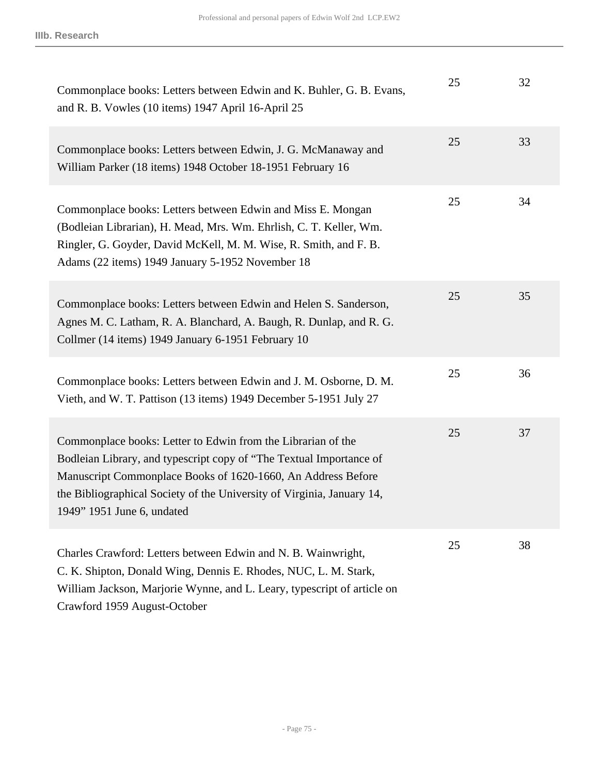| Commonplace books: Letters between Edwin and K. Buhler, G. B. Evans,<br>and R. B. Vowles (10 items) 1947 April 16-April 25                                                                                                                                                                                  | 25 | 32 |
|-------------------------------------------------------------------------------------------------------------------------------------------------------------------------------------------------------------------------------------------------------------------------------------------------------------|----|----|
| Commonplace books: Letters between Edwin, J. G. McManaway and<br>William Parker (18 items) 1948 October 18-1951 February 16                                                                                                                                                                                 | 25 | 33 |
| Commonplace books: Letters between Edwin and Miss E. Mongan<br>(Bodleian Librarian), H. Mead, Mrs. Wm. Ehrlish, C. T. Keller, Wm.<br>Ringler, G. Goyder, David McKell, M. M. Wise, R. Smith, and F. B.<br>Adams (22 items) 1949 January 5-1952 November 18                                                  | 25 | 34 |
| Commonplace books: Letters between Edwin and Helen S. Sanderson,<br>Agnes M. C. Latham, R. A. Blanchard, A. Baugh, R. Dunlap, and R. G.<br>Collmer (14 items) 1949 January 6-1951 February 10                                                                                                               | 25 | 35 |
| Commonplace books: Letters between Edwin and J. M. Osborne, D. M.<br>Vieth, and W. T. Pattison (13 items) 1949 December 5-1951 July 27                                                                                                                                                                      | 25 | 36 |
| Commonplace books: Letter to Edwin from the Librarian of the<br>Bodleian Library, and typescript copy of "The Textual Importance of<br>Manuscript Commonplace Books of 1620-1660, An Address Before<br>the Bibliographical Society of the University of Virginia, January 14,<br>1949" 1951 June 6, undated | 25 | 37 |
| Charles Crawford: Letters between Edwin and N. B. Wainwright,<br>C. K. Shipton, Donald Wing, Dennis E. Rhodes, NUC, L. M. Stark,<br>William Jackson, Marjorie Wynne, and L. Leary, typescript of article on<br>Crawford 1959 August-October                                                                 | 25 | 38 |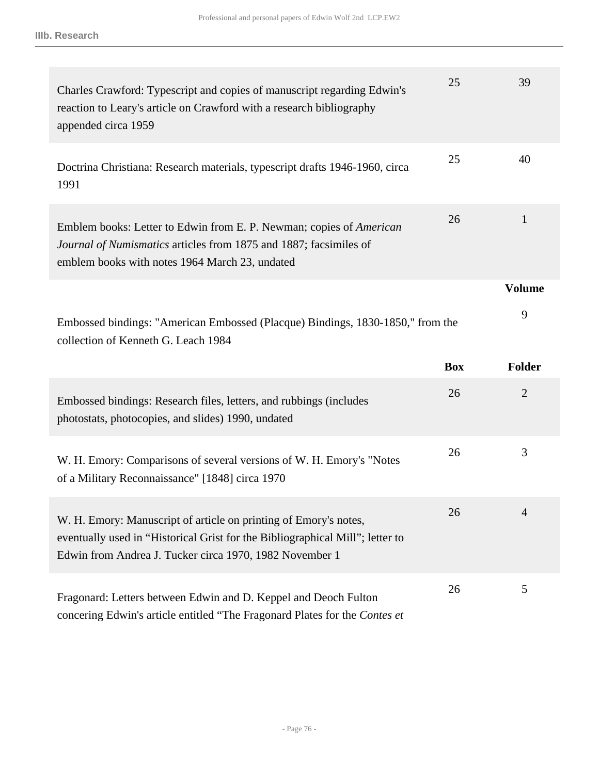| Charles Crawford: Typescript and copies of manuscript regarding Edwin's<br>reaction to Leary's article on Crawford with a research bibliography<br>appended circa 1959                                       | 25         | 39             |
|--------------------------------------------------------------------------------------------------------------------------------------------------------------------------------------------------------------|------------|----------------|
| Doctrina Christiana: Research materials, typescript drafts 1946-1960, circa<br>1991                                                                                                                          | 25         | 40             |
| Emblem books: Letter to Edwin from E. P. Newman; copies of American<br>Journal of Numismatics articles from 1875 and 1887; facsimiles of<br>emblem books with notes 1964 March 23, undated                   | 26         | 1              |
|                                                                                                                                                                                                              |            | <b>Volume</b>  |
| Embossed bindings: "American Embossed (Placque) Bindings, 1830-1850," from the<br>collection of Kenneth G. Leach 1984                                                                                        |            | 9              |
|                                                                                                                                                                                                              |            |                |
|                                                                                                                                                                                                              | <b>Box</b> | <b>Folder</b>  |
| Embossed bindings: Research files, letters, and rubbings (includes<br>photostats, photocopies, and slides) 1990, undated                                                                                     | 26         | $\overline{2}$ |
| W. H. Emory: Comparisons of several versions of W. H. Emory's "Notes<br>of a Military Reconnaissance" [1848] circa 1970                                                                                      | 26         | 3              |
| W. H. Emory: Manuscript of article on printing of Emory's notes,<br>eventually used in "Historical Grist for the Bibliographical Mill"; letter to<br>Edwin from Andrea J. Tucker circa 1970, 1982 November 1 | 26         |                |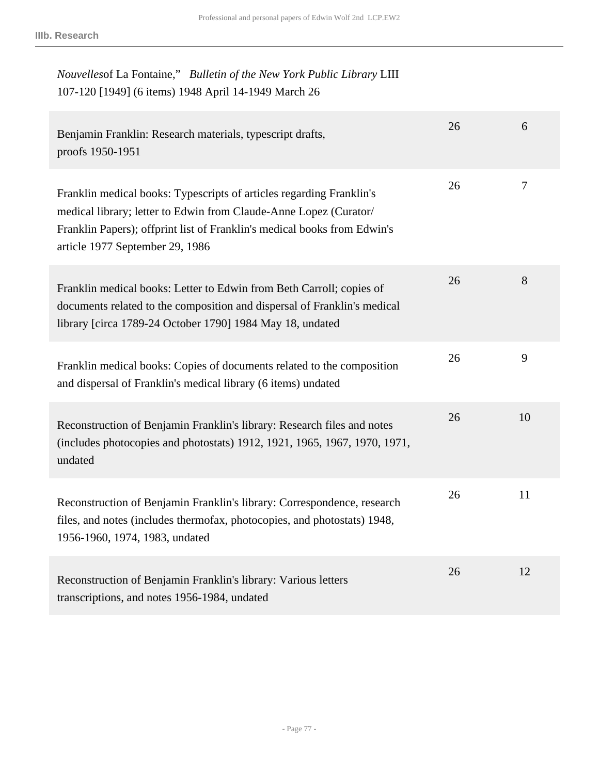| Nouvelles of La Fontaine," Bulletin of the New York Public Library LIII |
|-------------------------------------------------------------------------|
| 107-120 [1949] (6 items) 1948 April 14-1949 March 26                    |

| Benjamin Franklin: Research materials, typescript drafts,<br>proofs 1950-1951                                                                                                                                                                            | 26 | 6      |
|----------------------------------------------------------------------------------------------------------------------------------------------------------------------------------------------------------------------------------------------------------|----|--------|
| Franklin medical books: Typescripts of articles regarding Franklin's<br>medical library; letter to Edwin from Claude-Anne Lopez (Curator/<br>Franklin Papers); offprint list of Franklin's medical books from Edwin's<br>article 1977 September 29, 1986 | 26 | $\tau$ |
| Franklin medical books: Letter to Edwin from Beth Carroll; copies of<br>documents related to the composition and dispersal of Franklin's medical<br>library [circa 1789-24 October 1790] 1984 May 18, undated                                            | 26 | 8      |
| Franklin medical books: Copies of documents related to the composition<br>and dispersal of Franklin's medical library (6 items) undated                                                                                                                  | 26 | 9      |
| Reconstruction of Benjamin Franklin's library: Research files and notes<br>(includes photocopies and photostats) 1912, 1921, 1965, 1967, 1970, 1971,<br>undated                                                                                          | 26 | 10     |
| Reconstruction of Benjamin Franklin's library: Correspondence, research<br>files, and notes (includes thermofax, photocopies, and photostats) 1948,<br>1956-1960, 1974, 1983, undated                                                                    | 26 | 11     |
| Reconstruction of Benjamin Franklin's library: Various letters<br>transcriptions, and notes 1956-1984, undated                                                                                                                                           | 26 | 12     |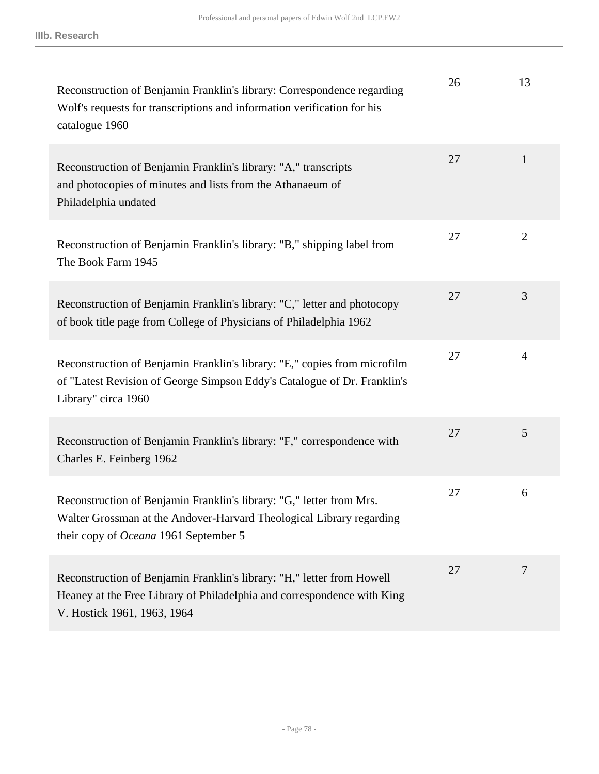| Reconstruction of Benjamin Franklin's library: Correspondence regarding<br>Wolf's requests for transcriptions and information verification for his<br>catalogue 1960                         | 26 | 13             |
|----------------------------------------------------------------------------------------------------------------------------------------------------------------------------------------------|----|----------------|
| Reconstruction of Benjamin Franklin's library: "A," transcripts<br>and photocopies of minutes and lists from the Athanaeum of<br>Philadelphia undated                                        | 27 | $\mathbf{1}$   |
| Reconstruction of Benjamin Franklin's library: "B," shipping label from<br>The Book Farm 1945                                                                                                | 27 | $\overline{2}$ |
| Reconstruction of Benjamin Franklin's library: "C," letter and photocopy<br>of book title page from College of Physicians of Philadelphia 1962                                               | 27 | 3              |
| Reconstruction of Benjamin Franklin's library: "E," copies from microfilm<br>of "Latest Revision of George Simpson Eddy's Catalogue of Dr. Franklin's<br>Library" circa 1960                 | 27 | $\overline{4}$ |
| Reconstruction of Benjamin Franklin's library: "F," correspondence with<br>Charles E. Feinberg 1962                                                                                          | 27 | 5              |
| Reconstruction of Benjamin Franklin's library: "G," letter from Mrs.<br>Walter Grossman at the Andover-Harvard Theological Library regarding<br>their copy of <i>Oceana</i> 1961 September 5 | 27 | 6              |
| Reconstruction of Benjamin Franklin's library: "H," letter from Howell<br>Heaney at the Free Library of Philadelphia and correspondence with King<br>V. Hostick 1961, 1963, 1964             | 27 | 7              |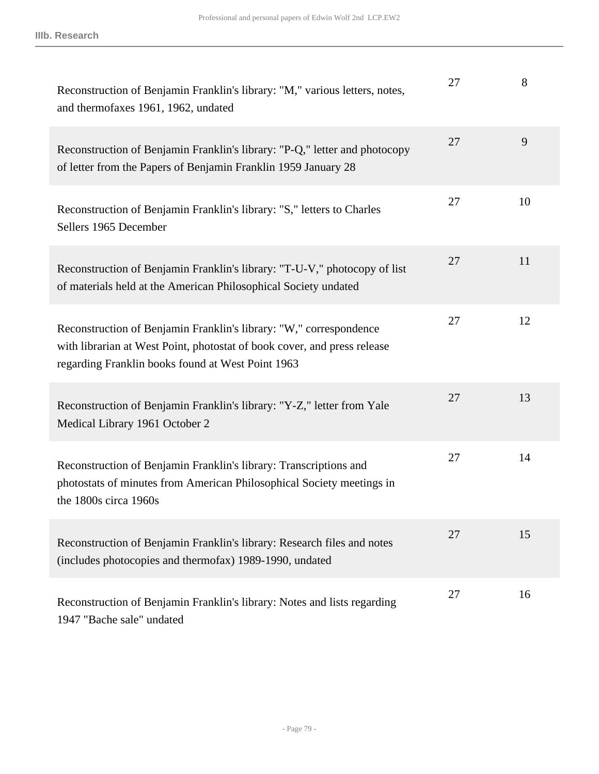| Reconstruction of Benjamin Franklin's library: "M," various letters, notes,<br>and thermofaxes 1961, 1962, undated                                                                                  | 27 | 8  |
|-----------------------------------------------------------------------------------------------------------------------------------------------------------------------------------------------------|----|----|
| Reconstruction of Benjamin Franklin's library: "P-Q," letter and photocopy<br>of letter from the Papers of Benjamin Franklin 1959 January 28                                                        | 27 | 9  |
| Reconstruction of Benjamin Franklin's library: "S," letters to Charles<br>Sellers 1965 December                                                                                                     | 27 | 10 |
| Reconstruction of Benjamin Franklin's library: "T-U-V," photocopy of list<br>of materials held at the American Philosophical Society undated                                                        | 27 | 11 |
| Reconstruction of Benjamin Franklin's library: "W," correspondence<br>with librarian at West Point, photostat of book cover, and press release<br>regarding Franklin books found at West Point 1963 | 27 | 12 |
| Reconstruction of Benjamin Franklin's library: "Y-Z," letter from Yale<br>Medical Library 1961 October 2                                                                                            | 27 | 13 |
| Reconstruction of Benjamin Franklin's library: Transcriptions and<br>photostats of minutes from American Philosophical Society meetings in<br>the 1800s circa 1960s                                 | 27 | 14 |
| Reconstruction of Benjamin Franklin's library: Research files and notes<br>(includes photocopies and thermofax) 1989-1990, undated                                                                  | 27 | 15 |
| Reconstruction of Benjamin Franklin's library: Notes and lists regarding<br>1947 "Bache sale" undated                                                                                               | 27 | 16 |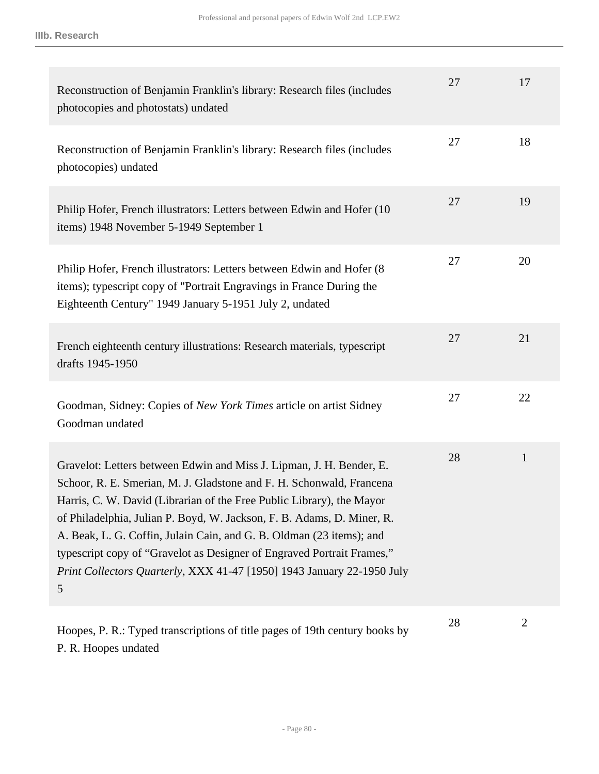| Reconstruction of Benjamin Franklin's library: Research files (includes<br>photocopies and photostats) undated                                                                                                                                                                                                                                                                                                                                                                                                                   | 27 | 17           |
|----------------------------------------------------------------------------------------------------------------------------------------------------------------------------------------------------------------------------------------------------------------------------------------------------------------------------------------------------------------------------------------------------------------------------------------------------------------------------------------------------------------------------------|----|--------------|
| Reconstruction of Benjamin Franklin's library: Research files (includes<br>photocopies) undated                                                                                                                                                                                                                                                                                                                                                                                                                                  | 27 | 18           |
| Philip Hofer, French illustrators: Letters between Edwin and Hofer (10)<br>items) 1948 November 5-1949 September 1                                                                                                                                                                                                                                                                                                                                                                                                               | 27 | 19           |
| Philip Hofer, French illustrators: Letters between Edwin and Hofer (8)<br>items); typescript copy of "Portrait Engravings in France During the<br>Eighteenth Century" 1949 January 5-1951 July 2, undated                                                                                                                                                                                                                                                                                                                        | 27 | 20           |
| French eighteenth century illustrations: Research materials, typescript<br>drafts 1945-1950                                                                                                                                                                                                                                                                                                                                                                                                                                      | 27 | 21           |
| Goodman, Sidney: Copies of New York Times article on artist Sidney<br>Goodman undated                                                                                                                                                                                                                                                                                                                                                                                                                                            | 27 | 22           |
| Gravelot: Letters between Edwin and Miss J. Lipman, J. H. Bender, E.<br>Schoor, R. E. Smerian, M. J. Gladstone and F. H. Schonwald, Francena<br>Harris, C. W. David (Librarian of the Free Public Library), the Mayor<br>of Philadelphia, Julian P. Boyd, W. Jackson, F. B. Adams, D. Miner, R.<br>A. Beak, L. G. Coffin, Julain Cain, and G. B. Oldman (23 items); and<br>typescript copy of "Gravelot as Designer of Engraved Portrait Frames,"<br>Print Collectors Quarterly, XXX 41-47 [1950] 1943 January 22-1950 July<br>5 | 28 | $\mathbf{1}$ |
| Hoopes, P. R.: Typed transcriptions of title pages of 19th century books by                                                                                                                                                                                                                                                                                                                                                                                                                                                      | 28 | $\mathbf{2}$ |

P. R. Hoopes undated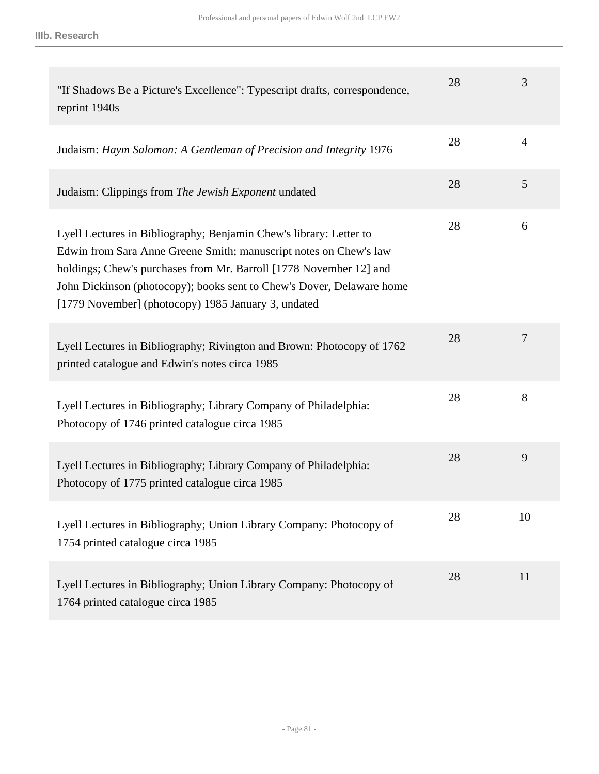| "If Shadows Be a Picture's Excellence": Typescript drafts, correspondence,<br>reprint 1940s                                                                                                                                                                                                                                                   | 28 | 3              |
|-----------------------------------------------------------------------------------------------------------------------------------------------------------------------------------------------------------------------------------------------------------------------------------------------------------------------------------------------|----|----------------|
| Judaism: Haym Salomon: A Gentleman of Precision and Integrity 1976                                                                                                                                                                                                                                                                            | 28 | $\overline{4}$ |
| Judaism: Clippings from The Jewish Exponent undated                                                                                                                                                                                                                                                                                           | 28 | 5              |
| Lyell Lectures in Bibliography; Benjamin Chew's library: Letter to<br>Edwin from Sara Anne Greene Smith; manuscript notes on Chew's law<br>holdings; Chew's purchases from Mr. Barroll [1778 November 12] and<br>John Dickinson (photocopy); books sent to Chew's Dover, Delaware home<br>[1779 November] (photocopy) 1985 January 3, undated | 28 | 6              |
| Lyell Lectures in Bibliography; Rivington and Brown: Photocopy of 1762<br>printed catalogue and Edwin's notes circa 1985                                                                                                                                                                                                                      | 28 | 7              |
| Lyell Lectures in Bibliography; Library Company of Philadelphia:<br>Photocopy of 1746 printed catalogue circa 1985                                                                                                                                                                                                                            | 28 | 8              |
| Lyell Lectures in Bibliography; Library Company of Philadelphia:<br>Photocopy of 1775 printed catalogue circa 1985                                                                                                                                                                                                                            | 28 | 9              |
| Lyell Lectures in Bibliography; Union Library Company: Photocopy of<br>1754 printed catalogue circa 1985                                                                                                                                                                                                                                      | 28 | 10             |
| Lyell Lectures in Bibliography; Union Library Company: Photocopy of<br>1764 printed catalogue circa 1985                                                                                                                                                                                                                                      | 28 | 11             |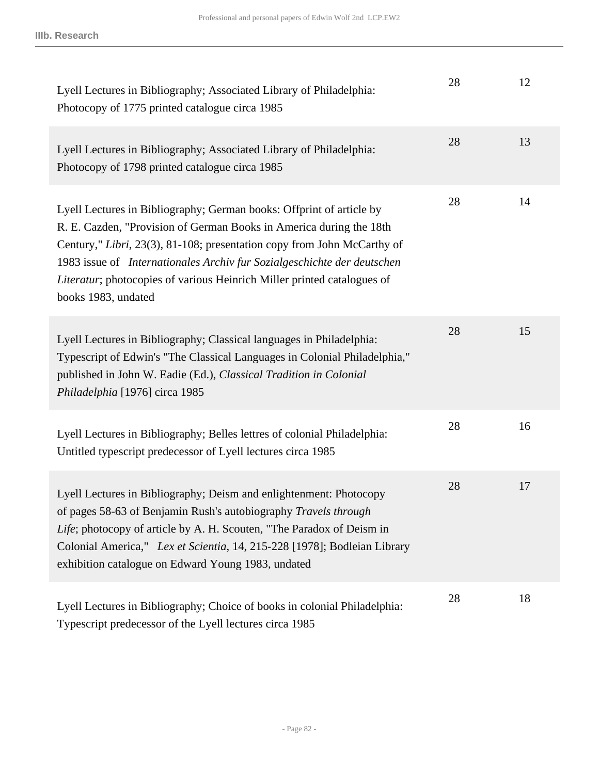| Lyell Lectures in Bibliography; Associated Library of Philadelphia:<br>Photocopy of 1775 printed catalogue circa 1985                                                                                                                                                                                                                                                                               | 28 | 12 |
|-----------------------------------------------------------------------------------------------------------------------------------------------------------------------------------------------------------------------------------------------------------------------------------------------------------------------------------------------------------------------------------------------------|----|----|
| Lyell Lectures in Bibliography; Associated Library of Philadelphia:<br>Photocopy of 1798 printed catalogue circa 1985                                                                                                                                                                                                                                                                               | 28 | 13 |
| Lyell Lectures in Bibliography; German books: Offprint of article by<br>R. E. Cazden, "Provision of German Books in America during the 18th<br>Century," Libri, 23(3), 81-108; presentation copy from John McCarthy of<br>1983 issue of Internationales Archiv fur Sozialgeschichte der deutschen<br>Literatur; photocopies of various Heinrich Miller printed catalogues of<br>books 1983, undated | 28 | 14 |
| Lyell Lectures in Bibliography; Classical languages in Philadelphia:<br>Typescript of Edwin's "The Classical Languages in Colonial Philadelphia,"<br>published in John W. Eadie (Ed.), Classical Tradition in Colonial<br>Philadelphia [1976] circa 1985                                                                                                                                            | 28 | 15 |
| Lyell Lectures in Bibliography; Belles lettres of colonial Philadelphia:<br>Untitled typescript predecessor of Lyell lectures circa 1985                                                                                                                                                                                                                                                            | 28 | 16 |
| Lyell Lectures in Bibliography; Deism and enlightenment: Photocopy<br>of pages 58-63 of Benjamin Rush's autobiography Travels through<br>Life; photocopy of article by A. H. Scouten, "The Paradox of Deism in<br>Colonial America," Lex et Scientia, 14, 215-228 [1978]; Bodleian Library<br>exhibition catalogue on Edward Young 1983, undated                                                    | 28 | 17 |
| Lyell Lectures in Bibliography; Choice of books in colonial Philadelphia:<br>Typescript predecessor of the Lyell lectures circa 1985                                                                                                                                                                                                                                                                | 28 | 18 |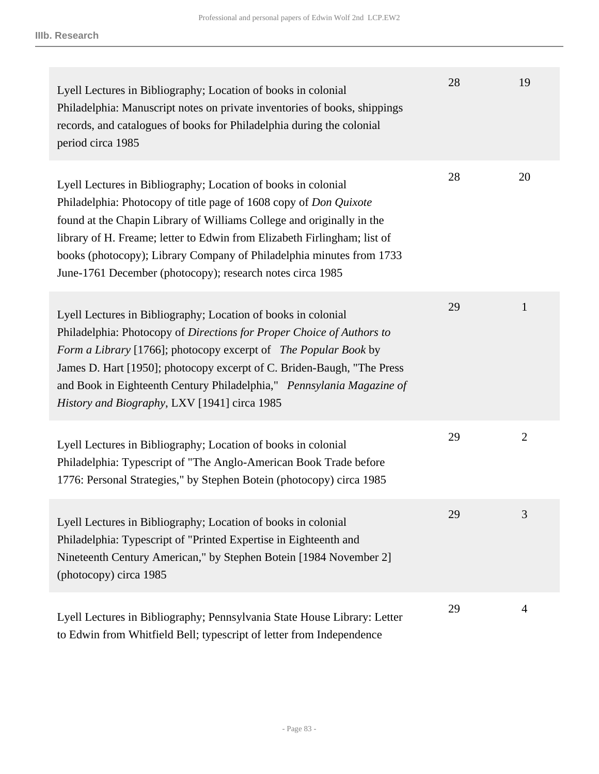| Lyell Lectures in Bibliography; Location of books in colonial<br>Philadelphia: Manuscript notes on private inventories of books, shippings<br>records, and catalogues of books for Philadelphia during the colonial<br>period circa 1985                                                                                                                                                                                     | 28 | 19             |
|------------------------------------------------------------------------------------------------------------------------------------------------------------------------------------------------------------------------------------------------------------------------------------------------------------------------------------------------------------------------------------------------------------------------------|----|----------------|
| Lyell Lectures in Bibliography; Location of books in colonial<br>Philadelphia: Photocopy of title page of 1608 copy of Don Quixote<br>found at the Chapin Library of Williams College and originally in the<br>library of H. Freame; letter to Edwin from Elizabeth Firlingham; list of<br>books (photocopy); Library Company of Philadelphia minutes from 1733<br>June-1761 December (photocopy); research notes circa 1985 | 28 | 20             |
| Lyell Lectures in Bibliography; Location of books in colonial<br>Philadelphia: Photocopy of Directions for Proper Choice of Authors to<br>Form a Library [1766]; photocopy excerpt of The Popular Book by<br>James D. Hart [1950]; photocopy excerpt of C. Briden-Baugh, "The Press<br>and Book in Eighteenth Century Philadelphia," Pennsylania Magazine of<br>History and Biography, LXV [1941] circa 1985                 | 29 | $\mathbf{1}$   |
| Lyell Lectures in Bibliography; Location of books in colonial<br>Philadelphia: Typescript of "The Anglo-American Book Trade before<br>1776: Personal Strategies," by Stephen Botein (photocopy) circa 1985                                                                                                                                                                                                                   | 29 | $\overline{2}$ |
| Lyell Lectures in Bibliography; Location of books in colonial<br>Philadelphia: Typescript of "Printed Expertise in Eighteenth and<br>Nineteenth Century American," by Stephen Botein [1984 November 2]<br>(photocopy) circa 1985                                                                                                                                                                                             | 29 | 3              |
| Lyell Lectures in Bibliography; Pennsylvania State House Library: Letter<br>to Edwin from Whitfield Bell; typescript of letter from Independence                                                                                                                                                                                                                                                                             | 29 | $\overline{4}$ |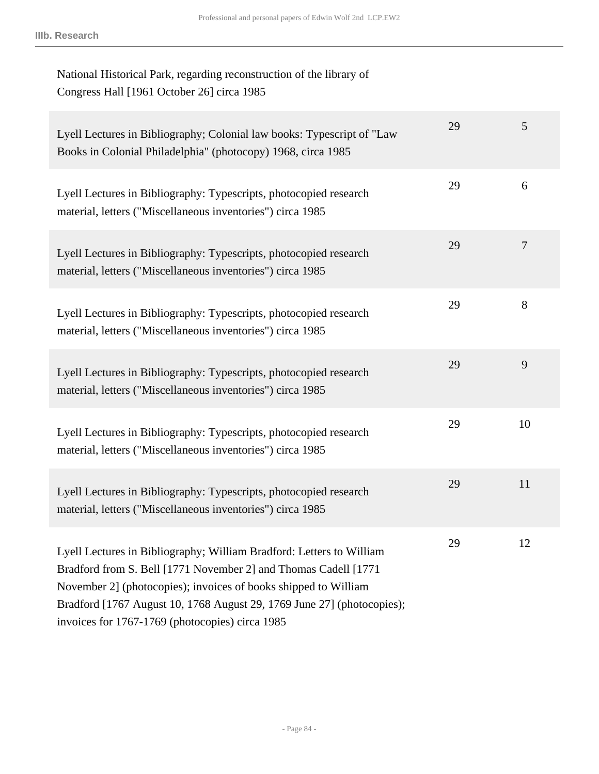| National Historical Park, regarding reconstruction of the library of<br>Congress Hall [1961 October 26] circa 1985                                                                                                                                                                                                                      |    |    |
|-----------------------------------------------------------------------------------------------------------------------------------------------------------------------------------------------------------------------------------------------------------------------------------------------------------------------------------------|----|----|
| Lyell Lectures in Bibliography; Colonial law books: Typescript of "Law<br>Books in Colonial Philadelphia" (photocopy) 1968, circa 1985                                                                                                                                                                                                  | 29 | 5  |
| Lyell Lectures in Bibliography: Typescripts, photocopied research<br>material, letters ("Miscellaneous inventories") circa 1985                                                                                                                                                                                                         | 29 | 6  |
| Lyell Lectures in Bibliography: Typescripts, photocopied research<br>material, letters ("Miscellaneous inventories") circa 1985                                                                                                                                                                                                         | 29 | 7  |
| Lyell Lectures in Bibliography: Typescripts, photocopied research<br>material, letters ("Miscellaneous inventories") circa 1985                                                                                                                                                                                                         | 29 | 8  |
| Lyell Lectures in Bibliography: Typescripts, photocopied research<br>material, letters ("Miscellaneous inventories") circa 1985                                                                                                                                                                                                         | 29 | 9  |
| Lyell Lectures in Bibliography: Typescripts, photocopied research<br>material, letters ("Miscellaneous inventories") circa 1985                                                                                                                                                                                                         | 29 | 10 |
| Lyell Lectures in Bibliography: Typescripts, photocopied research<br>material, letters ("Miscellaneous inventories") circa 1985                                                                                                                                                                                                         | 29 | 11 |
| Lyell Lectures in Bibliography; William Bradford: Letters to William<br>Bradford from S. Bell [1771 November 2] and Thomas Cadell [1771<br>November 2] (photocopies); invoices of books shipped to William<br>Bradford [1767 August 10, 1768 August 29, 1769 June 27] (photocopies);<br>invoices for 1767-1769 (photocopies) circa 1985 | 29 | 12 |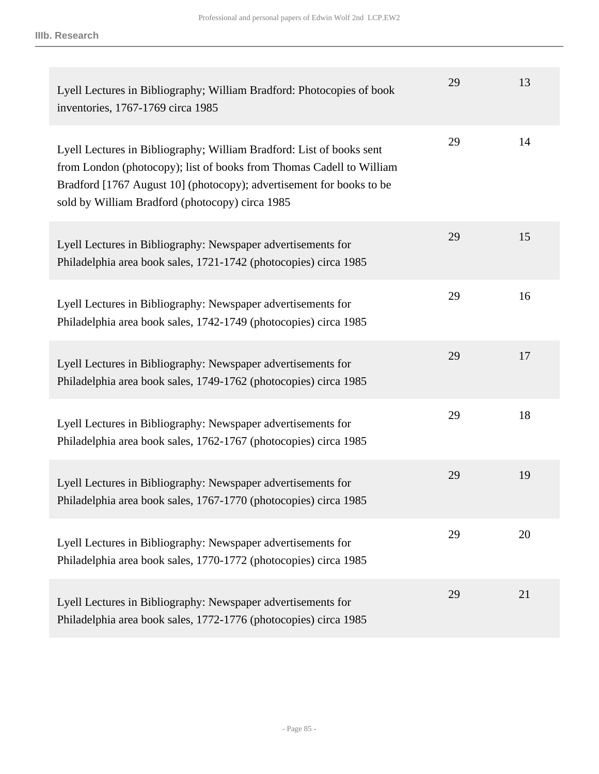| Lyell Lectures in Bibliography; William Bradford: Photocopies of book<br>inventories, 1767-1769 circa 1985                                                                                                                                                              | 29 | 13 |
|-------------------------------------------------------------------------------------------------------------------------------------------------------------------------------------------------------------------------------------------------------------------------|----|----|
| Lyell Lectures in Bibliography; William Bradford: List of books sent<br>from London (photocopy); list of books from Thomas Cadell to William<br>Bradford [1767 August 10] (photocopy); advertisement for books to be<br>sold by William Bradford (photocopy) circa 1985 | 29 | 14 |
| Lyell Lectures in Bibliography: Newspaper advertisements for<br>Philadelphia area book sales, 1721-1742 (photocopies) circa 1985                                                                                                                                        | 29 | 15 |
| Lyell Lectures in Bibliography: Newspaper advertisements for<br>Philadelphia area book sales, 1742-1749 (photocopies) circa 1985                                                                                                                                        | 29 | 16 |
| Lyell Lectures in Bibliography: Newspaper advertisements for<br>Philadelphia area book sales, 1749-1762 (photocopies) circa 1985                                                                                                                                        | 29 | 17 |
| Lyell Lectures in Bibliography: Newspaper advertisements for<br>Philadelphia area book sales, 1762-1767 (photocopies) circa 1985                                                                                                                                        | 29 | 18 |
| Lyell Lectures in Bibliography: Newspaper advertisements for<br>Philadelphia area book sales, 1767-1770 (photocopies) circa 1985                                                                                                                                        | 29 | 19 |
| Lyell Lectures in Bibliography: Newspaper advertisements for<br>Philadelphia area book sales, 1770-1772 (photocopies) circa 1985                                                                                                                                        | 29 | 20 |
| Lyell Lectures in Bibliography: Newspaper advertisements for<br>Philadelphia area book sales, 1772-1776 (photocopies) circa 1985                                                                                                                                        | 29 | 21 |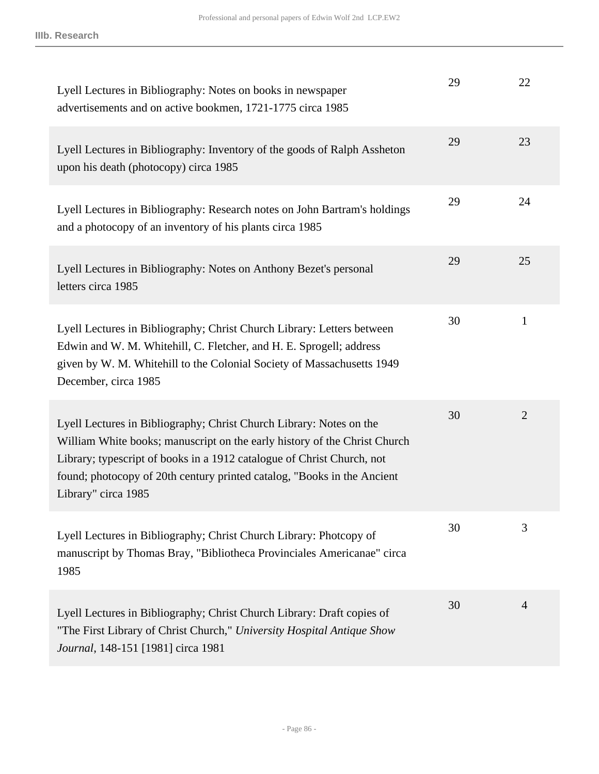| Lyell Lectures in Bibliography: Notes on books in newspaper<br>advertisements and on active bookmen, 1721-1775 circa 1985                                                                                                                                                                                                    | 29 | 22             |
|------------------------------------------------------------------------------------------------------------------------------------------------------------------------------------------------------------------------------------------------------------------------------------------------------------------------------|----|----------------|
| Lyell Lectures in Bibliography: Inventory of the goods of Ralph Assheton<br>upon his death (photocopy) circa 1985                                                                                                                                                                                                            | 29 | 23             |
| Lyell Lectures in Bibliography: Research notes on John Bartram's holdings<br>and a photocopy of an inventory of his plants circa 1985                                                                                                                                                                                        | 29 | 24             |
| Lyell Lectures in Bibliography: Notes on Anthony Bezet's personal<br>letters circa 1985                                                                                                                                                                                                                                      | 29 | 25             |
| Lyell Lectures in Bibliography; Christ Church Library: Letters between<br>Edwin and W. M. Whitehill, C. Fletcher, and H. E. Sprogell; address<br>given by W. M. Whitehill to the Colonial Society of Massachusetts 1949<br>December, circa 1985                                                                              | 30 | $\mathbf{1}$   |
| Lyell Lectures in Bibliography; Christ Church Library: Notes on the<br>William White books; manuscript on the early history of the Christ Church<br>Library; typescript of books in a 1912 catalogue of Christ Church, not<br>found; photocopy of 20th century printed catalog, "Books in the Ancient<br>Library" circa 1985 | 30 | $\overline{2}$ |
| Lyell Lectures in Bibliography; Christ Church Library: Photcopy of<br>manuscript by Thomas Bray, "Bibliotheca Provinciales Americanae" circa<br>1985                                                                                                                                                                         | 30 | 3              |
| Lyell Lectures in Bibliography; Christ Church Library: Draft copies of<br>"The First Library of Christ Church," University Hospital Antique Show<br>Journal, 148-151 [1981] circa 1981                                                                                                                                       | 30 | $\overline{4}$ |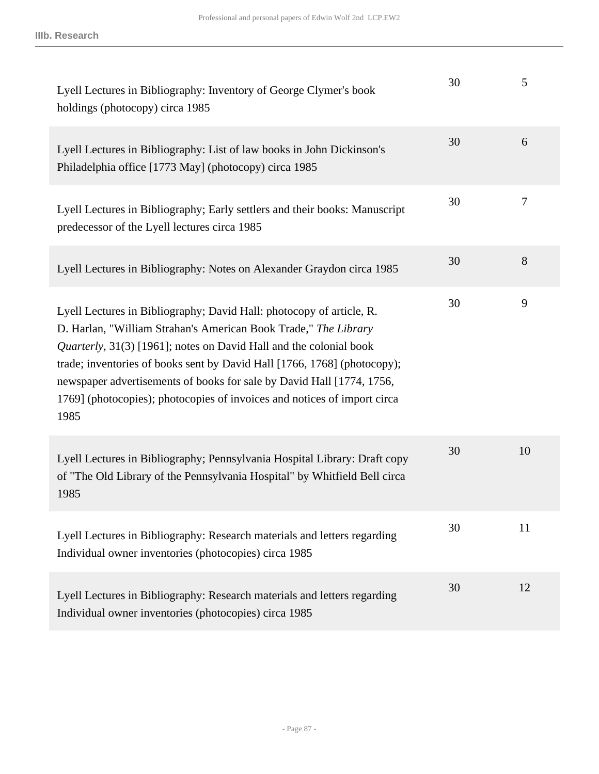| Lyell Lectures in Bibliography: Inventory of George Clymer's book<br>holdings (photocopy) circa 1985                                                                                                                                                                                                                                                                                                                                                   | 30 | 5      |
|--------------------------------------------------------------------------------------------------------------------------------------------------------------------------------------------------------------------------------------------------------------------------------------------------------------------------------------------------------------------------------------------------------------------------------------------------------|----|--------|
| Lyell Lectures in Bibliography: List of law books in John Dickinson's<br>Philadelphia office [1773 May] (photocopy) circa 1985                                                                                                                                                                                                                                                                                                                         | 30 | 6      |
| Lyell Lectures in Bibliography; Early settlers and their books: Manuscript<br>predecessor of the Lyell lectures circa 1985                                                                                                                                                                                                                                                                                                                             | 30 | $\tau$ |
| Lyell Lectures in Bibliography: Notes on Alexander Graydon circa 1985                                                                                                                                                                                                                                                                                                                                                                                  | 30 | 8      |
| Lyell Lectures in Bibliography; David Hall: photocopy of article, R.<br>D. Harlan, "William Strahan's American Book Trade," The Library<br>Quarterly, 31(3) [1961]; notes on David Hall and the colonial book<br>trade; inventories of books sent by David Hall [1766, 1768] (photocopy);<br>newspaper advertisements of books for sale by David Hall [1774, 1756,<br>1769] (photocopies); photocopies of invoices and notices of import circa<br>1985 | 30 | 9      |
| Lyell Lectures in Bibliography; Pennsylvania Hospital Library: Draft copy<br>of "The Old Library of the Pennsylvania Hospital" by Whitfield Bell circa<br>1985                                                                                                                                                                                                                                                                                         | 30 | 10     |
| Lyell Lectures in Bibliography: Research materials and letters regarding<br>Individual owner inventories (photocopies) circa 1985                                                                                                                                                                                                                                                                                                                      | 30 | 11     |
| Lyell Lectures in Bibliography: Research materials and letters regarding<br>Individual owner inventories (photocopies) circa 1985                                                                                                                                                                                                                                                                                                                      | 30 | 12     |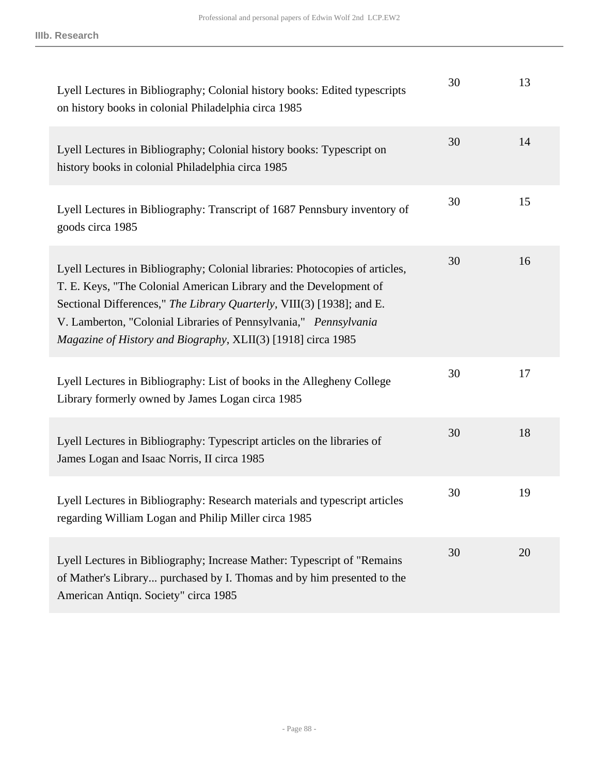| Lyell Lectures in Bibliography; Colonial history books: Edited typescripts<br>on history books in colonial Philadelphia circa 1985                                                                                                                                                                                                                             | 30 | 13 |
|----------------------------------------------------------------------------------------------------------------------------------------------------------------------------------------------------------------------------------------------------------------------------------------------------------------------------------------------------------------|----|----|
| Lyell Lectures in Bibliography; Colonial history books: Typescript on<br>history books in colonial Philadelphia circa 1985                                                                                                                                                                                                                                     | 30 | 14 |
| Lyell Lectures in Bibliography: Transcript of 1687 Pennsbury inventory of<br>goods circa 1985                                                                                                                                                                                                                                                                  | 30 | 15 |
| Lyell Lectures in Bibliography; Colonial libraries: Photocopies of articles,<br>T. E. Keys, "The Colonial American Library and the Development of<br>Sectional Differences," The Library Quarterly, VIII(3) [1938]; and E.<br>V. Lamberton, "Colonial Libraries of Pennsylvania," Pennsylvania<br>Magazine of History and Biography, XLII(3) [1918] circa 1985 | 30 | 16 |
| Lyell Lectures in Bibliography: List of books in the Allegheny College<br>Library formerly owned by James Logan circa 1985                                                                                                                                                                                                                                     | 30 | 17 |
| Lyell Lectures in Bibliography: Typescript articles on the libraries of<br>James Logan and Isaac Norris, II circa 1985                                                                                                                                                                                                                                         | 30 | 18 |
| Lyell Lectures in Bibliography: Research materials and typescript articles<br>regarding William Logan and Philip Miller circa 1985                                                                                                                                                                                                                             | 30 | 19 |
| Lyell Lectures in Bibliography; Increase Mather: Typescript of "Remains"<br>of Mather's Library purchased by I. Thomas and by him presented to the<br>American Antiqn. Society" circa 1985                                                                                                                                                                     | 30 | 20 |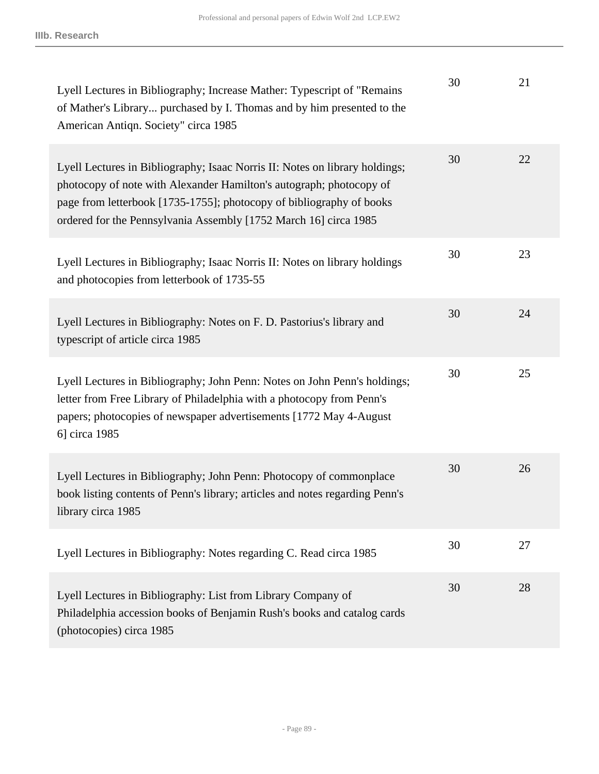| Lyell Lectures in Bibliography; Increase Mather: Typescript of "Remains"<br>of Mather's Library purchased by I. Thomas and by him presented to the<br>American Antiqn. Society" circa 1985                                                                                                     | 30 | 21 |
|------------------------------------------------------------------------------------------------------------------------------------------------------------------------------------------------------------------------------------------------------------------------------------------------|----|----|
| Lyell Lectures in Bibliography; Isaac Norris II: Notes on library holdings;<br>photocopy of note with Alexander Hamilton's autograph; photocopy of<br>page from letterbook [1735-1755]; photocopy of bibliography of books<br>ordered for the Pennsylvania Assembly [1752 March 16] circa 1985 | 30 | 22 |
| Lyell Lectures in Bibliography; Isaac Norris II: Notes on library holdings<br>and photocopies from letterbook of 1735-55                                                                                                                                                                       | 30 | 23 |
| Lyell Lectures in Bibliography: Notes on F. D. Pastorius's library and<br>typescript of article circa 1985                                                                                                                                                                                     | 30 | 24 |
| Lyell Lectures in Bibliography; John Penn: Notes on John Penn's holdings;<br>letter from Free Library of Philadelphia with a photocopy from Penn's<br>papers; photocopies of newspaper advertisements [1772 May 4-August]<br>6] circa 1985                                                     | 30 | 25 |
| Lyell Lectures in Bibliography; John Penn: Photocopy of commonplace<br>book listing contents of Penn's library; articles and notes regarding Penn's<br>library circa 1985                                                                                                                      | 30 | 26 |
| Lyell Lectures in Bibliography: Notes regarding C. Read circa 1985                                                                                                                                                                                                                             | 30 | 27 |
| Lyell Lectures in Bibliography: List from Library Company of<br>Philadelphia accession books of Benjamin Rush's books and catalog cards<br>(photocopies) circa 1985                                                                                                                            | 30 | 28 |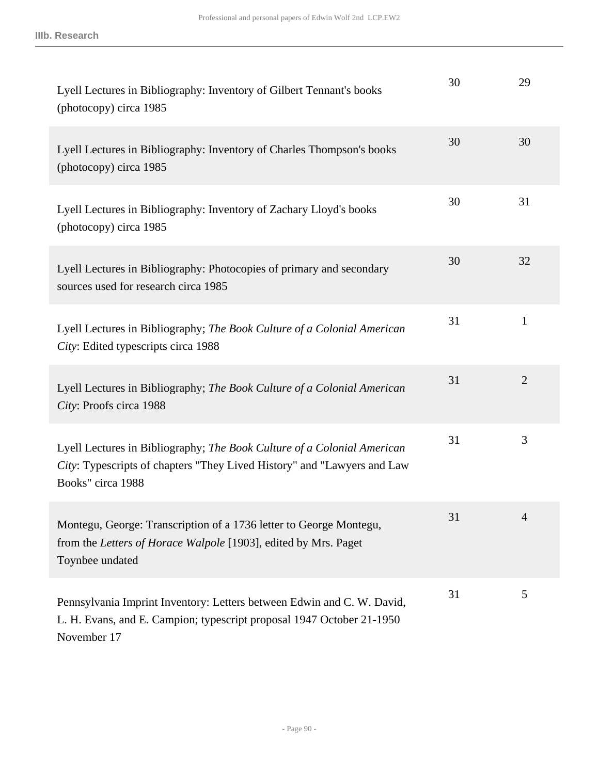| Lyell Lectures in Bibliography: Inventory of Gilbert Tennant's books<br>(photocopy) circa 1985                                                                          | 30 | 29             |
|-------------------------------------------------------------------------------------------------------------------------------------------------------------------------|----|----------------|
| Lyell Lectures in Bibliography: Inventory of Charles Thompson's books<br>(photocopy) circa 1985                                                                         | 30 | 30             |
| Lyell Lectures in Bibliography: Inventory of Zachary Lloyd's books<br>(photocopy) circa 1985                                                                            | 30 | 31             |
| Lyell Lectures in Bibliography: Photocopies of primary and secondary<br>sources used for research circa 1985                                                            | 30 | 32             |
| Lyell Lectures in Bibliography; The Book Culture of a Colonial American<br>City: Edited typescripts circa 1988                                                          | 31 | 1              |
| Lyell Lectures in Bibliography; The Book Culture of a Colonial American<br>City: Proofs circa 1988                                                                      | 31 | $\overline{2}$ |
| Lyell Lectures in Bibliography; The Book Culture of a Colonial American<br>City: Typescripts of chapters "They Lived History" and "Lawyers and Law<br>Books" circa 1988 | 31 | 3              |
| Montegu, George: Transcription of a 1736 letter to George Montegu,<br>from the Letters of Horace Walpole [1903], edited by Mrs. Paget<br>Toynbee undated                | 31 | 4              |
| Pennsylvania Imprint Inventory: Letters between Edwin and C. W. David,<br>L. H. Evans, and E. Campion; typescript proposal 1947 October 21-1950<br>November 17          | 31 | 5              |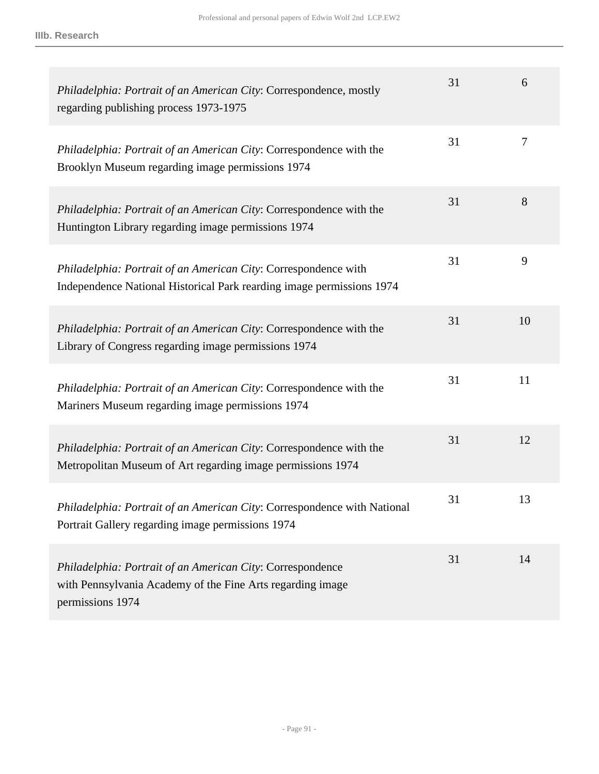| Philadelphia: Portrait of an American City: Correspondence, mostly<br>regarding publishing process 1973-1975                                 | 31 | 6  |
|----------------------------------------------------------------------------------------------------------------------------------------------|----|----|
| Philadelphia: Portrait of an American City: Correspondence with the<br>Brooklyn Museum regarding image permissions 1974                      | 31 | 7  |
| Philadelphia: Portrait of an American City: Correspondence with the<br>Huntington Library regarding image permissions 1974                   | 31 | 8  |
| Philadelphia: Portrait of an American City: Correspondence with<br>Independence National Historical Park rearding image permissions 1974     | 31 | 9  |
| Philadelphia: Portrait of an American City: Correspondence with the<br>Library of Congress regarding image permissions 1974                  | 31 | 10 |
| Philadelphia: Portrait of an American City: Correspondence with the<br>Mariners Museum regarding image permissions 1974                      | 31 | 11 |
| Philadelphia: Portrait of an American City: Correspondence with the<br>Metropolitan Museum of Art regarding image permissions 1974           | 31 | 12 |
| Philadelphia: Portrait of an American City: Correspondence with National<br>Portrait Gallery regarding image permissions 1974                | 31 | 13 |
| Philadelphia: Portrait of an American City: Correspondence<br>with Pennsylvania Academy of the Fine Arts regarding image<br>permissions 1974 | 31 | 14 |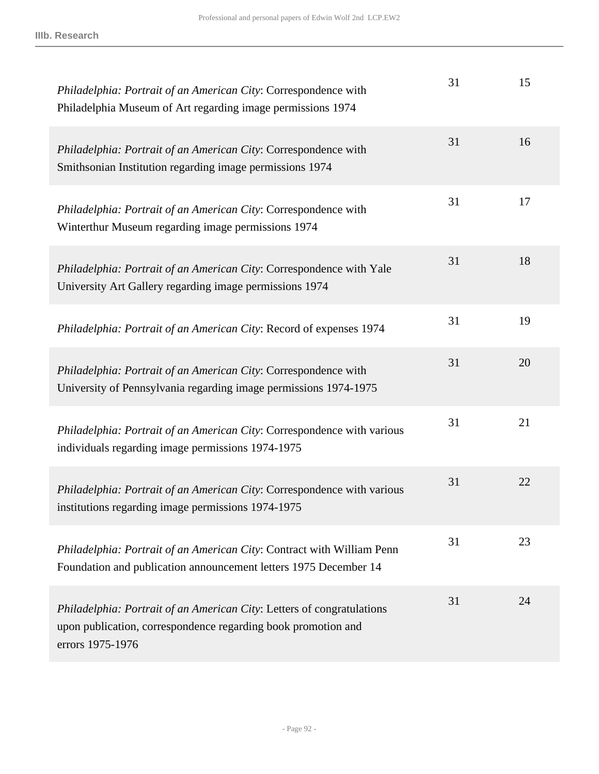| Philadelphia: Portrait of an American City: Correspondence with<br>Philadelphia Museum of Art regarding image permissions 1974                              | 31 | 15 |
|-------------------------------------------------------------------------------------------------------------------------------------------------------------|----|----|
| Philadelphia: Portrait of an American City: Correspondence with<br>Smithsonian Institution regarding image permissions 1974                                 | 31 | 16 |
| Philadelphia: Portrait of an American City: Correspondence with<br>Winterthur Museum regarding image permissions 1974                                       | 31 | 17 |
| Philadelphia: Portrait of an American City: Correspondence with Yale<br>University Art Gallery regarding image permissions 1974                             | 31 | 18 |
| Philadelphia: Portrait of an American City: Record of expenses 1974                                                                                         | 31 | 19 |
| Philadelphia: Portrait of an American City: Correspondence with<br>University of Pennsylvania regarding image permissions 1974-1975                         | 31 | 20 |
| Philadelphia: Portrait of an American City: Correspondence with various<br>individuals regarding image permissions 1974-1975                                | 31 | 21 |
| Philadelphia: Portrait of an American City: Correspondence with various<br>institutions regarding image permissions 1974-1975                               | 31 | 22 |
| Philadelphia: Portrait of an American City: Contract with William Penn<br>Foundation and publication announcement letters 1975 December 14                  | 31 | 23 |
| Philadelphia: Portrait of an American City: Letters of congratulations<br>upon publication, correspondence regarding book promotion and<br>errors 1975-1976 | 31 | 24 |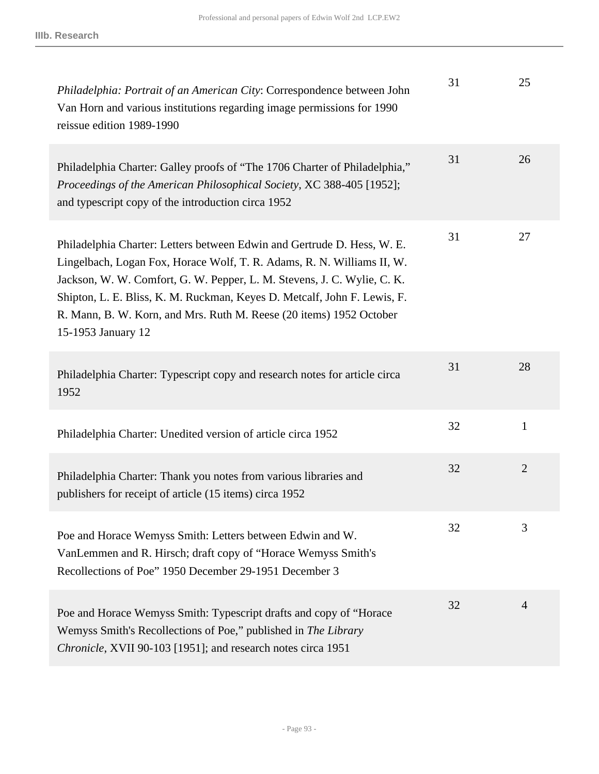| Philadelphia: Portrait of an American City: Correspondence between John<br>Van Horn and various institutions regarding image permissions for 1990<br>reissue edition 1989-1990                                                                                                                                                                                                                        | 31 | 25             |
|-------------------------------------------------------------------------------------------------------------------------------------------------------------------------------------------------------------------------------------------------------------------------------------------------------------------------------------------------------------------------------------------------------|----|----------------|
| Philadelphia Charter: Galley proofs of "The 1706 Charter of Philadelphia,"<br>Proceedings of the American Philosophical Society, XC 388-405 [1952];<br>and typescript copy of the introduction circa 1952                                                                                                                                                                                             | 31 | 26             |
| Philadelphia Charter: Letters between Edwin and Gertrude D. Hess, W. E.<br>Lingelbach, Logan Fox, Horace Wolf, T. R. Adams, R. N. Williams II, W.<br>Jackson, W. W. Comfort, G. W. Pepper, L. M. Stevens, J. C. Wylie, C. K.<br>Shipton, L. E. Bliss, K. M. Ruckman, Keyes D. Metcalf, John F. Lewis, F.<br>R. Mann, B. W. Korn, and Mrs. Ruth M. Reese (20 items) 1952 October<br>15-1953 January 12 | 31 | 27             |
| Philadelphia Charter: Typescript copy and research notes for article circa<br>1952                                                                                                                                                                                                                                                                                                                    | 31 | 28             |
| Philadelphia Charter: Unedited version of article circa 1952                                                                                                                                                                                                                                                                                                                                          | 32 | $\mathbf{1}$   |
| Philadelphia Charter: Thank you notes from various libraries and<br>publishers for receipt of article (15 items) circa 1952                                                                                                                                                                                                                                                                           | 32 | $\overline{2}$ |
| Poe and Horace Wemyss Smith: Letters between Edwin and W.<br>VanLemmen and R. Hirsch; draft copy of "Horace Wemyss Smith's<br>Recollections of Poe" 1950 December 29-1951 December 3                                                                                                                                                                                                                  | 32 | 3              |
| Poe and Horace Wemyss Smith: Typescript drafts and copy of "Horace"<br>Wemyss Smith's Recollections of Poe," published in The Library<br>Chronicle, XVII 90-103 [1951]; and research notes circa 1951                                                                                                                                                                                                 | 32 | $\overline{4}$ |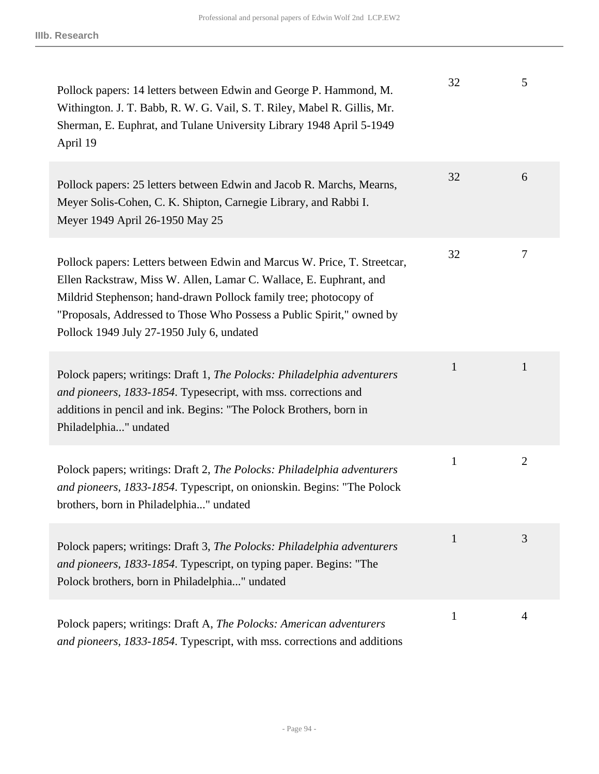| Pollock papers: 14 letters between Edwin and George P. Hammond, M.<br>Withington. J. T. Babb, R. W. G. Vail, S. T. Riley, Mabel R. Gillis, Mr.<br>Sherman, E. Euphrat, and Tulane University Library 1948 April 5-1949<br>April 19                                                                                                       | 32           | 5              |
|------------------------------------------------------------------------------------------------------------------------------------------------------------------------------------------------------------------------------------------------------------------------------------------------------------------------------------------|--------------|----------------|
| Pollock papers: 25 letters between Edwin and Jacob R. Marchs, Mearns,<br>Meyer Solis-Cohen, C. K. Shipton, Carnegie Library, and Rabbi I.<br>Meyer 1949 April 26-1950 May 25                                                                                                                                                             | 32           | 6              |
| Pollock papers: Letters between Edwin and Marcus W. Price, T. Streetcar,<br>Ellen Rackstraw, Miss W. Allen, Lamar C. Wallace, E. Euphrant, and<br>Mildrid Stephenson; hand-drawn Pollock family tree; photocopy of<br>"Proposals, Addressed to Those Who Possess a Public Spirit," owned by<br>Pollock 1949 July 27-1950 July 6, undated | 32           | 7              |
| Polock papers; writings: Draft 1, The Polocks: Philadelphia adventurers<br>and pioneers, 1833-1854. Typesecript, with mss. corrections and<br>additions in pencil and ink. Begins: "The Polock Brothers, born in<br>Philadelphia" undated                                                                                                | $\mathbf{1}$ | 1              |
| Polock papers; writings: Draft 2, The Polocks: Philadelphia adventurers<br>and pioneers, 1833-1854. Typescript, on onionskin. Begins: "The Polock<br>brothers, born in Philadelphia" undated                                                                                                                                             | $\mathbf{1}$ | $\overline{2}$ |
| Polock papers; writings: Draft 3, The Polocks: Philadelphia adventurers<br>and pioneers, 1833-1854. Typescript, on typing paper. Begins: "The<br>Polock brothers, born in Philadelphia" undated                                                                                                                                          | $\mathbf{1}$ | 3              |
| Polock papers; writings: Draft A, The Polocks: American adventurers<br>and pioneers, 1833-1854. Typescript, with mss. corrections and additions                                                                                                                                                                                          | 1            | 4              |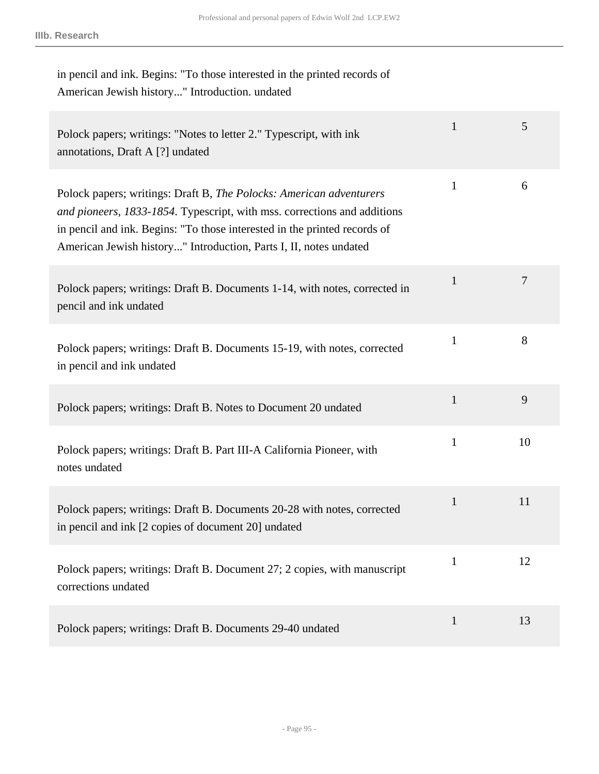| in pencil and ink. Begins: "To those interested in the printed records of<br>American Jewish history" Introduction. undated                                                                                                                                                                       |              |    |
|---------------------------------------------------------------------------------------------------------------------------------------------------------------------------------------------------------------------------------------------------------------------------------------------------|--------------|----|
| Polock papers; writings: "Notes to letter 2." Typescript, with ink<br>annotations, Draft A [?] undated                                                                                                                                                                                            | $\mathbf{1}$ | 5  |
| Polock papers; writings: Draft B, The Polocks: American adventurers<br>and pioneers, 1833-1854. Typescript, with mss. corrections and additions<br>in pencil and ink. Begins: "To those interested in the printed records of<br>American Jewish history" Introduction, Parts I, II, notes undated | $\mathbf{1}$ | 6  |
| Polock papers; writings: Draft B. Documents 1-14, with notes, corrected in<br>pencil and ink undated                                                                                                                                                                                              | $\mathbf{1}$ | 7  |
| Polock papers; writings: Draft B. Documents 15-19, with notes, corrected<br>in pencil and ink undated                                                                                                                                                                                             | $\mathbf{1}$ | 8  |
| Polock papers; writings: Draft B. Notes to Document 20 undated                                                                                                                                                                                                                                    | $\mathbf{1}$ | 9  |
| Polock papers; writings: Draft B. Part III-A California Pioneer, with<br>notes undated                                                                                                                                                                                                            | $\mathbf{1}$ | 10 |
| Polock papers; writings: Draft B. Documents 20-28 with notes, corrected<br>in pencil and ink [2 copies of document 20] undated                                                                                                                                                                    | $\mathbf{1}$ | 11 |
| Polock papers; writings: Draft B. Document 27; 2 copies, with manuscript<br>corrections undated                                                                                                                                                                                                   | $\mathbf{1}$ | 12 |
| Polock papers; writings: Draft B. Documents 29-40 undated                                                                                                                                                                                                                                         | $\mathbf{1}$ | 13 |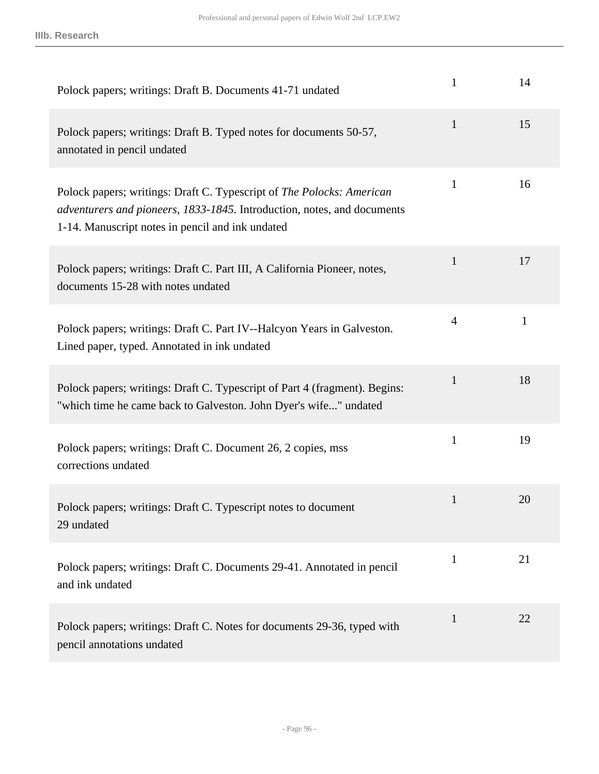| Polock papers; writings: Draft B. Documents 41-71 undated                                                                                                                                            | $\mathbf{1}$   | 14           |
|------------------------------------------------------------------------------------------------------------------------------------------------------------------------------------------------------|----------------|--------------|
| Polock papers; writings: Draft B. Typed notes for documents 50-57,<br>annotated in pencil undated                                                                                                    | $\mathbf{1}$   | 15           |
| Polock papers; writings: Draft C. Typescript of The Polocks: American<br>adventurers and pioneers, 1833-1845. Introduction, notes, and documents<br>1-14. Manuscript notes in pencil and ink undated | $\mathbf{1}$   | 16           |
| Polock papers; writings: Draft C. Part III, A California Pioneer, notes,<br>documents 15-28 with notes undated                                                                                       | 1              | 17           |
| Polock papers; writings: Draft C. Part IV--Halcyon Years in Galveston.<br>Lined paper, typed. Annotated in ink undated                                                                               | $\overline{4}$ | $\mathbf{1}$ |
| Polock papers; writings: Draft C. Typescript of Part 4 (fragment). Begins:<br>"which time he came back to Galveston. John Dyer's wife" undated                                                       | $\mathbf{1}$   | 18           |
| Polock papers; writings: Draft C. Document 26, 2 copies, mss<br>corrections undated                                                                                                                  | $\mathbf{1}$   | 19           |
| Polock papers; writings: Draft C. Typescript notes to document<br>29 undated                                                                                                                         | $\mathbf{1}$   | 20           |
| Polock papers; writings: Draft C. Documents 29-41. Annotated in pencil<br>and ink undated                                                                                                            | 1              | 21           |
| Polock papers; writings: Draft C. Notes for documents 29-36, typed with<br>pencil annotations undated                                                                                                | 1              | 22           |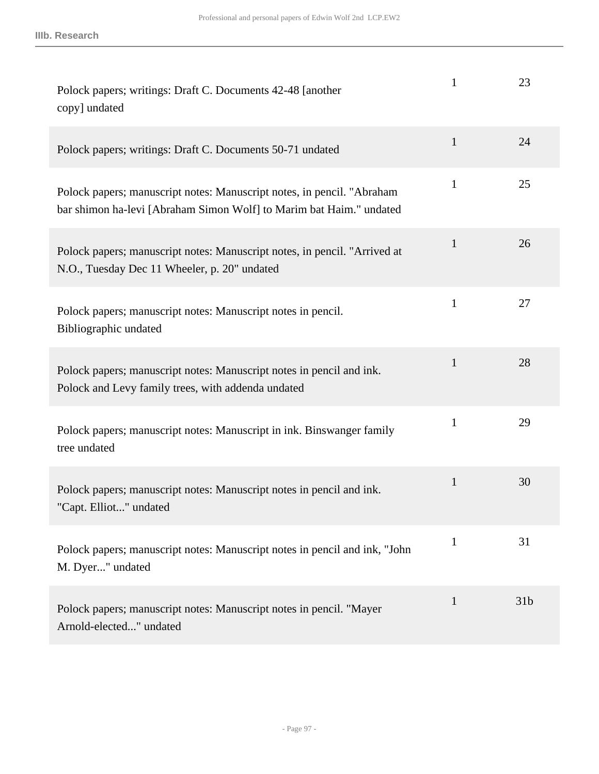| Polock papers; writings: Draft C. Documents 42-48 [another]<br>copy] undated                                                                  | $\mathbf{1}$ | 23              |
|-----------------------------------------------------------------------------------------------------------------------------------------------|--------------|-----------------|
| Polock papers; writings: Draft C. Documents 50-71 undated                                                                                     | $\mathbf{1}$ | 24              |
| Polock papers; manuscript notes: Manuscript notes, in pencil. "Abraham<br>bar shimon ha-levi [Abraham Simon Wolf] to Marim bat Haim." undated | $\mathbf{1}$ | 25              |
| Polock papers; manuscript notes: Manuscript notes, in pencil. "Arrived at<br>N.O., Tuesday Dec 11 Wheeler, p. 20" undated                     | $\mathbf{1}$ | 26              |
| Polock papers; manuscript notes: Manuscript notes in pencil.<br>Bibliographic undated                                                         | $\mathbf{1}$ | 27              |
| Polock papers; manuscript notes: Manuscript notes in pencil and ink.<br>Polock and Levy family trees, with addenda undated                    | $\mathbf{1}$ | 28              |
| Polock papers; manuscript notes: Manuscript in ink. Binswanger family<br>tree undated                                                         | $\mathbf{1}$ | 29              |
| Polock papers; manuscript notes: Manuscript notes in pencil and ink.<br>"Capt. Elliot" undated                                                | $\mathbf{1}$ | 30              |
| Polock papers; manuscript notes: Manuscript notes in pencil and ink, "John<br>M. Dyer" undated                                                | $\mathbf{1}$ | 31              |
| Polock papers; manuscript notes: Manuscript notes in pencil. "Mayer<br>Arnold-elected" undated                                                | $\mathbf{1}$ | 31 <sub>b</sub> |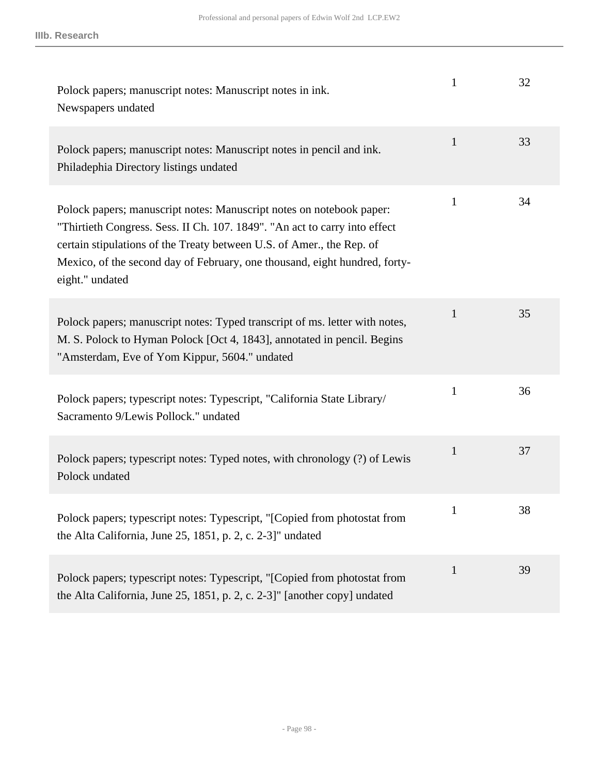| Polock papers; manuscript notes: Manuscript notes in ink.<br>Newspapers undated                                                                                                                                                                                                                                              | $\mathbf{1}$ | 32 |
|------------------------------------------------------------------------------------------------------------------------------------------------------------------------------------------------------------------------------------------------------------------------------------------------------------------------------|--------------|----|
| Polock papers; manuscript notes: Manuscript notes in pencil and ink.<br>Philadephia Directory listings undated                                                                                                                                                                                                               | $\mathbf{1}$ | 33 |
| Polock papers; manuscript notes: Manuscript notes on notebook paper:<br>"Thirtieth Congress. Sess. II Ch. 107. 1849". "An act to carry into effect<br>certain stipulations of the Treaty between U.S. of Amer., the Rep. of<br>Mexico, of the second day of February, one thousand, eight hundred, forty-<br>eight." undated | $\mathbf{1}$ | 34 |
| Polock papers; manuscript notes: Typed transcript of ms. letter with notes,<br>M. S. Polock to Hyman Polock [Oct 4, 1843], annotated in pencil. Begins<br>"Amsterdam, Eve of Yom Kippur, 5604." undated                                                                                                                      | $\mathbf{1}$ | 35 |
| Polock papers; typescript notes: Typescript, "California State Library/<br>Sacramento 9/Lewis Pollock." undated                                                                                                                                                                                                              | $\mathbf{1}$ | 36 |
| Polock papers; typescript notes: Typed notes, with chronology (?) of Lewis<br>Polock undated                                                                                                                                                                                                                                 | $\mathbf{1}$ | 37 |
| Polock papers; typescript notes: Typescript, "[Copied from photostat from<br>the Alta California, June 25, 1851, p. 2, c. 2-3]" undated                                                                                                                                                                                      | $\mathbf{1}$ | 38 |
| Polock papers; typescript notes: Typescript, "[Copied from photostat from<br>the Alta California, June 25, 1851, p. 2, c. 2-3]" [another copy] undated                                                                                                                                                                       | $\mathbf{1}$ | 39 |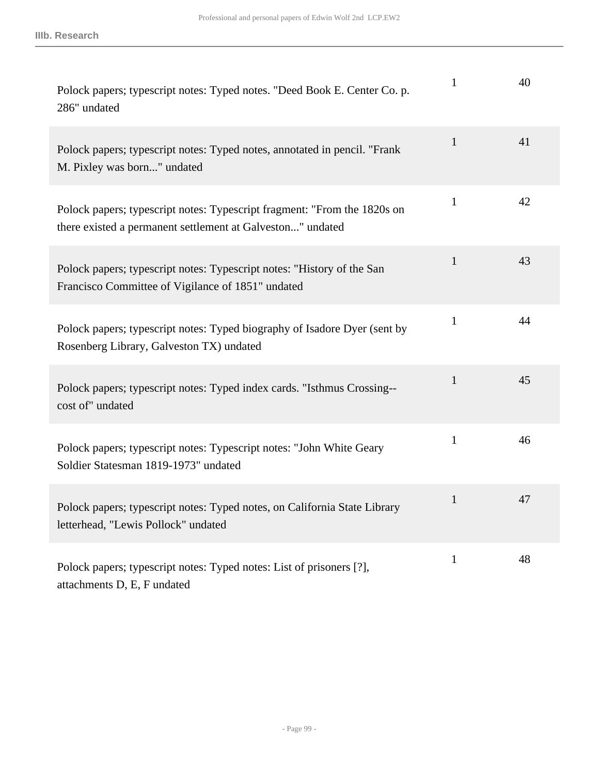| Polock papers; typescript notes: Typed notes. "Deed Book E. Center Co. p.<br>286" undated                                              | 1            | 40 |
|----------------------------------------------------------------------------------------------------------------------------------------|--------------|----|
| Polock papers; typescript notes: Typed notes, annotated in pencil. "Frank<br>M. Pixley was born" undated                               | $\mathbf{1}$ | 41 |
| Polock papers; typescript notes: Typescript fragment: "From the 1820s on<br>there existed a permanent settlement at Galveston" undated | $\mathbf{1}$ | 42 |
| Polock papers; typescript notes: Typescript notes: "History of the San<br>Francisco Committee of Vigilance of 1851" undated            | $\mathbf{1}$ | 43 |
| Polock papers; typescript notes: Typed biography of Isadore Dyer (sent by<br>Rosenberg Library, Galveston TX) undated                  | $\mathbf{1}$ | 44 |
| Polock papers; typescript notes: Typed index cards. "Isthmus Crossing--<br>cost of" undated                                            | $\mathbf{1}$ | 45 |
| Polock papers; typescript notes: Typescript notes: "John White Geary<br>Soldier Statesman 1819-1973" undated                           | $\mathbf{1}$ | 46 |
| Polock papers; typescript notes: Typed notes, on California State Library<br>letterhead, "Lewis Pollock" undated                       | $\mathbf{1}$ | 47 |
| Polock papers; typescript notes: Typed notes: List of prisoners [?],<br>attachments D, E, F undated                                    | $\mathbf{1}$ | 48 |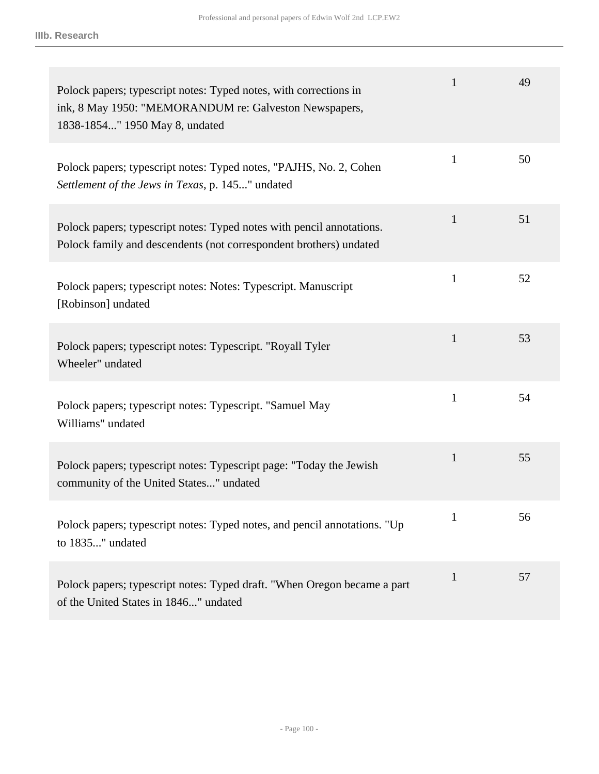| Polock papers; typescript notes: Typed notes, with corrections in<br>ink, 8 May 1950: "MEMORANDUM re: Galveston Newspapers,<br>1838-1854" 1950 May 8, undated | $\mathbf{1}$ | 49 |
|---------------------------------------------------------------------------------------------------------------------------------------------------------------|--------------|----|
| Polock papers; typescript notes: Typed notes, "PAJHS, No. 2, Cohen<br>Settlement of the Jews in Texas, p. 145" undated                                        | $\mathbf{1}$ | 50 |
| Polock papers; typescript notes: Typed notes with pencil annotations.<br>Polock family and descendents (not correspondent brothers) undated                   | $\mathbf{1}$ | 51 |
| Polock papers; typescript notes: Notes: Typescript. Manuscript<br>[Robinson] undated                                                                          | $\mathbf{1}$ | 52 |
| Polock papers; typescript notes: Typescript. "Royall Tyler<br>Wheeler" undated                                                                                | 1            | 53 |
| Polock papers; typescript notes: Typescript. "Samuel May<br>Williams" undated                                                                                 | $\mathbf{1}$ | 54 |
| Polock papers; typescript notes: Typescript page: "Today the Jewish<br>community of the United States" undated                                                | $\mathbf{1}$ | 55 |
| Polock papers; typescript notes: Typed notes, and pencil annotations. "Up<br>to 1835" undated                                                                 | $\mathbf{1}$ | 56 |
| Polock papers; typescript notes: Typed draft. "When Oregon became a part<br>of the United States in 1846" undated                                             | $\mathbf{1}$ | 57 |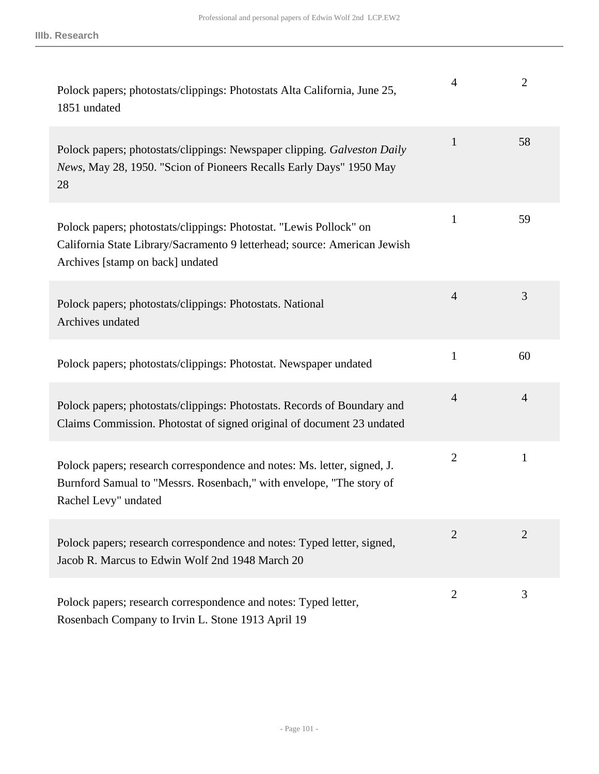| Polock papers; photostats/clippings: Photostats Alta California, June 25,<br>1851 undated                                                                                           | 4              | $\overline{2}$ |
|-------------------------------------------------------------------------------------------------------------------------------------------------------------------------------------|----------------|----------------|
| Polock papers; photostats/clippings: Newspaper clipping. Galveston Daily<br>News, May 28, 1950. "Scion of Pioneers Recalls Early Days" 1950 May<br>28                               | $\mathbf{1}$   | 58             |
| Polock papers; photostats/clippings: Photostat. "Lewis Pollock" on<br>California State Library/Sacramento 9 letterhead; source: American Jewish<br>Archives [stamp on back] undated | $\mathbf{1}$   | 59             |
| Polock papers; photostats/clippings: Photostats. National<br>Archives undated                                                                                                       | $\overline{4}$ | 3              |
| Polock papers; photostats/clippings: Photostat. Newspaper undated                                                                                                                   | $\mathbf{1}$   | 60             |
| Polock papers; photostats/clippings: Photostats. Records of Boundary and<br>Claims Commission. Photostat of signed original of document 23 undated                                  | $\overline{4}$ | $\overline{4}$ |
| Polock papers; research correspondence and notes: Ms. letter, signed, J.<br>Burnford Samual to "Messrs. Rosenbach," with envelope, "The story of<br>Rachel Levy" undated            | $\overline{2}$ | $\mathbf{1}$   |
| Polock papers; research correspondence and notes: Typed letter, signed,<br>Jacob R. Marcus to Edwin Wolf 2nd 1948 March 20                                                          | $\overline{2}$ | $\overline{2}$ |
| Polock papers; research correspondence and notes: Typed letter,<br>Rosenbach Company to Irvin L. Stone 1913 April 19                                                                | $\overline{2}$ | 3              |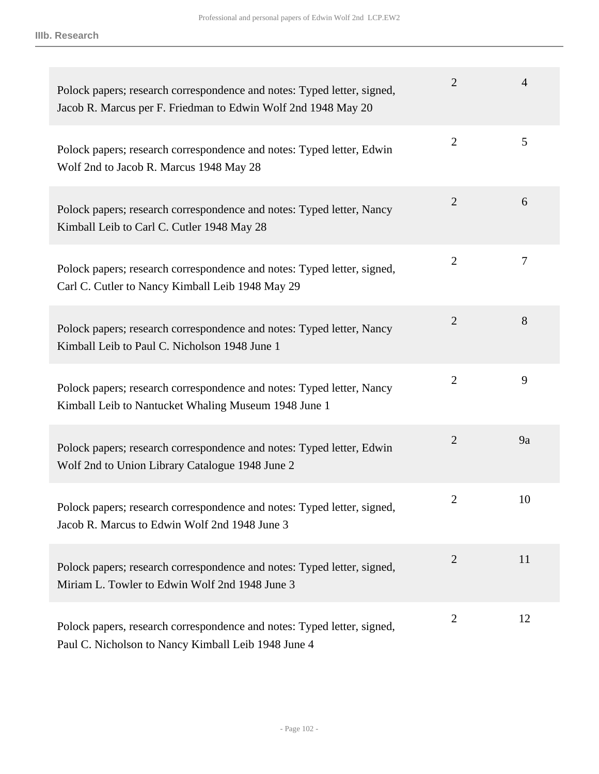| Polock papers; research correspondence and notes: Typed letter, signed,<br>Jacob R. Marcus per F. Friedman to Edwin Wolf 2nd 1948 May 20 | 2              | 4  |
|------------------------------------------------------------------------------------------------------------------------------------------|----------------|----|
| Polock papers; research correspondence and notes: Typed letter, Edwin<br>Wolf 2nd to Jacob R. Marcus 1948 May 28                         | $\overline{2}$ | 5  |
| Polock papers; research correspondence and notes: Typed letter, Nancy<br>Kimball Leib to Carl C. Cutler 1948 May 28                      | $\overline{2}$ | 6  |
| Polock papers; research correspondence and notes: Typed letter, signed,<br>Carl C. Cutler to Nancy Kimball Leib 1948 May 29              | $\overline{2}$ | 7  |
| Polock papers; research correspondence and notes: Typed letter, Nancy<br>Kimball Leib to Paul C. Nicholson 1948 June 1                   | $\overline{2}$ | 8  |
| Polock papers; research correspondence and notes: Typed letter, Nancy<br>Kimball Leib to Nantucket Whaling Museum 1948 June 1            | $\overline{2}$ | 9  |
| Polock papers; research correspondence and notes: Typed letter, Edwin<br>Wolf 2nd to Union Library Catalogue 1948 June 2                 | 2              | 9a |
| Polock papers; research correspondence and notes: Typed letter, signed,<br>Jacob R. Marcus to Edwin Wolf 2nd 1948 June 3                 | $\overline{2}$ | 10 |
| Polock papers; research correspondence and notes: Typed letter, signed,<br>Miriam L. Towler to Edwin Wolf 2nd 1948 June 3                | $\overline{2}$ | 11 |
| Polock papers, research correspondence and notes: Typed letter, signed,<br>Paul C. Nicholson to Nancy Kimball Leib 1948 June 4           | $\overline{2}$ | 12 |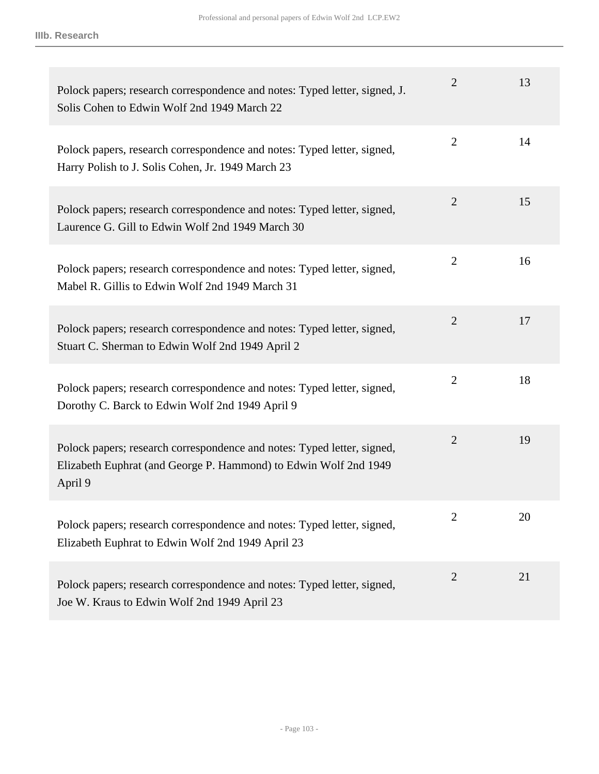| Polock papers; research correspondence and notes: Typed letter, signed, J.<br>Solis Cohen to Edwin Wolf 2nd 1949 March 22                              | $\overline{2}$ | 13 |
|--------------------------------------------------------------------------------------------------------------------------------------------------------|----------------|----|
| Polock papers, research correspondence and notes: Typed letter, signed,<br>Harry Polish to J. Solis Cohen, Jr. 1949 March 23                           | $\overline{2}$ | 14 |
| Polock papers; research correspondence and notes: Typed letter, signed,<br>Laurence G. Gill to Edwin Wolf 2nd 1949 March 30                            | $\overline{2}$ | 15 |
| Polock papers; research correspondence and notes: Typed letter, signed,<br>Mabel R. Gillis to Edwin Wolf 2nd 1949 March 31                             | $\overline{2}$ | 16 |
| Polock papers; research correspondence and notes: Typed letter, signed,<br>Stuart C. Sherman to Edwin Wolf 2nd 1949 April 2                            | $\overline{2}$ | 17 |
| Polock papers; research correspondence and notes: Typed letter, signed,<br>Dorothy C. Barck to Edwin Wolf 2nd 1949 April 9                             | $\overline{2}$ | 18 |
| Polock papers; research correspondence and notes: Typed letter, signed,<br>Elizabeth Euphrat (and George P. Hammond) to Edwin Wolf 2nd 1949<br>April 9 | $\overline{2}$ | 19 |
| Polock papers; research correspondence and notes: Typed letter, signed,<br>Elizabeth Euphrat to Edwin Wolf 2nd 1949 April 23                           | $\overline{2}$ | 20 |
| Polock papers; research correspondence and notes: Typed letter, signed,<br>Joe W. Kraus to Edwin Wolf 2nd 1949 April 23                                | $\overline{2}$ | 21 |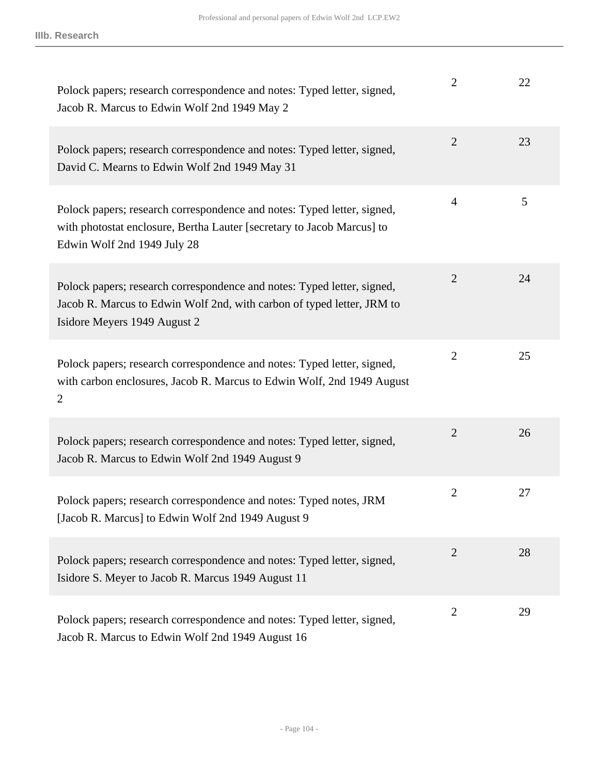| Polock papers; research correspondence and notes: Typed letter, signed,<br>Jacob R. Marcus to Edwin Wolf 2nd 1949 May 2                                                           | $\overline{2}$ | 22 |
|-----------------------------------------------------------------------------------------------------------------------------------------------------------------------------------|----------------|----|
| Polock papers; research correspondence and notes: Typed letter, signed,<br>David C. Mearns to Edwin Wolf 2nd 1949 May 31                                                          | $\overline{2}$ | 23 |
| Polock papers; research correspondence and notes: Typed letter, signed,<br>with photostat enclosure, Bertha Lauter [secretary to Jacob Marcus] to<br>Edwin Wolf 2nd 1949 July 28  | 4              | 5  |
| Polock papers; research correspondence and notes: Typed letter, signed,<br>Jacob R. Marcus to Edwin Wolf 2nd, with carbon of typed letter, JRM to<br>Isidore Meyers 1949 August 2 | $\overline{2}$ | 24 |
| Polock papers; research correspondence and notes: Typed letter, signed,<br>with carbon enclosures, Jacob R. Marcus to Edwin Wolf, 2nd 1949 August<br>$\overline{2}$               | $\overline{2}$ | 25 |
| Polock papers; research correspondence and notes: Typed letter, signed,<br>Jacob R. Marcus to Edwin Wolf 2nd 1949 August 9                                                        | $\overline{2}$ | 26 |
| Polock papers; research correspondence and notes: Typed notes, JRM<br>[Jacob R. Marcus] to Edwin Wolf 2nd 1949 August 9                                                           | $\overline{2}$ | 27 |
| Polock papers; research correspondence and notes: Typed letter, signed,<br>Isidore S. Meyer to Jacob R. Marcus 1949 August 11                                                     | $\overline{2}$ | 28 |
| Polock papers; research correspondence and notes: Typed letter, signed,<br>Jacob R. Marcus to Edwin Wolf 2nd 1949 August 16                                                       | $\overline{2}$ | 29 |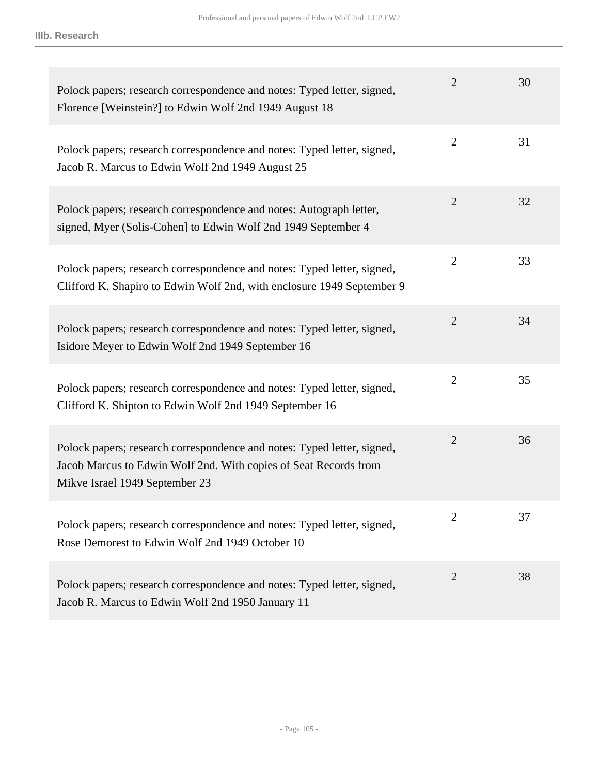| Polock papers; research correspondence and notes: Typed letter, signed,<br>Florence [Weinstein?] to Edwin Wolf 2nd 1949 August 18                                             | $\overline{2}$ | 30 |
|-------------------------------------------------------------------------------------------------------------------------------------------------------------------------------|----------------|----|
| Polock papers; research correspondence and notes: Typed letter, signed,<br>Jacob R. Marcus to Edwin Wolf 2nd 1949 August 25                                                   | $\overline{2}$ | 31 |
| Polock papers; research correspondence and notes: Autograph letter,<br>signed, Myer (Solis-Cohen] to Edwin Wolf 2nd 1949 September 4                                          | $\overline{2}$ | 32 |
| Polock papers; research correspondence and notes: Typed letter, signed,<br>Clifford K. Shapiro to Edwin Wolf 2nd, with enclosure 1949 September 9                             | $\overline{2}$ | 33 |
| Polock papers; research correspondence and notes: Typed letter, signed,<br>Isidore Meyer to Edwin Wolf 2nd 1949 September 16                                                  | $\overline{2}$ | 34 |
| Polock papers; research correspondence and notes: Typed letter, signed,<br>Clifford K. Shipton to Edwin Wolf 2nd 1949 September 16                                            | $\overline{2}$ | 35 |
| Polock papers; research correspondence and notes: Typed letter, signed,<br>Jacob Marcus to Edwin Wolf 2nd. With copies of Seat Records from<br>Mikve Israel 1949 September 23 | $\overline{2}$ | 36 |
| Polock papers; research correspondence and notes: Typed letter, signed,<br>Rose Demorest to Edwin Wolf 2nd 1949 October 10                                                    | 2              | 37 |
| Polock papers; research correspondence and notes: Typed letter, signed,<br>Jacob R. Marcus to Edwin Wolf 2nd 1950 January 11                                                  | $\overline{2}$ | 38 |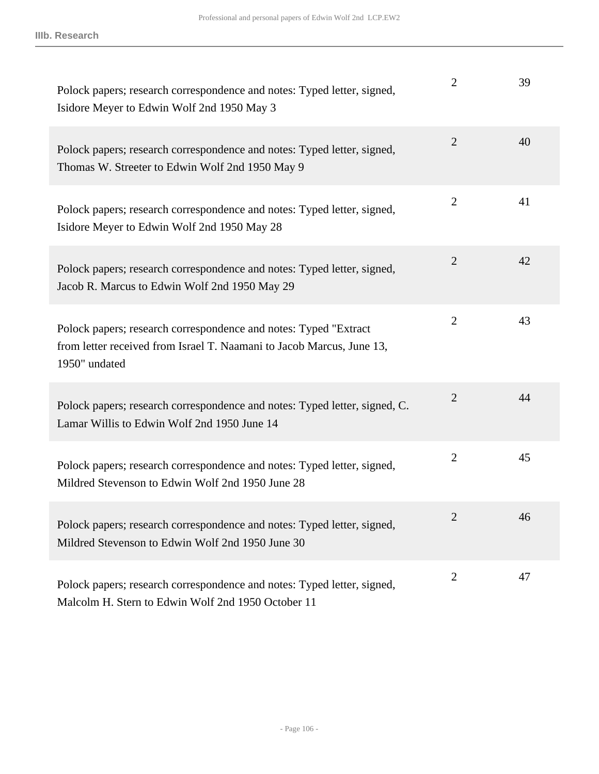| Polock papers; research correspondence and notes: Typed letter, signed,<br>Isidore Meyer to Edwin Wolf 2nd 1950 May 3                                      | $\overline{2}$ | 39 |
|------------------------------------------------------------------------------------------------------------------------------------------------------------|----------------|----|
| Polock papers; research correspondence and notes: Typed letter, signed,<br>Thomas W. Streeter to Edwin Wolf 2nd 1950 May 9                                 | $\overline{2}$ | 40 |
| Polock papers; research correspondence and notes: Typed letter, signed,<br>Isidore Meyer to Edwin Wolf 2nd 1950 May 28                                     | $\overline{2}$ | 41 |
| Polock papers; research correspondence and notes: Typed letter, signed,<br>Jacob R. Marcus to Edwin Wolf 2nd 1950 May 29                                   | $\overline{2}$ | 42 |
| Polock papers; research correspondence and notes: Typed "Extract<br>from letter received from Israel T. Naamani to Jacob Marcus, June 13,<br>1950" undated | $\overline{2}$ | 43 |
| Polock papers; research correspondence and notes: Typed letter, signed, C.<br>Lamar Willis to Edwin Wolf 2nd 1950 June 14                                  | $\overline{2}$ | 44 |
| Polock papers; research correspondence and notes: Typed letter, signed,<br>Mildred Stevenson to Edwin Wolf 2nd 1950 June 28                                | $\overline{2}$ | 45 |
| Polock papers; research correspondence and notes: Typed letter, signed,<br>Mildred Stevenson to Edwin Wolf 2nd 1950 June 30                                | $\overline{2}$ | 46 |
| Polock papers; research correspondence and notes: Typed letter, signed,<br>Malcolm H. Stern to Edwin Wolf 2nd 1950 October 11                              | $\overline{2}$ | 47 |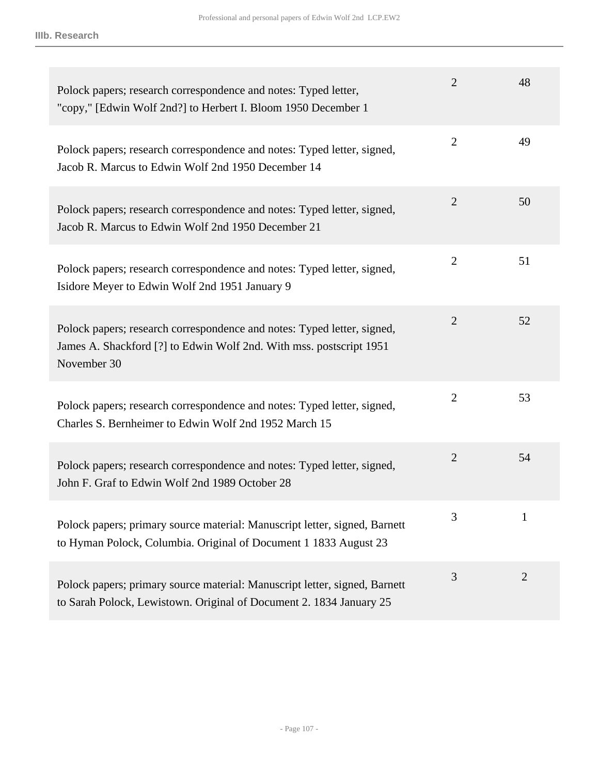| Polock papers; research correspondence and notes: Typed letter,<br>"copy," [Edwin Wolf 2nd?] to Herbert I. Bloom 1950 December 1                              | $\overline{2}$ | 48             |
|---------------------------------------------------------------------------------------------------------------------------------------------------------------|----------------|----------------|
| Polock papers; research correspondence and notes: Typed letter, signed,<br>Jacob R. Marcus to Edwin Wolf 2nd 1950 December 14                                 | $\overline{2}$ | 49             |
| Polock papers; research correspondence and notes: Typed letter, signed,<br>Jacob R. Marcus to Edwin Wolf 2nd 1950 December 21                                 | $\overline{2}$ | 50             |
| Polock papers; research correspondence and notes: Typed letter, signed,<br>Isidore Meyer to Edwin Wolf 2nd 1951 January 9                                     | $\overline{2}$ | 51             |
| Polock papers; research correspondence and notes: Typed letter, signed,<br>James A. Shackford [?] to Edwin Wolf 2nd. With mss. postscript 1951<br>November 30 | $\overline{2}$ | 52             |
| Polock papers; research correspondence and notes: Typed letter, signed,<br>Charles S. Bernheimer to Edwin Wolf 2nd 1952 March 15                              | $\overline{2}$ | 53             |
| Polock papers; research correspondence and notes: Typed letter, signed,<br>John F. Graf to Edwin Wolf 2nd 1989 October 28                                     | $\overline{2}$ | 54             |
| Polock papers; primary source material: Manuscript letter, signed, Barnett<br>to Hyman Polock, Columbia. Original of Document 1 1833 August 23                | 3              | $\mathbf{1}$   |
| Polock papers; primary source material: Manuscript letter, signed, Barnett<br>to Sarah Polock, Lewistown. Original of Document 2. 1834 January 25             | 3              | $\overline{2}$ |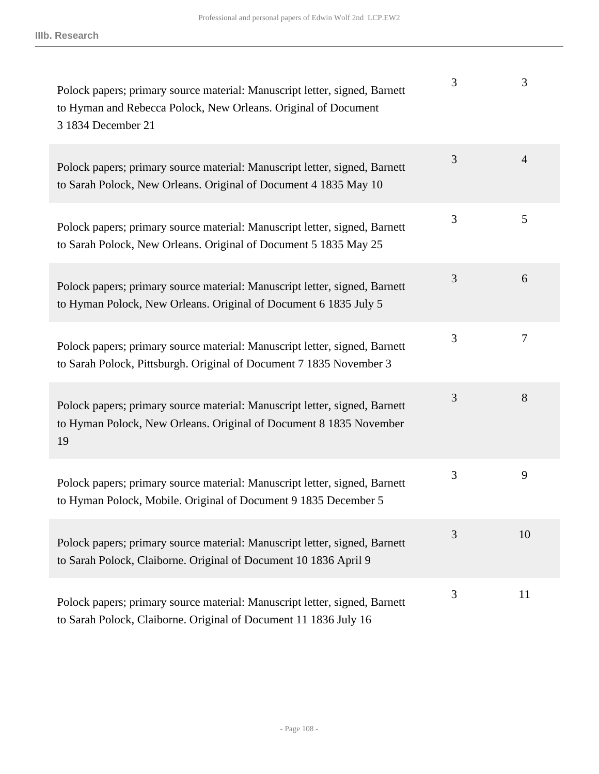| Polock papers; primary source material: Manuscript letter, signed, Barnett<br>to Hyman and Rebecca Polock, New Orleans. Original of Document<br>3 1834 December 21 | 3 | 3              |
|--------------------------------------------------------------------------------------------------------------------------------------------------------------------|---|----------------|
| Polock papers; primary source material: Manuscript letter, signed, Barnett<br>to Sarah Polock, New Orleans. Original of Document 4 1835 May 10                     | 3 | $\overline{4}$ |
| Polock papers; primary source material: Manuscript letter, signed, Barnett<br>to Sarah Polock, New Orleans. Original of Document 5 1835 May 25                     | 3 | 5              |
| Polock papers; primary source material: Manuscript letter, signed, Barnett<br>to Hyman Polock, New Orleans. Original of Document 6 1835 July 5                     | 3 | 6              |
| Polock papers; primary source material: Manuscript letter, signed, Barnett<br>to Sarah Polock, Pittsburgh. Original of Document 7 1835 November 3                  | 3 | 7              |
| Polock papers; primary source material: Manuscript letter, signed, Barnett<br>to Hyman Polock, New Orleans. Original of Document 8 1835 November<br>19             | 3 | 8              |
| Polock papers; primary source material: Manuscript letter, signed, Barnett<br>to Hyman Polock, Mobile. Original of Document 9 1835 December 5                      | 3 | 9              |
| Polock papers; primary source material: Manuscript letter, signed, Barnett<br>to Sarah Polock, Claiborne. Original of Document 10 1836 April 9                     | 3 | 10             |
| Polock papers; primary source material: Manuscript letter, signed, Barnett<br>to Sarah Polock, Claiborne. Original of Document 11 1836 July 16                     | 3 | 11             |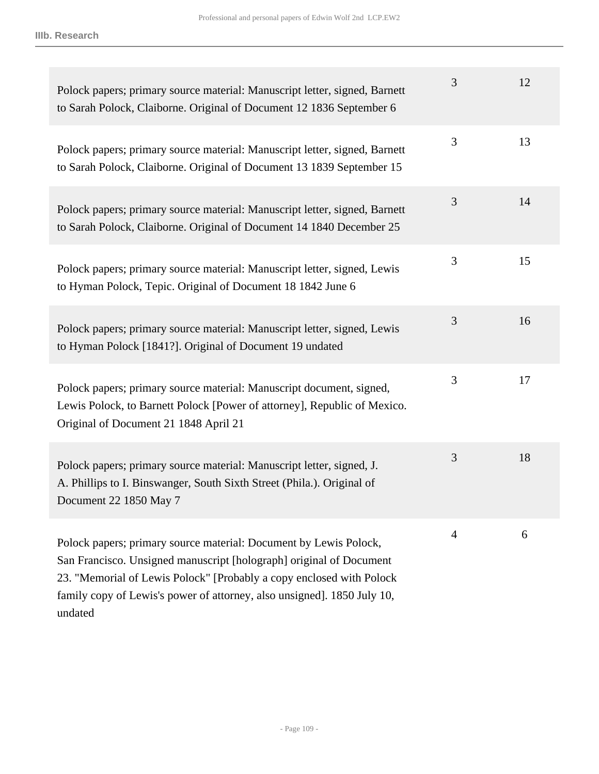| Polock papers; primary source material: Manuscript letter, signed, Barnett<br>to Sarah Polock, Claiborne. Original of Document 12 1836 September 6                                                                                                                                                     | 3 | 12 |
|--------------------------------------------------------------------------------------------------------------------------------------------------------------------------------------------------------------------------------------------------------------------------------------------------------|---|----|
| Polock papers; primary source material: Manuscript letter, signed, Barnett<br>to Sarah Polock, Claiborne. Original of Document 13 1839 September 15                                                                                                                                                    | 3 | 13 |
| Polock papers; primary source material: Manuscript letter, signed, Barnett<br>to Sarah Polock, Claiborne. Original of Document 14 1840 December 25                                                                                                                                                     | 3 | 14 |
| Polock papers; primary source material: Manuscript letter, signed, Lewis<br>to Hyman Polock, Tepic. Original of Document 18 1842 June 6                                                                                                                                                                | 3 | 15 |
| Polock papers; primary source material: Manuscript letter, signed, Lewis<br>to Hyman Polock [1841?]. Original of Document 19 undated                                                                                                                                                                   | 3 | 16 |
| Polock papers; primary source material: Manuscript document, signed,<br>Lewis Polock, to Barnett Polock [Power of attorney], Republic of Mexico.<br>Original of Document 21 1848 April 21                                                                                                              | 3 | 17 |
| Polock papers; primary source material: Manuscript letter, signed, J.<br>A. Phillips to I. Binswanger, South Sixth Street (Phila.). Original of<br>Document 22 1850 May 7                                                                                                                              | 3 | 18 |
| Polock papers; primary source material: Document by Lewis Polock,<br>San Francisco. Unsigned manuscript [holograph] original of Document<br>23. "Memorial of Lewis Polock" [Probably a copy enclosed with Polock<br>family copy of Lewis's power of attorney, also unsigned]. 1850 July 10,<br>undated | 4 | 6  |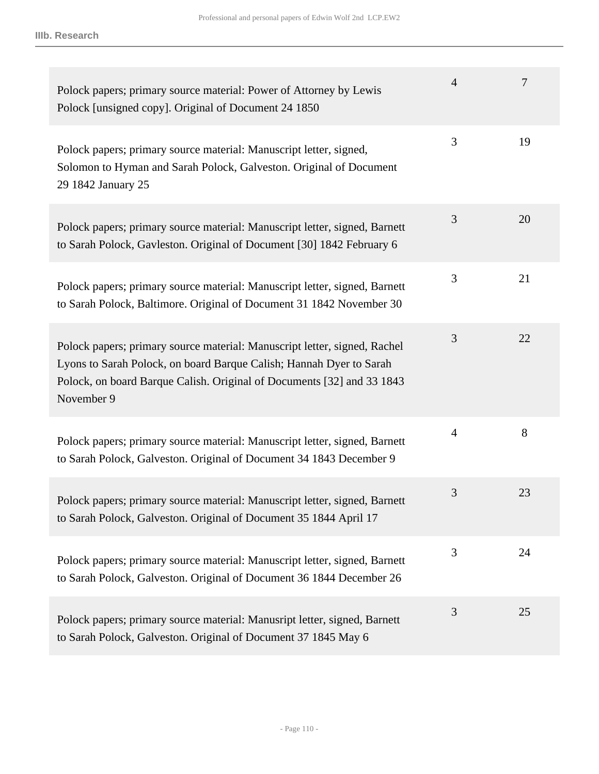| Polock papers; primary source material: Power of Attorney by Lewis<br>Polock [unsigned copy]. Original of Document 24 1850                                                                                                               | $\overline{4}$ | 7  |
|------------------------------------------------------------------------------------------------------------------------------------------------------------------------------------------------------------------------------------------|----------------|----|
| Polock papers; primary source material: Manuscript letter, signed,<br>Solomon to Hyman and Sarah Polock, Galveston. Original of Document<br>29 1842 January 25                                                                           | 3              | 19 |
| Polock papers; primary source material: Manuscript letter, signed, Barnett<br>to Sarah Polock, Gavleston. Original of Document [30] 1842 February 6                                                                                      | 3              | 20 |
| Polock papers; primary source material: Manuscript letter, signed, Barnett<br>to Sarah Polock, Baltimore. Original of Document 31 1842 November 30                                                                                       | 3              | 21 |
| Polock papers; primary source material: Manuscript letter, signed, Rachel<br>Lyons to Sarah Polock, on board Barque Calish; Hannah Dyer to Sarah<br>Polock, on board Barque Calish. Original of Documents [32] and 33 1843<br>November 9 | 3              | 22 |
| Polock papers; primary source material: Manuscript letter, signed, Barnett<br>to Sarah Polock, Galveston. Original of Document 34 1843 December 9                                                                                        | $\overline{4}$ | 8  |
| Polock papers; primary source material: Manuscript letter, signed, Barnett<br>to Sarah Polock, Galveston. Original of Document 35 1844 April 17                                                                                          | 3              | 23 |
| Polock papers; primary source material: Manuscript letter, signed, Barnett<br>to Sarah Polock, Galveston. Original of Document 36 1844 December 26                                                                                       | 3              | 24 |
| Polock papers; primary source material: Manusript letter, signed, Barnett<br>to Sarah Polock, Galveston. Original of Document 37 1845 May 6                                                                                              | 3              | 25 |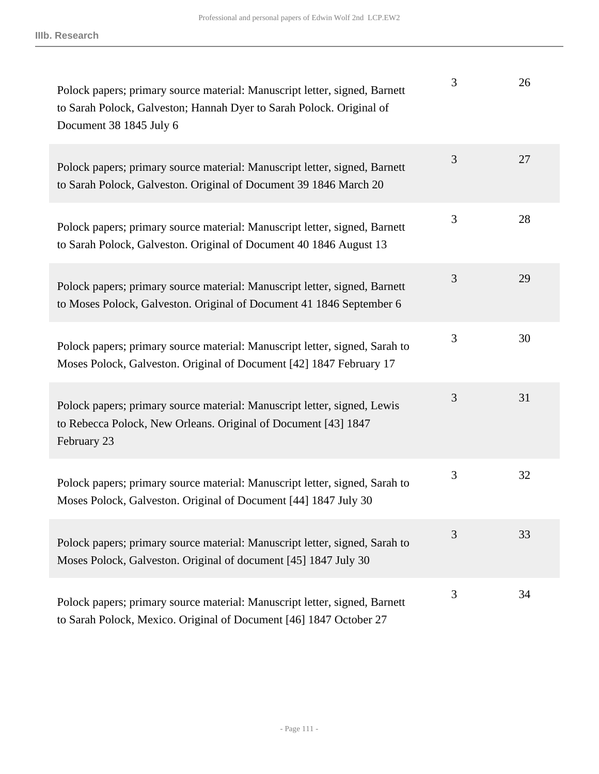| Polock papers; primary source material: Manuscript letter, signed, Barnett<br>to Sarah Polock, Galveston; Hannah Dyer to Sarah Polock. Original of<br>Document 38 1845 July 6 | 3 | 26 |
|-------------------------------------------------------------------------------------------------------------------------------------------------------------------------------|---|----|
| Polock papers; primary source material: Manuscript letter, signed, Barnett<br>to Sarah Polock, Galveston. Original of Document 39 1846 March 20                               | 3 | 27 |
| Polock papers; primary source material: Manuscript letter, signed, Barnett<br>to Sarah Polock, Galveston. Original of Document 40 1846 August 13                              | 3 | 28 |
| Polock papers; primary source material: Manuscript letter, signed, Barnett<br>to Moses Polock, Galveston. Original of Document 41 1846 September 6                            | 3 | 29 |
| Polock papers; primary source material: Manuscript letter, signed, Sarah to<br>Moses Polock, Galveston. Original of Document [42] 1847 February 17                            | 3 | 30 |
| Polock papers; primary source material: Manuscript letter, signed, Lewis<br>to Rebecca Polock, New Orleans. Original of Document [43] 1847<br>February 23                     | 3 | 31 |
| Polock papers; primary source material: Manuscript letter, signed, Sarah to<br>Moses Polock, Galveston. Original of Document [44] 1847 July 30                                | 3 | 32 |
| Polock papers; primary source material: Manuscript letter, signed, Sarah to<br>Moses Polock, Galveston. Original of document [45] 1847 July 30                                | 3 | 33 |
| Polock papers; primary source material: Manuscript letter, signed, Barnett<br>to Sarah Polock, Mexico. Original of Document [46] 1847 October 27                              | 3 | 34 |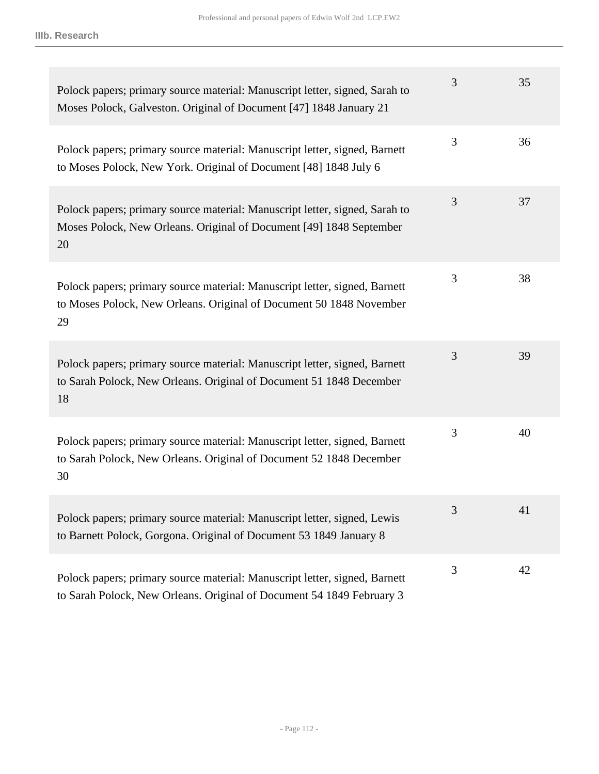| Polock papers; primary source material: Manuscript letter, signed, Sarah to<br>Moses Polock, Galveston. Original of Document [47] 1848 January 21        | 3 | 35 |
|----------------------------------------------------------------------------------------------------------------------------------------------------------|---|----|
| Polock papers; primary source material: Manuscript letter, signed, Barnett<br>to Moses Polock, New York. Original of Document [48] 1848 July 6           | 3 | 36 |
| Polock papers; primary source material: Manuscript letter, signed, Sarah to<br>Moses Polock, New Orleans. Original of Document [49] 1848 September<br>20 | 3 | 37 |
| Polock papers; primary source material: Manuscript letter, signed, Barnett<br>to Moses Polock, New Orleans. Original of Document 50 1848 November<br>29  | 3 | 38 |
| Polock papers; primary source material: Manuscript letter, signed, Barnett<br>to Sarah Polock, New Orleans. Original of Document 51 1848 December<br>18  | 3 | 39 |
| Polock papers; primary source material: Manuscript letter, signed, Barnett<br>to Sarah Polock, New Orleans. Original of Document 52 1848 December<br>30  | 3 | 40 |
| Polock papers; primary source material: Manuscript letter, signed, Lewis<br>to Barnett Polock, Gorgona. Original of Document 53 1849 January 8           | 3 | 41 |
| Polock papers; primary source material: Manuscript letter, signed, Barnett<br>to Sarah Polock, New Orleans. Original of Document 54 1849 February 3      | 3 | 42 |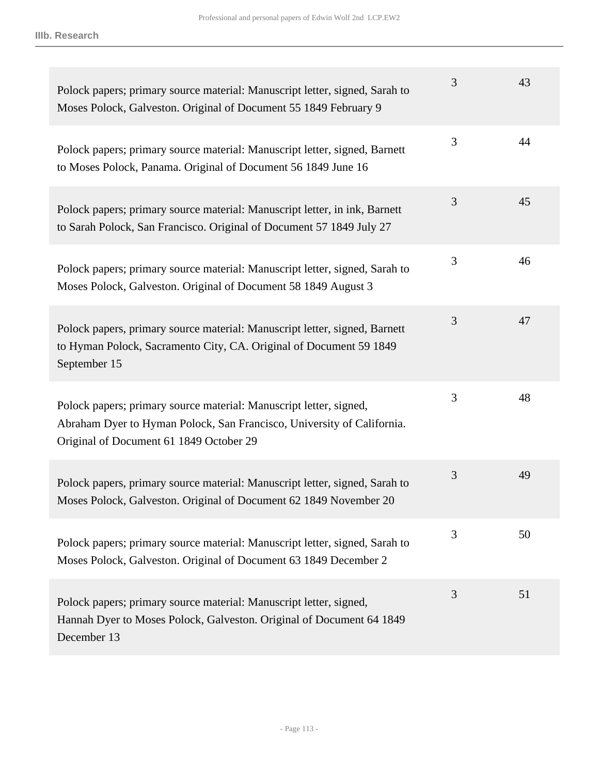| Polock papers; primary source material: Manuscript letter, signed, Sarah to<br>Moses Polock, Galveston. Original of Document 55 1849 February 9                                         | 3 | 43 |
|-----------------------------------------------------------------------------------------------------------------------------------------------------------------------------------------|---|----|
| Polock papers; primary source material: Manuscript letter, signed, Barnett<br>to Moses Polock, Panama. Original of Document 56 1849 June 16                                             | 3 | 44 |
| Polock papers; primary source material: Manuscript letter, in ink, Barnett<br>to Sarah Polock, San Francisco. Original of Document 57 1849 July 27                                      | 3 | 45 |
| Polock papers; primary source material: Manuscript letter, signed, Sarah to<br>Moses Polock, Galveston. Original of Document 58 1849 August 3                                           | 3 | 46 |
| Polock papers, primary source material: Manuscript letter, signed, Barnett<br>to Hyman Polock, Sacramento City, CA. Original of Document 59 1849<br>September 15                        | 3 | 47 |
| Polock papers; primary source material: Manuscript letter, signed,<br>Abraham Dyer to Hyman Polock, San Francisco, University of California.<br>Original of Document 61 1849 October 29 | 3 | 48 |
| Polock papers, primary source material: Manuscript letter, signed, Sarah to<br>Moses Polock, Galveston. Original of Document 62 1849 November 20                                        | 3 | 49 |
| Polock papers; primary source material: Manuscript letter, signed, Sarah to<br>Moses Polock, Galveston. Original of Document 63 1849 December 2                                         | 3 | 50 |
| Polock papers; primary source material: Manuscript letter, signed,<br>Hannah Dyer to Moses Polock, Galveston. Original of Document 64 1849<br>December 13                               | 3 | 51 |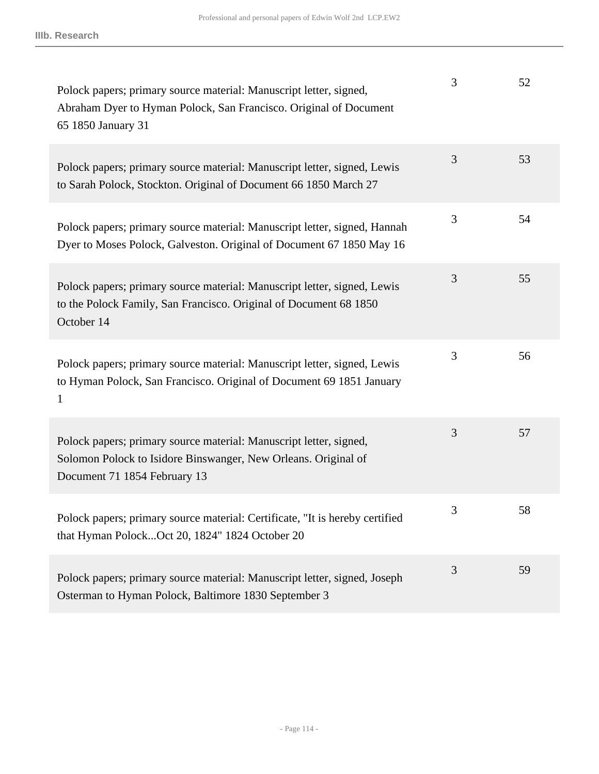| Polock papers; primary source material: Manuscript letter, signed,<br>Abraham Dyer to Hyman Polock, San Francisco. Original of Document<br>65 1850 January 31        | 3 | 52 |
|----------------------------------------------------------------------------------------------------------------------------------------------------------------------|---|----|
| Polock papers; primary source material: Manuscript letter, signed, Lewis<br>to Sarah Polock, Stockton. Original of Document 66 1850 March 27                         | 3 | 53 |
| Polock papers; primary source material: Manuscript letter, signed, Hannah<br>Dyer to Moses Polock, Galveston. Original of Document 67 1850 May 16                    | 3 | 54 |
| Polock papers; primary source material: Manuscript letter, signed, Lewis<br>to the Polock Family, San Francisco. Original of Document 68 1850<br>October 14          | 3 | 55 |
| Polock papers; primary source material: Manuscript letter, signed, Lewis<br>to Hyman Polock, San Francisco. Original of Document 69 1851 January<br>1                | 3 | 56 |
| Polock papers; primary source material: Manuscript letter, signed,<br>Solomon Polock to Isidore Binswanger, New Orleans. Original of<br>Document 71 1854 February 13 | 3 | 57 |
| Polock papers; primary source material: Certificate, "It is hereby certified<br>that Hyman PolockOct 20, 1824" 1824 October 20                                       | 3 | 58 |
| Polock papers; primary source material: Manuscript letter, signed, Joseph<br>Osterman to Hyman Polock, Baltimore 1830 September 3                                    | 3 | 59 |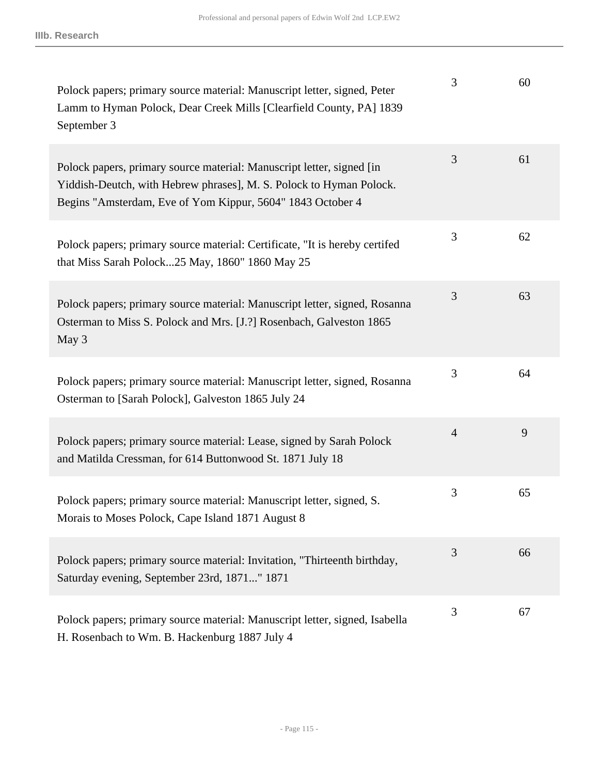| Polock papers; primary source material: Manuscript letter, signed, Peter<br>Lamm to Hyman Polock, Dear Creek Mills [Clearfield County, PA] 1839<br>September 3                                             | 3              | 60 |
|------------------------------------------------------------------------------------------------------------------------------------------------------------------------------------------------------------|----------------|----|
| Polock papers, primary source material: Manuscript letter, signed [in<br>Yiddish-Deutch, with Hebrew phrases], M. S. Polock to Hyman Polock.<br>Begins "Amsterdam, Eve of Yom Kippur, 5604" 1843 October 4 | 3              | 61 |
| Polock papers; primary source material: Certificate, "It is hereby certifed<br>that Miss Sarah Polock25 May, 1860" 1860 May 25                                                                             | 3              | 62 |
| Polock papers; primary source material: Manuscript letter, signed, Rosanna<br>Osterman to Miss S. Polock and Mrs. [J.?] Rosenbach, Galveston 1865<br>May 3                                                 | 3              | 63 |
| Polock papers; primary source material: Manuscript letter, signed, Rosanna<br>Osterman to [Sarah Polock], Galveston 1865 July 24                                                                           | 3              | 64 |
| Polock papers; primary source material: Lease, signed by Sarah Polock<br>and Matilda Cressman, for 614 Buttonwood St. 1871 July 18                                                                         | $\overline{4}$ | 9  |
| Polock papers; primary source material: Manuscript letter, signed, S.<br>Morais to Moses Polock, Cape Island 1871 August 8                                                                                 | 3              | 65 |
| Polock papers; primary source material: Invitation, "Thirteenth birthday,<br>Saturday evening, September 23rd, 1871" 1871                                                                                  | 3              | 66 |
| Polock papers; primary source material: Manuscript letter, signed, Isabella<br>H. Rosenbach to Wm. B. Hackenburg 1887 July 4                                                                               | 3              | 67 |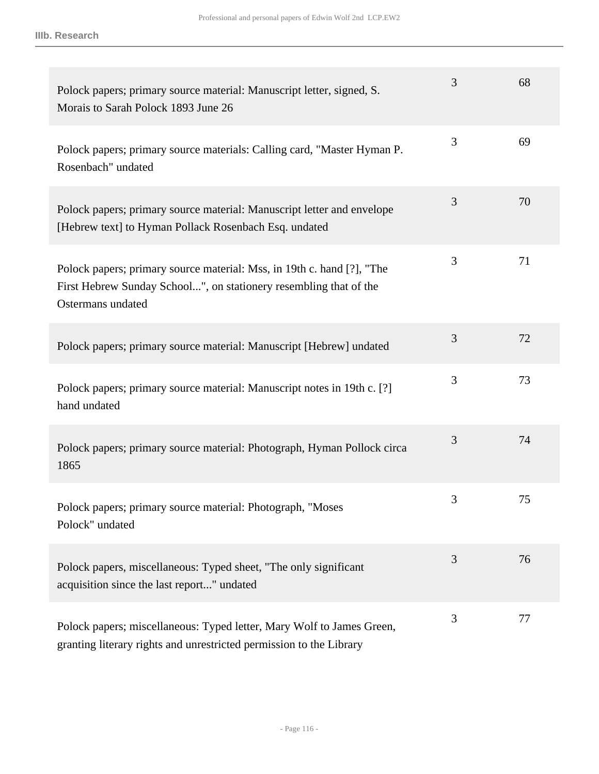| Polock papers; primary source material: Manuscript letter, signed, S.<br>Morais to Sarah Polock 1893 June 26                                                     | 3 | 68 |
|------------------------------------------------------------------------------------------------------------------------------------------------------------------|---|----|
| Polock papers; primary source materials: Calling card, "Master Hyman P.<br>Rosenbach" undated                                                                    | 3 | 69 |
| Polock papers; primary source material: Manuscript letter and envelope<br>[Hebrew text] to Hyman Pollack Rosenbach Esq. undated                                  | 3 | 70 |
| Polock papers; primary source material: Mss, in 19th c. hand [?], "The<br>First Hebrew Sunday School", on stationery resembling that of the<br>Ostermans undated | 3 | 71 |
| Polock papers; primary source material: Manuscript [Hebrew] undated                                                                                              | 3 | 72 |
| Polock papers; primary source material: Manuscript notes in 19th c. [?]<br>hand undated                                                                          | 3 | 73 |
| Polock papers; primary source material: Photograph, Hyman Pollock circa<br>1865                                                                                  | 3 | 74 |
| Polock papers; primary source material: Photograph, "Moses<br>Polock" undated                                                                                    | 3 | 75 |
| Polock papers, miscellaneous: Typed sheet, "The only significant<br>acquisition since the last report" undated                                                   | 3 | 76 |
| Polock papers; miscellaneous: Typed letter, Mary Wolf to James Green,<br>granting literary rights and unrestricted permission to the Library                     | 3 | 77 |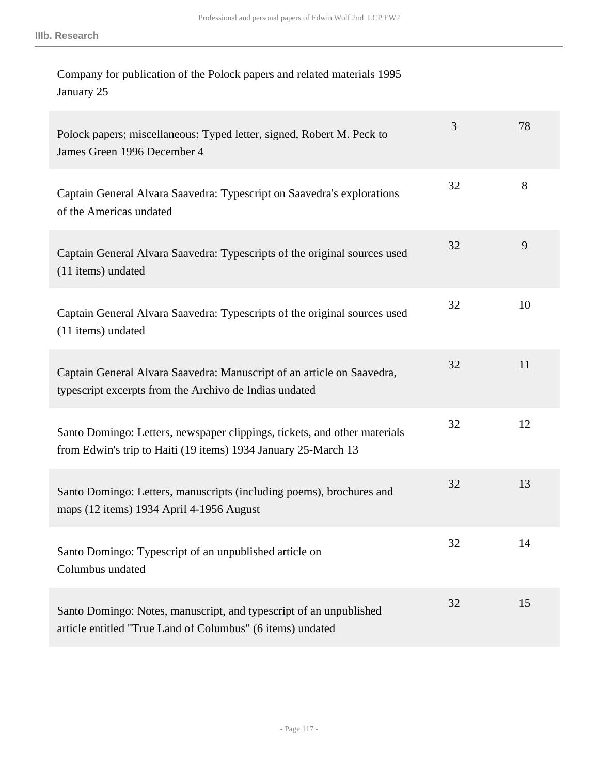| Company for publication of the Polock papers and related materials 1995 |  |
|-------------------------------------------------------------------------|--|
| January 25                                                              |  |

| Polock papers; miscellaneous: Typed letter, signed, Robert M. Peck to<br>James Green 1996 December 4                                        | 3  | 78 |
|---------------------------------------------------------------------------------------------------------------------------------------------|----|----|
| Captain General Alvara Saavedra: Typescript on Saavedra's explorations<br>of the Americas undated                                           | 32 | 8  |
| Captain General Alvara Saavedra: Typescripts of the original sources used<br>(11 items) undated                                             | 32 | 9  |
| Captain General Alvara Saavedra: Typescripts of the original sources used<br>(11 items) undated                                             | 32 | 10 |
| Captain General Alvara Saavedra: Manuscript of an article on Saavedra,<br>typescript excerpts from the Archivo de Indias undated            | 32 | 11 |
| Santo Domingo: Letters, newspaper clippings, tickets, and other materials<br>from Edwin's trip to Haiti (19 items) 1934 January 25-March 13 | 32 | 12 |
| Santo Domingo: Letters, manuscripts (including poems), brochures and<br>maps (12 items) 1934 April 4-1956 August                            | 32 | 13 |
| Santo Domingo: Typescript of an unpublished article on<br>Columbus undated                                                                  | 32 | 14 |
| Santo Domingo: Notes, manuscript, and typescript of an unpublished<br>article entitled "True Land of Columbus" (6 items) undated            | 32 | 15 |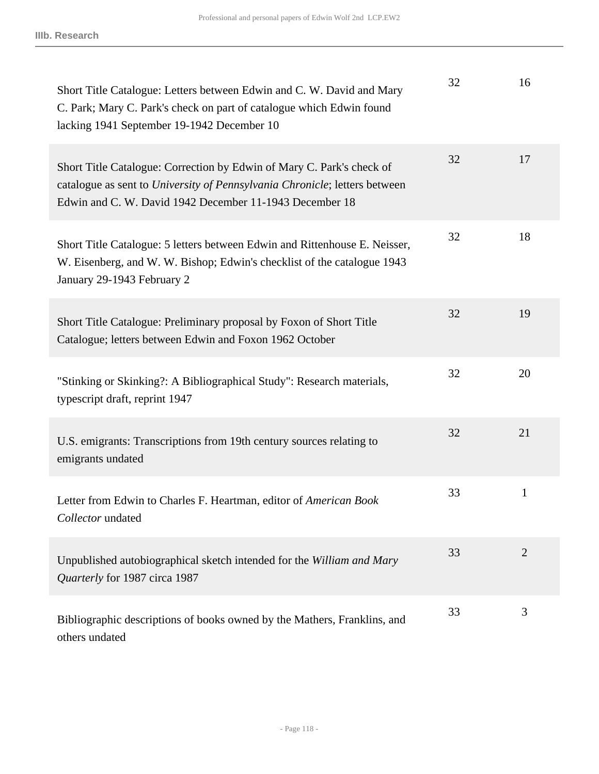| Short Title Catalogue: Letters between Edwin and C. W. David and Mary<br>C. Park; Mary C. Park's check on part of catalogue which Edwin found<br>lacking 1941 September 19-1942 December 10                    | 32 | 16             |
|----------------------------------------------------------------------------------------------------------------------------------------------------------------------------------------------------------------|----|----------------|
| Short Title Catalogue: Correction by Edwin of Mary C. Park's check of<br>catalogue as sent to University of Pennsylvania Chronicle; letters between<br>Edwin and C. W. David 1942 December 11-1943 December 18 | 32 | 17             |
| Short Title Catalogue: 5 letters between Edwin and Rittenhouse E. Neisser,<br>W. Eisenberg, and W. W. Bishop; Edwin's checklist of the catalogue 1943<br>January 29-1943 February 2                            | 32 | 18             |
| Short Title Catalogue: Preliminary proposal by Foxon of Short Title<br>Catalogue; letters between Edwin and Foxon 1962 October                                                                                 | 32 | 19             |
| "Stinking or Skinking?: A Bibliographical Study": Research materials,<br>typescript draft, reprint 1947                                                                                                        | 32 | 20             |
| U.S. emigrants: Transcriptions from 19th century sources relating to<br>emigrants undated                                                                                                                      | 32 | 21             |
| Letter from Edwin to Charles F. Heartman, editor of American Book<br>Collector undated                                                                                                                         | 33 | $\mathbf{1}$   |
| Unpublished autobiographical sketch intended for the William and Mary<br>Quarterly for 1987 circa 1987                                                                                                         | 33 | $\overline{2}$ |
| Bibliographic descriptions of books owned by the Mathers, Franklins, and<br>others undated                                                                                                                     | 33 | 3              |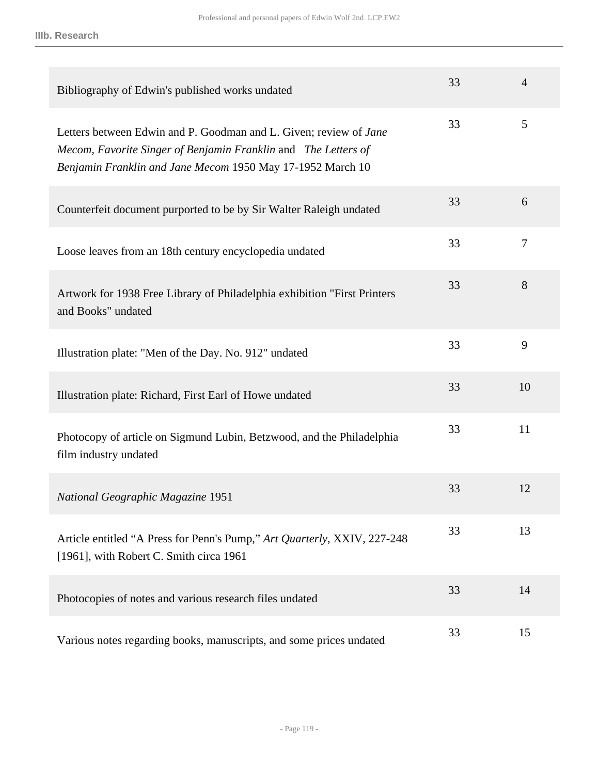| Bibliography of Edwin's published works undated                                                                                                                                                   | 33 | $\overline{4}$ |
|---------------------------------------------------------------------------------------------------------------------------------------------------------------------------------------------------|----|----------------|
| Letters between Edwin and P. Goodman and L. Given; review of Jane<br>Mecom, Favorite Singer of Benjamin Franklin and The Letters of<br>Benjamin Franklin and Jane Mecom 1950 May 17-1952 March 10 | 33 | 5              |
| Counterfeit document purported to be by Sir Walter Raleigh undated                                                                                                                                | 33 | 6              |
| Loose leaves from an 18th century encyclopedia undated                                                                                                                                            | 33 | 7              |
| Artwork for 1938 Free Library of Philadelphia exhibition "First Printers"<br>and Books" undated                                                                                                   | 33 | 8              |
| Illustration plate: "Men of the Day. No. 912" undated                                                                                                                                             | 33 | 9              |
| Illustration plate: Richard, First Earl of Howe undated                                                                                                                                           | 33 | 10             |
| Photocopy of article on Sigmund Lubin, Betzwood, and the Philadelphia<br>film industry undated                                                                                                    | 33 | 11             |
| <b>National Geographic Magazine 1951</b>                                                                                                                                                          | 33 | 12             |
| Article entitled "A Press for Penn's Pump," Art Quarterly, XXIV, 227-248<br>[1961], with Robert C. Smith circa 1961                                                                               | 33 | 13             |
| Photocopies of notes and various research files undated                                                                                                                                           | 33 | 14             |
| Various notes regarding books, manuscripts, and some prices undated                                                                                                                               | 33 | 15             |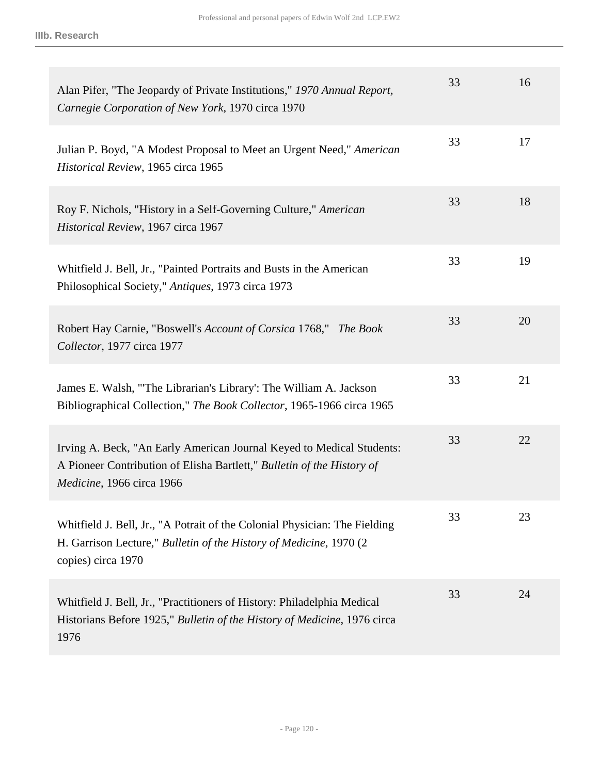| Alan Pifer, "The Jeopardy of Private Institutions," 1970 Annual Report,<br>Carnegie Corporation of New York, 1970 circa 1970                                                 | 33 | 16 |
|------------------------------------------------------------------------------------------------------------------------------------------------------------------------------|----|----|
| Julian P. Boyd, "A Modest Proposal to Meet an Urgent Need," American<br>Historical Review, 1965 circa 1965                                                                   | 33 | 17 |
| Roy F. Nichols, "History in a Self-Governing Culture," American<br>Historical Review, 1967 circa 1967                                                                        | 33 | 18 |
| Whitfield J. Bell, Jr., "Painted Portraits and Busts in the American<br>Philosophical Society," Antiques, 1973 circa 1973                                                    | 33 | 19 |
| Robert Hay Carnie, "Boswell's Account of Corsica 1768," The Book<br>Collector, 1977 circa 1977                                                                               | 33 | 20 |
| James E. Walsh, "The Librarian's Library': The William A. Jackson<br>Bibliographical Collection," The Book Collector, 1965-1966 circa 1965                                   | 33 | 21 |
| Irving A. Beck, "An Early American Journal Keyed to Medical Students:<br>A Pioneer Contribution of Elisha Bartlett," Bulletin of the History of<br>Medicine, 1966 circa 1966 | 33 | 22 |
| Whitfield J. Bell, Jr., "A Potrait of the Colonial Physician: The Fielding<br>H. Garrison Lecture," Bulletin of the History of Medicine, 1970 (2)<br>copies) circa 1970      | 33 | 23 |
| Whitfield J. Bell, Jr., "Practitioners of History: Philadelphia Medical<br>Historians Before 1925," Bulletin of the History of Medicine, 1976 circa<br>1976                  | 33 | 24 |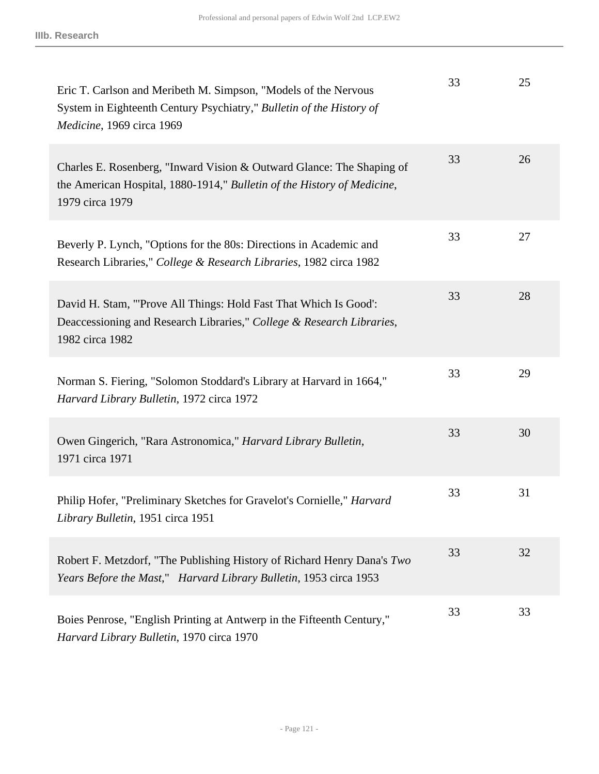| Eric T. Carlson and Meribeth M. Simpson, "Models of the Nervous<br>System in Eighteenth Century Psychiatry," Bulletin of the History of<br>Medicine, 1969 circa 1969 | 33 | 25 |
|----------------------------------------------------------------------------------------------------------------------------------------------------------------------|----|----|
| Charles E. Rosenberg, "Inward Vision & Outward Glance: The Shaping of<br>the American Hospital, 1880-1914," Bulletin of the History of Medicine,<br>1979 circa 1979  | 33 | 26 |
| Beverly P. Lynch, "Options for the 80s: Directions in Academic and<br>Research Libraries," College & Research Libraries, 1982 circa 1982                             | 33 | 27 |
| David H. Stam, "Prove All Things: Hold Fast That Which Is Good':<br>Deaccessioning and Research Libraries," College & Research Libraries,<br>1982 circa 1982         | 33 | 28 |
| Norman S. Fiering, "Solomon Stoddard's Library at Harvard in 1664,"<br>Harvard Library Bulletin, 1972 circa 1972                                                     | 33 | 29 |
| Owen Gingerich, "Rara Astronomica," Harvard Library Bulletin,<br>1971 circa 1971                                                                                     | 33 | 30 |
| Philip Hofer, "Preliminary Sketches for Gravelot's Cornielle," Harvard<br>Library Bulletin, 1951 circa 1951                                                          | 33 | 31 |
| Robert F. Metzdorf, "The Publishing History of Richard Henry Dana's Two<br>Years Before the Mast," Harvard Library Bulletin, 1953 circa 1953                         | 33 | 32 |
| Boies Penrose, "English Printing at Antwerp in the Fifteenth Century,"<br>Harvard Library Bulletin, 1970 circa 1970                                                  | 33 | 33 |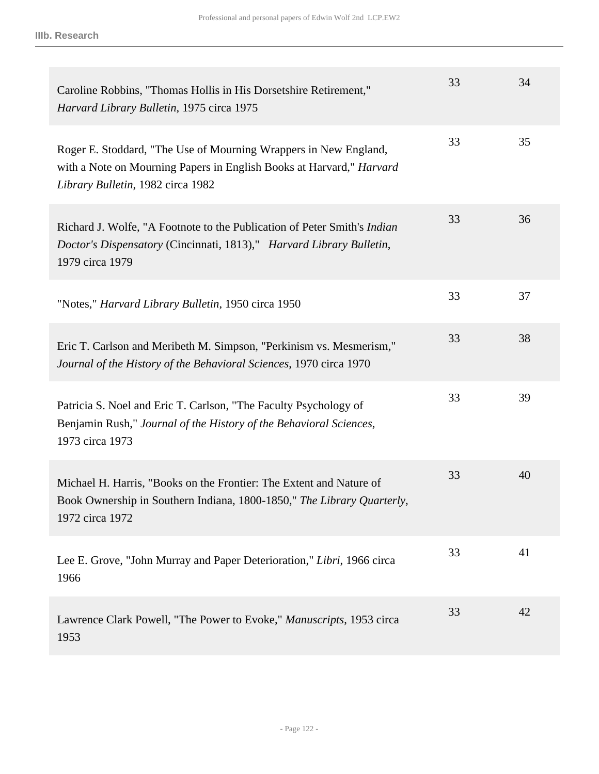| Caroline Robbins, "Thomas Hollis in His Dorsetshire Retirement,"<br>Harvard Library Bulletin, 1975 circa 1975                                                                 | 33 | 34 |
|-------------------------------------------------------------------------------------------------------------------------------------------------------------------------------|----|----|
| Roger E. Stoddard, "The Use of Mourning Wrappers in New England,<br>with a Note on Mourning Papers in English Books at Harvard," Harvard<br>Library Bulletin, 1982 circa 1982 | 33 | 35 |
| Richard J. Wolfe, "A Footnote to the Publication of Peter Smith's <i>Indian</i><br>Doctor's Dispensatory (Cincinnati, 1813)," Harvard Library Bulletin,<br>1979 circa 1979    | 33 | 36 |
| "Notes," <i>Harvard Library Bulletin</i> , 1950 circa 1950                                                                                                                    | 33 | 37 |
| Eric T. Carlson and Meribeth M. Simpson, "Perkinism vs. Mesmerism,"<br>Journal of the History of the Behavioral Sciences, 1970 circa 1970                                     | 33 | 38 |
| Patricia S. Noel and Eric T. Carlson, "The Faculty Psychology of<br>Benjamin Rush," Journal of the History of the Behavioral Sciences,<br>1973 circa 1973                     | 33 | 39 |
| Michael H. Harris, "Books on the Frontier: The Extent and Nature of<br>Book Ownership in Southern Indiana, 1800-1850," The Library Quarterly,<br>1972 circa 1972              | 33 | 40 |
| Lee E. Grove, "John Murray and Paper Deterioration," Libri, 1966 circa<br>1966                                                                                                | 33 | 41 |
| Lawrence Clark Powell, "The Power to Evoke," Manuscripts, 1953 circa<br>1953                                                                                                  | 33 | 42 |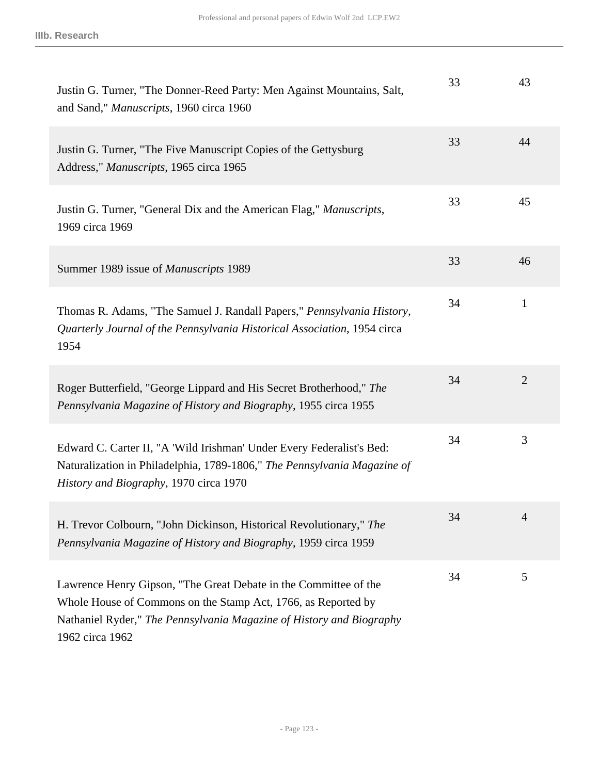| Justin G. Turner, "The Donner-Reed Party: Men Against Mountains, Salt,<br>and Sand," Manuscripts, 1960 circa 1960                                                                                                            | 33 | 43             |
|------------------------------------------------------------------------------------------------------------------------------------------------------------------------------------------------------------------------------|----|----------------|
| Justin G. Turner, "The Five Manuscript Copies of the Gettysburg<br>Address," Manuscripts, 1965 circa 1965                                                                                                                    | 33 | 44             |
| Justin G. Turner, "General Dix and the American Flag," Manuscripts,<br>1969 circa 1969                                                                                                                                       | 33 | 45             |
| Summer 1989 issue of Manuscripts 1989                                                                                                                                                                                        | 33 | 46             |
| Thomas R. Adams, "The Samuel J. Randall Papers," Pennsylvania History,<br>Quarterly Journal of the Pennsylvania Historical Association, 1954 circa<br>1954                                                                   | 34 | $\mathbf{1}$   |
| Roger Butterfield, "George Lippard and His Secret Brotherhood," The<br>Pennsylvania Magazine of History and Biography, 1955 circa 1955                                                                                       | 34 | $\overline{2}$ |
| Edward C. Carter II, "A 'Wild Irishman' Under Every Federalist's Bed:<br>Naturalization in Philadelphia, 1789-1806," The Pennsylvania Magazine of<br>History and Biography, 1970 circa 1970                                  | 34 | 3              |
| H. Trevor Colbourn, "John Dickinson, Historical Revolutionary," The<br>Pennsylvania Magazine of History and Biography, 1959 circa 1959                                                                                       | 34 | 4              |
| Lawrence Henry Gipson, "The Great Debate in the Committee of the<br>Whole House of Commons on the Stamp Act, 1766, as Reported by<br>Nathaniel Ryder," The Pennsylvania Magazine of History and Biography<br>1962 circa 1962 | 34 | 5              |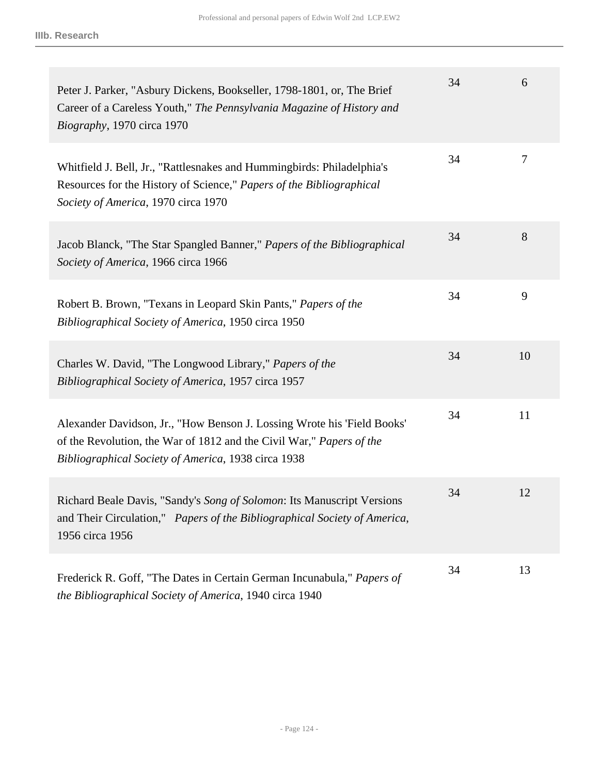| Peter J. Parker, "Asbury Dickens, Bookseller, 1798-1801, or, The Brief<br>Career of a Careless Youth," The Pennsylvania Magazine of History and<br>Biography, 1970 circa 1970                          | 34 | 6      |
|--------------------------------------------------------------------------------------------------------------------------------------------------------------------------------------------------------|----|--------|
| Whitfield J. Bell, Jr., "Rattlesnakes and Hummingbirds: Philadelphia's<br>Resources for the History of Science," Papers of the Bibliographical<br>Society of America, 1970 circa 1970                  | 34 | $\tau$ |
| Jacob Blanck, "The Star Spangled Banner," Papers of the Bibliographical<br>Society of America, 1966 circa 1966                                                                                         | 34 | 8      |
| Robert B. Brown, "Texans in Leopard Skin Pants," Papers of the<br>Bibliographical Society of America, 1950 circa 1950                                                                                  | 34 | 9      |
| Charles W. David, "The Longwood Library," Papers of the<br>Bibliographical Society of America, 1957 circa 1957                                                                                         | 34 | 10     |
| Alexander Davidson, Jr., "How Benson J. Lossing Wrote his 'Field Books'<br>of the Revolution, the War of 1812 and the Civil War," Papers of the<br>Bibliographical Society of America, 1938 circa 1938 | 34 | 11     |
| Richard Beale Davis, "Sandy's Song of Solomon: Its Manuscript Versions<br>and Their Circulation," Papers of the Bibliographical Society of America,<br>1956 circa 1956                                 | 34 | 12     |
| Frederick R. Goff, "The Dates in Certain German Incunabula," Papers of<br>the Bibliographical Society of America, 1940 circa 1940                                                                      | 34 | 13     |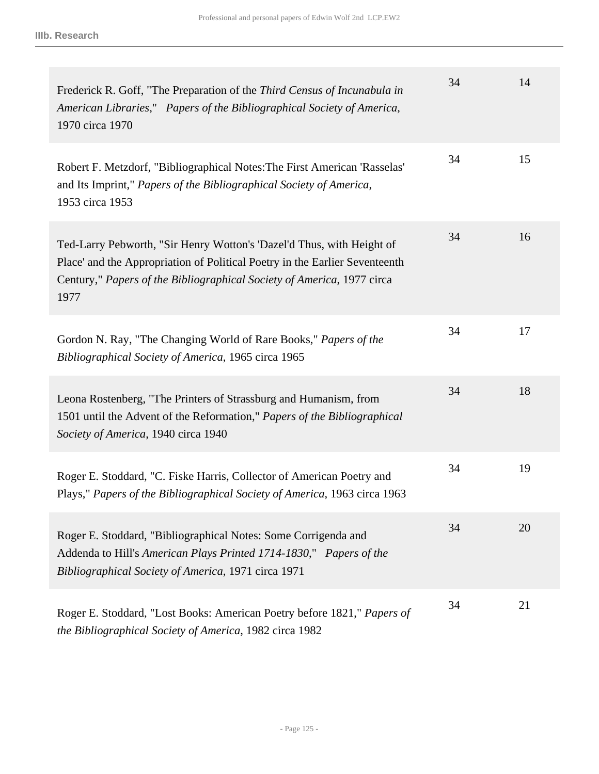| Frederick R. Goff, "The Preparation of the Third Census of Incunabula in<br>American Libraries," Papers of the Bibliographical Society of America,<br>1970 circa 1970                                                                  | 34 | 14 |
|----------------------------------------------------------------------------------------------------------------------------------------------------------------------------------------------------------------------------------------|----|----|
| Robert F. Metzdorf, "Bibliographical Notes: The First American 'Rasselas'<br>and Its Imprint," Papers of the Bibliographical Society of America,<br>1953 circa 1953                                                                    | 34 | 15 |
| Ted-Larry Pebworth, "Sir Henry Wotton's 'Dazel'd Thus, with Height of<br>Place' and the Appropriation of Political Poetry in the Earlier Seventeenth<br>Century," Papers of the Bibliographical Society of America, 1977 circa<br>1977 | 34 | 16 |
| Gordon N. Ray, "The Changing World of Rare Books," Papers of the<br>Bibliographical Society of America, 1965 circa 1965                                                                                                                | 34 | 17 |
| Leona Rostenberg, "The Printers of Strassburg and Humanism, from<br>1501 until the Advent of the Reformation," Papers of the Bibliographical<br>Society of America, 1940 circa 1940                                                    | 34 | 18 |
| Roger E. Stoddard, "C. Fiske Harris, Collector of American Poetry and<br>Plays," Papers of the Bibliographical Society of America, 1963 circa 1963                                                                                     | 34 | 19 |
| Roger E. Stoddard, "Bibliographical Notes: Some Corrigenda and<br>Addenda to Hill's American Plays Printed 1714-1830," Papers of the<br>Bibliographical Society of America, 1971 circa 1971                                            | 34 | 20 |
| Roger E. Stoddard, "Lost Books: American Poetry before 1821," Papers of<br>the Bibliographical Society of America, 1982 circa 1982                                                                                                     | 34 | 21 |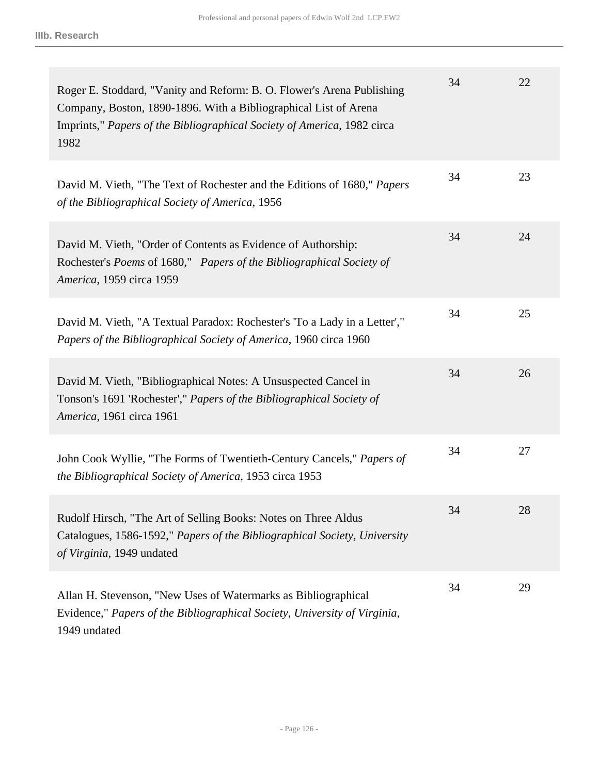| Roger E. Stoddard, "Vanity and Reform: B. O. Flower's Arena Publishing<br>Company, Boston, 1890-1896. With a Bibliographical List of Arena<br>Imprints," Papers of the Bibliographical Society of America, 1982 circa<br>1982 | 34 | 22 |
|-------------------------------------------------------------------------------------------------------------------------------------------------------------------------------------------------------------------------------|----|----|
| David M. Vieth, "The Text of Rochester and the Editions of 1680," Papers<br>of the Bibliographical Society of America, 1956                                                                                                   | 34 | 23 |
| David M. Vieth, "Order of Contents as Evidence of Authorship:<br>Rochester's Poems of 1680," Papers of the Bibliographical Society of<br>America, 1959 circa 1959                                                             | 34 | 24 |
| David M. Vieth, "A Textual Paradox: Rochester's 'To a Lady in a Letter',"<br>Papers of the Bibliographical Society of America, 1960 circa 1960                                                                                | 34 | 25 |
| David M. Vieth, "Bibliographical Notes: A Unsuspected Cancel in<br>Tonson's 1691 'Rochester'," Papers of the Bibliographical Society of<br>America, 1961 circa 1961                                                           | 34 | 26 |
| John Cook Wyllie, "The Forms of Twentieth-Century Cancels," Papers of<br>the Bibliographical Society of America, 1953 circa 1953                                                                                              | 34 | 27 |
| Rudolf Hirsch, "The Art of Selling Books: Notes on Three Aldus<br>Catalogues, 1586-1592," Papers of the Bibliographical Society, University<br>of Virginia, 1949 undated                                                      | 34 | 28 |
| Allan H. Stevenson, "New Uses of Watermarks as Bibliographical<br>Evidence," Papers of the Bibliographical Society, University of Virginia,<br>1949 undated                                                                   | 34 | 29 |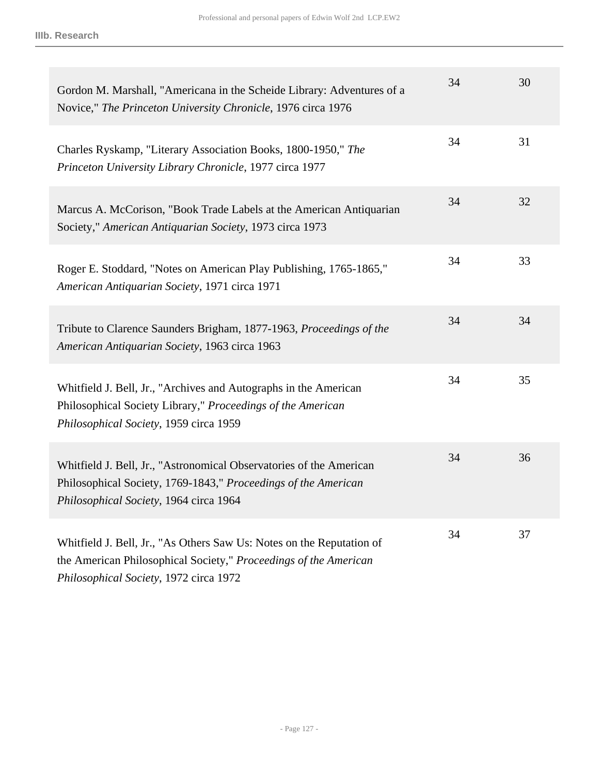| Gordon M. Marshall, "Americana in the Scheide Library: Adventures of a<br>Novice," The Princeton University Chronicle, 1976 circa 1976                                              | 34 | 30 |
|-------------------------------------------------------------------------------------------------------------------------------------------------------------------------------------|----|----|
| Charles Ryskamp, "Literary Association Books, 1800-1950," The<br>Princeton University Library Chronicle, 1977 circa 1977                                                            | 34 | 31 |
| Marcus A. McCorison, "Book Trade Labels at the American Antiquarian<br>Society," American Antiquarian Society, 1973 circa 1973                                                      | 34 | 32 |
| Roger E. Stoddard, "Notes on American Play Publishing, 1765-1865,"<br>American Antiquarian Society, 1971 circa 1971                                                                 | 34 | 33 |
| Tribute to Clarence Saunders Brigham, 1877-1963, Proceedings of the<br>American Antiquarian Society, 1963 circa 1963                                                                | 34 | 34 |
| Whitfield J. Bell, Jr., "Archives and Autographs in the American<br>Philosophical Society Library," Proceedings of the American<br>Philosophical Society, 1959 circa 1959           | 34 | 35 |
| Whitfield J. Bell, Jr., "Astronomical Observatories of the American<br>Philosophical Society, 1769-1843," Proceedings of the American<br>Philosophical Society, 1964 circa 1964     | 34 | 36 |
| Whitfield J. Bell, Jr., "As Others Saw Us: Notes on the Reputation of<br>the American Philosophical Society," Proceedings of the American<br>Philosophical Society, 1972 circa 1972 | 34 | 37 |

- Page 127 -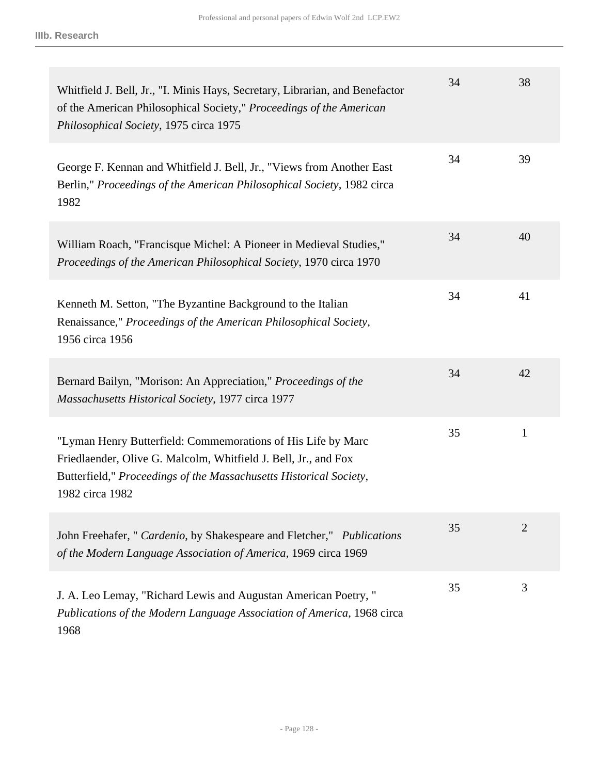| Whitfield J. Bell, Jr., "I. Minis Hays, Secretary, Librarian, and Benefactor<br>of the American Philosophical Society," Proceedings of the American<br>Philosophical Society, 1975 circa 1975                            | 34 | 38             |
|--------------------------------------------------------------------------------------------------------------------------------------------------------------------------------------------------------------------------|----|----------------|
| George F. Kennan and Whitfield J. Bell, Jr., "Views from Another East<br>Berlin," Proceedings of the American Philosophical Society, 1982 circa<br>1982                                                                  | 34 | 39             |
| William Roach, "Francisque Michel: A Pioneer in Medieval Studies,"<br>Proceedings of the American Philosophical Society, 1970 circa 1970                                                                                 | 34 | 40             |
| Kenneth M. Setton, "The Byzantine Background to the Italian<br>Renaissance," Proceedings of the American Philosophical Society,<br>1956 circa 1956                                                                       | 34 | 41             |
| Bernard Bailyn, "Morison: An Appreciation," Proceedings of the<br>Massachusetts Historical Society, 1977 circa 1977                                                                                                      | 34 | 42             |
| "Lyman Henry Butterfield: Commemorations of His Life by Marc<br>Friedlaender, Olive G. Malcolm, Whitfield J. Bell, Jr., and Fox<br>Butterfield," Proceedings of the Massachusetts Historical Society,<br>1982 circa 1982 | 35 | 1              |
| John Freehafer, " Cardenio, by Shakespeare and Fletcher," Publications<br>of the Modern Language Association of America, 1969 circa 1969                                                                                 | 35 | $\overline{2}$ |
| J. A. Leo Lemay, "Richard Lewis and Augustan American Poetry,"<br>Publications of the Modern Language Association of America, 1968 circa<br>1968                                                                         | 35 | 3              |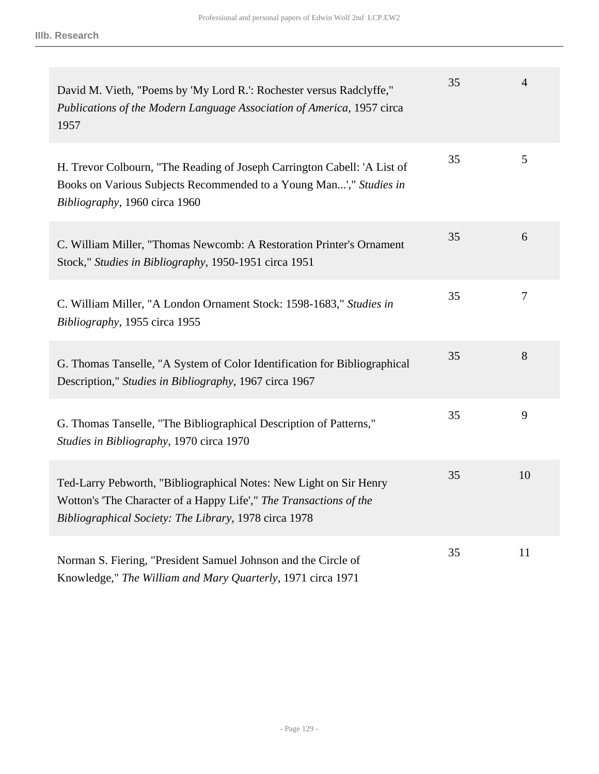| David M. Vieth, "Poems by 'My Lord R.': Rochester versus Radclyffe,"<br>Publications of the Modern Language Association of America, 1957 circa<br>1957                                            | 35 | $\overline{4}$ |
|---------------------------------------------------------------------------------------------------------------------------------------------------------------------------------------------------|----|----------------|
| H. Trevor Colbourn, "The Reading of Joseph Carrington Cabell: 'A List of<br>Books on Various Subjects Recommended to a Young Man'," Studies in<br>Bibliography, 1960 circa 1960                   | 35 | 5              |
| C. William Miller, "Thomas Newcomb: A Restoration Printer's Ornament<br>Stock," Studies in Bibliography, 1950-1951 circa 1951                                                                     | 35 | 6              |
| C. William Miller, "A London Ornament Stock: 1598-1683," Studies in<br>Bibliography, 1955 circa 1955                                                                                              | 35 | $\tau$         |
| G. Thomas Tanselle, "A System of Color Identification for Bibliographical<br>Description," Studies in Bibliography, 1967 circa 1967                                                               | 35 | 8              |
| G. Thomas Tanselle, "The Bibliographical Description of Patterns,"<br>Studies in Bibliography, 1970 circa 1970                                                                                    | 35 | 9              |
| Ted-Larry Pebworth, "Bibliographical Notes: New Light on Sir Henry<br>Wotton's 'The Character of a Happy Life'," The Transactions of the<br>Bibliographical Society: The Library, 1978 circa 1978 | 35 | 10             |
| Norman S. Fiering, "President Samuel Johnson and the Circle of<br>Knowledge," The William and Mary Quarterly, 1971 circa 1971                                                                     | 35 | 11             |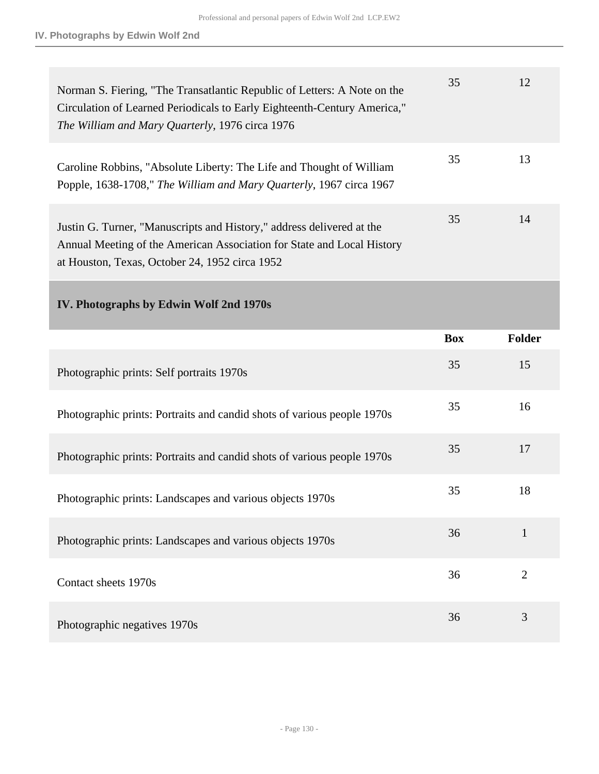| Norman S. Fiering, "The Transatlantic Republic of Letters: A Note on the<br>Circulation of Learned Periodicals to Early Eighteenth-Century America,"<br>The William and Mary Quarterly, 1976 circa 1976 | 35 | 12 |
|---------------------------------------------------------------------------------------------------------------------------------------------------------------------------------------------------------|----|----|
| Caroline Robbins, "Absolute Liberty: The Life and Thought of William<br>Popple, 1638-1708," The William and Mary Quarterly, 1967 circa 1967                                                             | 35 | 13 |
| Justin G. Turner, "Manuscripts and History," address delivered at the<br>Annual Meeting of the American Association for State and Local History<br>at Houston, Texas, October 24, 1952 circa 1952       | 35 | 14 |

## **IV. Photographs by Edwin Wolf 2nd 1970s**

|                                                                         | <b>Box</b> | <b>Folder</b>  |
|-------------------------------------------------------------------------|------------|----------------|
| Photographic prints: Self portraits 1970s                               | 35         | 15             |
| Photographic prints: Portraits and candid shots of various people 1970s | 35         | 16             |
| Photographic prints: Portraits and candid shots of various people 1970s | 35         | 17             |
| Photographic prints: Landscapes and various objects 1970s               | 35         | 18             |
| Photographic prints: Landscapes and various objects 1970s               | 36         | $\mathbf{1}$   |
| Contact sheets 1970s                                                    | 36         | $\overline{2}$ |
| Photographic negatives 1970s                                            | 36         | 3              |